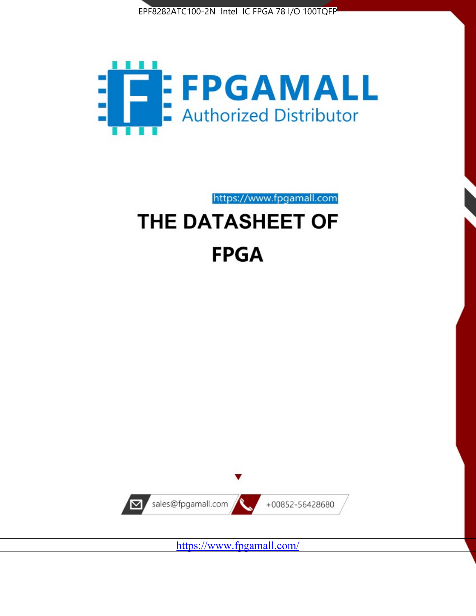



https://www.fpgamall.com

# THE DATASHEET OF **FPGA**



<https://www.fpgamall.com/>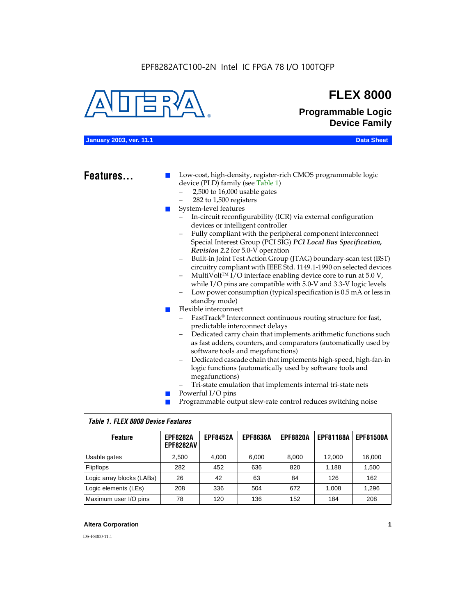

# **FLEX 8000**

**Programmable Logic Device Family**

#### **January 2003, ver. 11.1 Data Sheet**

# Features...

Low-cost, high-density, register-rich CMOS programmable logic device (PLD) family (see Table 1)

- 2,500 to 16,000 usable gates
- 282 to 1,500 registers
- System-level features
	- In-circuit reconfigurability (ICR) via external configuration devices or intelligent controller
	- Fully compliant with the peripheral component interconnect Special Interest Group (PCI SIG) *PCI Local Bus Specification, Revision 2.2* for 5.0-V operation
	- Built-in Joint Test Action Group (JTAG) boundary-scan test (BST) circuitry compliant with IEEE Std. 1149.1-1990 on selected devices
	- MultiVolt<sup>™</sup> I/O interface enabling device core to run at  $5.0 V$ , while I/O pins are compatible with 5.0-V and 3.3-V logic levels
	- Low power consumption (typical specification is 0.5 mA or less in standby mode)
- Flexible interconnect
	- FastTrack<sup>®</sup> Interconnect continuous routing structure for fast, predictable interconnect delays
	- Dedicated carry chain that implements arithmetic functions such as fast adders, counters, and comparators (automatically used by software tools and megafunctions)
	- Dedicated cascade chain that implements high-speed, high-fan-in logic functions (automatically used by software tools and megafunctions)
	- Tri-state emulation that implements internal tri-state nets
- Powerful I/O pins
- Programmable output slew-rate control reduces switching noise

| <b>Feature</b>            | <b>EPF8282A</b><br><b>EPF8282AV</b> | <b>EPF8452A</b> | <b>EPF8636A</b> | <b>EPF8820A</b> | <b>EPF81188A</b> | <b>EPF81500A</b> |  |  |  |  |
|---------------------------|-------------------------------------|-----------------|-----------------|-----------------|------------------|------------------|--|--|--|--|
| Usable gates              | 2,500                               | 4.000           | 6,000           | 8,000           | 12.000           | 16,000           |  |  |  |  |
| Flipflops                 | 282                                 | 452             | 636             | 820             | 1.188            | 1,500            |  |  |  |  |
| Logic array blocks (LABs) | 26                                  | 42              | 63              | 84              | 126              | 162              |  |  |  |  |
| Logic elements (LEs)      | 208                                 | 336             | 504             | 672             | 1.008            | 1,296            |  |  |  |  |
| Maximum user I/O pins     | 78                                  | 120             | 136             | 152             | 184              | 208              |  |  |  |  |

## *Table 1. FLEX 8000 Device Features*

## **Altera Corporation 1**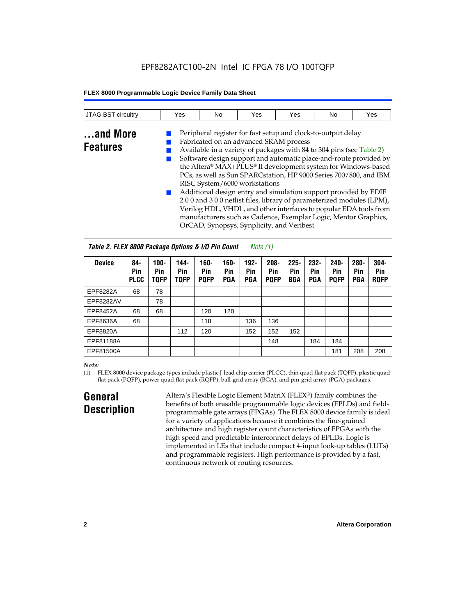# EPF8282ATC100-2N Intel IC FPGA 78 I/O 100TQFP

## **FLEX 8000 Programmable Logic Device Family Data Sheet**

| <b>JTAG BST circuitry</b> | Yes | No                                                                                                                                                                                                                                                                                                                             | Yes | Yes                                                          | No | Yes |
|---------------------------|-----|--------------------------------------------------------------------------------------------------------------------------------------------------------------------------------------------------------------------------------------------------------------------------------------------------------------------------------|-----|--------------------------------------------------------------|----|-----|
| and More                  |     | $\Gamma$ 1 $\cdot$ 1 $\cdot$ 1 $\cdot$ 1 $\cdot$ 1 $\cdot$ 1 $\cdot$ 1 $\cdot$ 1 $\cdot$ 1 $\cdot$ 1 $\cdot$ 1 $\cdot$ 1 $\cdot$ 1 $\cdot$ 1 $\cdot$ 1 $\cdot$ 1 $\cdot$ 1 $\cdot$ 1 $\cdot$ 1 $\cdot$ 1 $\cdot$ 1 $\cdot$ 1 $\cdot$ 1 $\cdot$ 1 $\cdot$ 1 $\cdot$ 1 $\cdot$ 1 $\cdot$ 1 $\cdot$ 1 $\cdot$ 1 $\cdot$ 1 $\cdot$ |     | Peripheral register for fast setup and clock-to-output delay |    |     |

# **Features**

Fabricated on an advanced SRAM process ■ Available in a variety of packages with 84 to 304 pins (see Table 2) Software design support and automatic place-and-route provided by the Altera® MAX+PLUS® II development system for Windows-based PCs, as well as Sun SPARCstation, HP 9000 Series 700/800, and IBM RISC System/6000 workstations

Additional design entry and simulation support provided by EDIF 2 0 0 and 3 0 0 netlist files, library of parameterized modules (LPM), Verilog HDL, VHDL, and other interfaces to popular EDA tools from manufacturers such as Cadence, Exemplar Logic, Mentor Graphics, OrCAD, Synopsys, Synplicity, and Veribest

| Table 2. FLEX 8000 Package Options & I/O Pin Count<br>Note (1) |                           |                               |                            |                            |                       |                              |                               |                       |                              |                               |                              |                               |
|----------------------------------------------------------------|---------------------------|-------------------------------|----------------------------|----------------------------|-----------------------|------------------------------|-------------------------------|-----------------------|------------------------------|-------------------------------|------------------------------|-------------------------------|
| <b>Device</b>                                                  | 84-<br>Pin<br><b>PLCC</b> | $100 -$<br>Pin<br><b>TOFP</b> | 144-<br>Pin<br><b>TQFP</b> | 160-<br>Pin<br><b>PQFP</b> | $160 -$<br>Pin<br>PGA | $192 -$<br>Pin<br><b>PGA</b> | $208 -$<br>Pin<br><b>PQFP</b> | $225 -$<br>Pin<br>BGA | $232 -$<br>Pin<br><b>PGA</b> | $240 -$<br>Pin<br><b>PQFP</b> | $280 -$<br>Pin<br><b>PGA</b> | $304 -$<br>Pin<br><b>ROFP</b> |
| EPF8282A                                                       | 68                        | 78                            |                            |                            |                       |                              |                               |                       |                              |                               |                              |                               |
| EPF8282AV                                                      |                           | 78                            |                            |                            |                       |                              |                               |                       |                              |                               |                              |                               |
| EPF8452A                                                       | 68                        | 68                            |                            | 120                        | 120                   |                              |                               |                       |                              |                               |                              |                               |
| EPF8636A                                                       | 68                        |                               |                            | 118                        |                       | 136                          | 136                           |                       |                              |                               |                              |                               |
| EPF8820A                                                       |                           |                               | 112                        | 120                        |                       | 152                          | 152                           | 152                   |                              |                               |                              |                               |
| EPF81188A                                                      |                           |                               |                            |                            |                       |                              | 148                           |                       | 184                          | 184                           |                              |                               |
| EPF81500A                                                      |                           |                               |                            |                            |                       |                              |                               |                       |                              | 181                           | 208                          | 208                           |

## *Note:*

(1) FLEX 8000 device package types include plastic J-lead chip carrier (PLCC), thin quad flat pack (TQFP), plastic quad flat pack (PQFP), power quad flat pack (RQFP), ball-grid array (BGA), and pin-grid array (PGA) packages.

# **General Description**

Altera's Flexible Logic Element MatriX (FLEX®) family combines the benefits of both erasable programmable logic devices (EPLDs) and fieldprogrammable gate arrays (FPGAs). The FLEX 8000 device family is ideal for a variety of applications because it combines the fine-grained architecture and high register count characteristics of FPGAs with the high speed and predictable interconnect delays of EPLDs. Logic is implemented in LEs that include compact 4-input look-up tables (LUTs) and programmable registers. High performance is provided by a fast, continuous network of routing resources.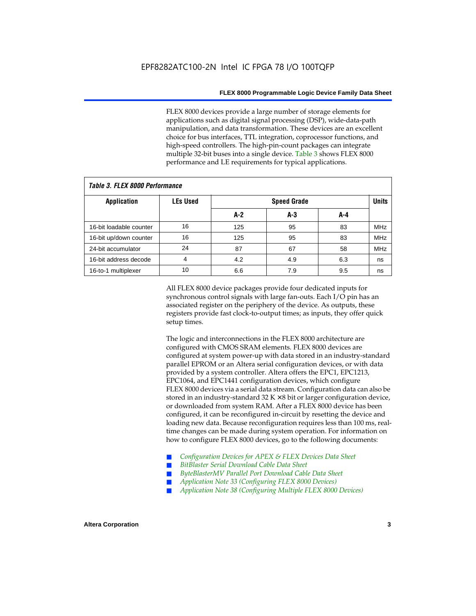FLEX 8000 devices provide a large number of storage elements for applications such as digital signal processing (DSP), wide-data-path manipulation, and data transformation. These devices are an excellent choice for bus interfaces, TTL integration, coprocessor functions, and high-speed controllers. The high-pin-count packages can integrate multiple 32-bit buses into a single device. Table 3 shows FLEX 8000 performance and LE requirements for typical applications.

| Tadie J. Flea Quuu Feituitiiaiige |                 |     |                    |     |            |  |  |  |  |  |  |
|-----------------------------------|-----------------|-----|--------------------|-----|------------|--|--|--|--|--|--|
| <b>Application</b>                | <b>LEs Used</b> |     | <b>Speed Grade</b> |     |            |  |  |  |  |  |  |
|                                   |                 | A-2 | A-3                | A-4 |            |  |  |  |  |  |  |
| 16-bit loadable counter           | 16              | 125 | 95                 | 83  | <b>MHz</b> |  |  |  |  |  |  |
| 16-bit up/down counter            | 16              | 125 | 95                 | 83  | <b>MHz</b> |  |  |  |  |  |  |
| 24-bit accumulator                | 24              | 87  | 67                 | 58  | <b>MHz</b> |  |  |  |  |  |  |
| 16-bit address decode             | 4               | 4.2 | 4.9                | 6.3 | ns         |  |  |  |  |  |  |
| 16-to-1 multiplexer               | 10              | 6.6 | 7.9                | 9.5 | ns         |  |  |  |  |  |  |

*Table 3. FLEX 8000 Performance*

All FLEX 8000 device packages provide four dedicated inputs for synchronous control signals with large fan-outs. Each I/O pin has an associated register on the periphery of the device. As outputs, these registers provide fast clock-to-output times; as inputs, they offer quick setup times.

The logic and interconnections in the FLEX 8000 architecture are configured with CMOS SRAM elements. FLEX 8000 devices are configured at system power-up with data stored in an industry-standard parallel EPROM or an Altera serial configuration devices, or with data provided by a system controller. Altera offers the EPC1, EPC1213, EPC1064, and EPC1441 configuration devices, which configure FLEX 8000 devices via a serial data stream. Configuration data can also be stored in an industry-standard  $32 K \times 8$  bit or larger configuration device, or downloaded from system RAM. After a FLEX 8000 device has been configured, it can be reconfigured in-circuit by resetting the device and loading new data. Because reconfiguration requires less than 100 ms, realtime changes can be made during system operation. For information on how to configure FLEX 8000 devices, go to the following documents:

- Configuration Devices for APEX & FLEX Devices Data Sheet
- $BitBlaster$  Serial Download Cable Data Sheet
- ByteBlasterMV Parallel Port Download Cable Data Sheet
- *Application Note 33 (Configuring FLEX 8000 Devices)*
- *Application Note 38 (Configuring Multiple FLEX 8000 Devices)*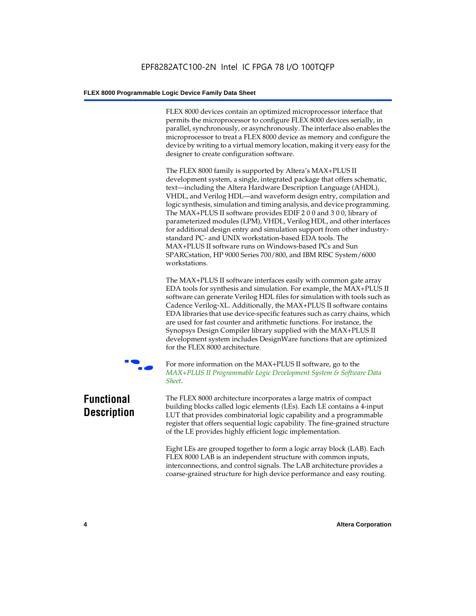FLEX 8000 devices contain an optimized microprocessor interface that permits the microprocessor to configure FLEX 8000 devices serially, in parallel, synchronously, or asynchronously. The interface also enables the microprocessor to treat a FLEX 8000 device as memory and configure the device by writing to a virtual memory location, making it very easy for the designer to create configuration software.

The FLEX 8000 family is supported by Altera's MAX+PLUS II development system, a single, integrated package that offers schematic, text—including the Altera Hardware Description Language (AHDL), VHDL, and Verilog HDL—and waveform design entry, compilation and logic synthesis, simulation and timing analysis, and device programming. The MAX+PLUS II software provides EDIF 2 0 0 and 3 0 0, library of parameterized modules (LPM), VHDL, Verilog HDL, and other interfaces for additional design entry and simulation support from other industrystandard PC- and UNIX workstation-based EDA tools. The MAX+PLUS II software runs on Windows-based PCs and Sun SPARCstation, HP 9000 Series 700/800, and IBM RISC System/6000 workstations.

The MAX+PLUS II software interfaces easily with common gate array EDA tools for synthesis and simulation. For example, the MAX+PLUS II software can generate Verilog HDL files for simulation with tools such as Cadence Verilog-XL. Additionally, the MAX+PLUS II software contains EDA libraries that use device-specific features such as carry chains, which are used for fast counter and arithmetic functions. For instance, the Synopsys Design Compiler library supplied with the MAX+PLUS II development system includes DesignWare functions that are optimized for the FLEX 8000 architecture.



For more information on the MAX+PLUS II software, go to the *MAX+PLUS II Programmable Logic Development System & Software Data Sheet*.

# **Functional Description**

The FLEX 8000 architecture incorporates a large matrix of compact building blocks called logic elements (LEs). Each LE contains a 4-input LUT that provides combinatorial logic capability and a programmable register that offers sequential logic capability. The fine-grained structure of the LE provides highly efficient logic implementation.

Eight LEs are grouped together to form a logic array block (LAB). Each FLEX 8000 LAB is an independent structure with common inputs, interconnections, and control signals. The LAB architecture provides a coarse-grained structure for high device performance and easy routing.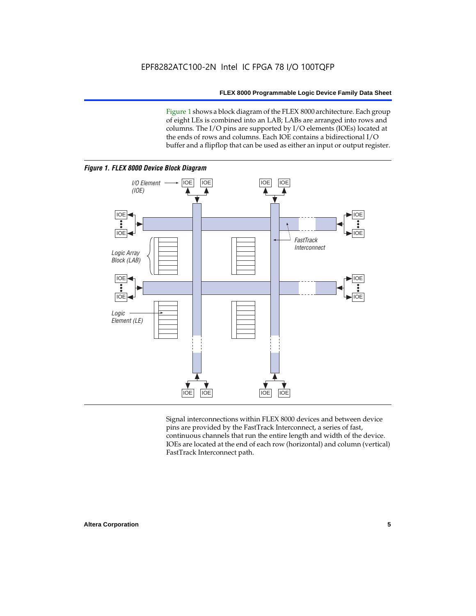Figure 1 shows a block diagram of the FLEX 8000 architecture. Each group of eight LEs is combined into an LAB; LABs are arranged into rows and columns. The I/O pins are supported by I/O elements (IOEs) located at the ends of rows and columns. Each IOE contains a bidirectional I/O buffer and a flipflop that can be used as either an input or output register.



Signal interconnections within FLEX 8000 devices and between device pins are provided by the FastTrack Interconnect, a series of fast, continuous channels that run the entire length and width of the device. IOEs are located at the end of each row (horizontal) and column (vertical) FastTrack Interconnect path.

# **Altera Corporation 5**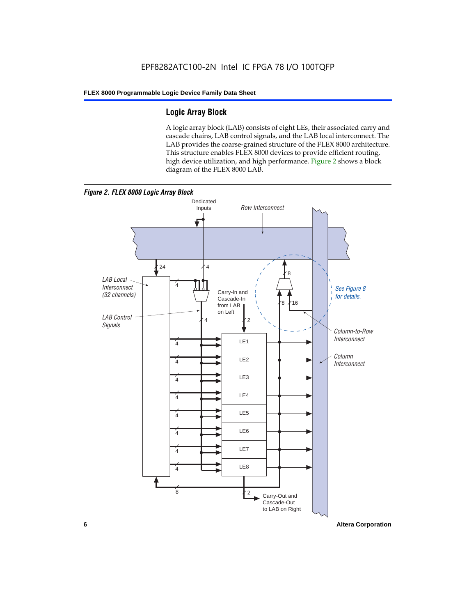# **Logic Array Block**

A logic array block (LAB) consists of eight LEs, their associated carry and cascade chains, LAB control signals, and the LAB local interconnect. The LAB provides the coarse-grained structure of the FLEX 8000 architecture. This structure enables FLEX 8000 devices to provide efficient routing, high device utilization, and high performance. Figure 2 shows a block diagram of the FLEX 8000 LAB.



**6 Altera Corporation**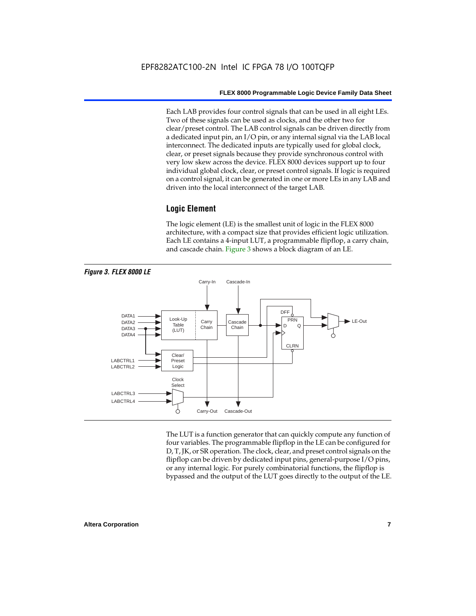Each LAB provides four control signals that can be used in all eight LEs. Two of these signals can be used as clocks, and the other two for clear/preset control. The LAB control signals can be driven directly from a dedicated input pin, an I/O pin, or any internal signal via the LAB local interconnect. The dedicated inputs are typically used for global clock, clear, or preset signals because they provide synchronous control with very low skew across the device. FLEX 8000 devices support up to four individual global clock, clear, or preset control signals. If logic is required on a control signal, it can be generated in one or more LEs in any LAB and driven into the local interconnect of the target LAB.

# **Logic Element**

The logic element (LE) is the smallest unit of logic in the FLEX 8000 architecture, with a compact size that provides efficient logic utilization. Each LE contains a 4-input LUT, a programmable flipflop, a carry chain, and cascade chain. Figure 3 shows a block diagram of an LE.



The LUT is a function generator that can quickly compute any function of four variables. The programmable flipflop in the LE can be configured for D, T, JK, or SR operation. The clock, clear, and preset control signals on the flipflop can be driven by dedicated input pins, general-purpose I/O pins, or any internal logic. For purely combinatorial functions, the flipflop is bypassed and the output of the LUT goes directly to the output of the LE.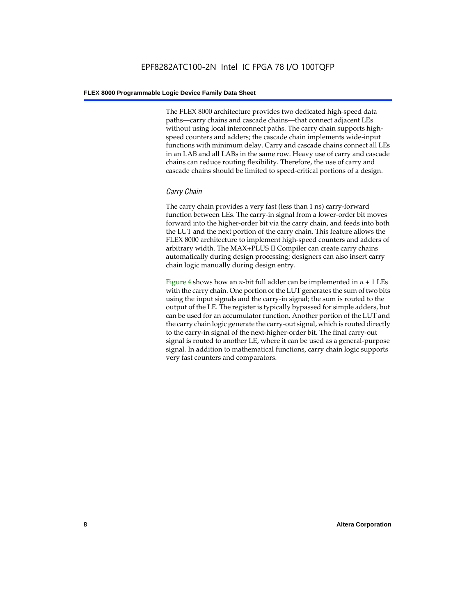The FLEX 8000 architecture provides two dedicated high-speed data paths—carry chains and cascade chains—that connect adjacent LEs without using local interconnect paths. The carry chain supports highspeed counters and adders; the cascade chain implements wide-input functions with minimum delay. Carry and cascade chains connect all LEs in an LAB and all LABs in the same row. Heavy use of carry and cascade chains can reduce routing flexibility. Therefore, the use of carry and cascade chains should be limited to speed-critical portions of a design.

# *Carry Chain*

The carry chain provides a very fast (less than 1 ns) carry-forward function between LEs. The carry-in signal from a lower-order bit moves forward into the higher-order bit via the carry chain, and feeds into both the LUT and the next portion of the carry chain. This feature allows the FLEX 8000 architecture to implement high-speed counters and adders of arbitrary width. The MAX+PLUS II Compiler can create carry chains automatically during design processing; designers can also insert carry chain logic manually during design entry.

Figure 4 shows how an *n*-bit full adder can be implemented in *n* + 1 LEs with the carry chain. One portion of the LUT generates the sum of two bits using the input signals and the carry-in signal; the sum is routed to the output of the LE. The register is typically bypassed for simple adders, but can be used for an accumulator function. Another portion of the LUT and the carry chain logic generate the carry-out signal, which is routed directly to the carry-in signal of the next-higher-order bit. The final carry-out signal is routed to another LE, where it can be used as a general-purpose signal. In addition to mathematical functions, carry chain logic supports very fast counters and comparators.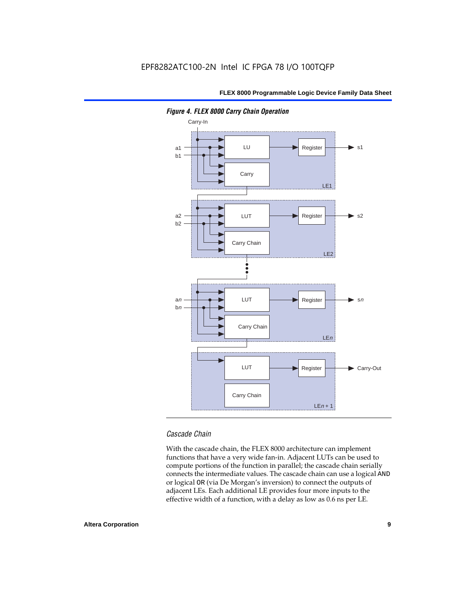

*Figure 4. FLEX 8000 Carry Chain Operation*

# *Cascade Chain*

With the cascade chain, the FLEX 8000 architecture can implement functions that have a very wide fan-in. Adjacent LUTs can be used to compute portions of the function in parallel; the cascade chain serially connects the intermediate values. The cascade chain can use a logical AND or logical OR (via De Morgan's inversion) to connect the outputs of adjacent LEs. Each additional LE provides four more inputs to the effective width of a function, with a delay as low as 0.6 ns per LE.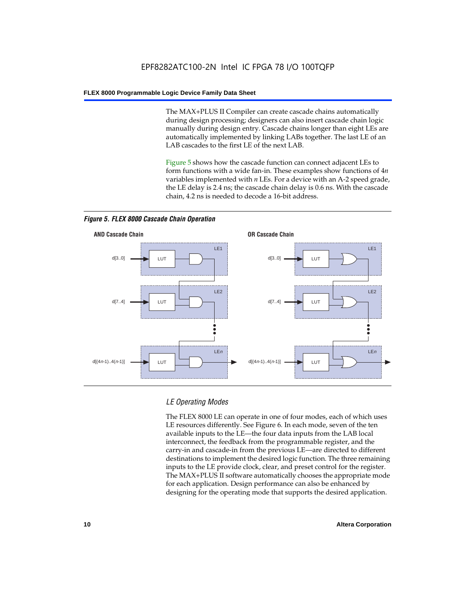The MAX+PLUS II Compiler can create cascade chains automatically during design processing; designers can also insert cascade chain logic manually during design entry. Cascade chains longer than eight LEs are automatically implemented by linking LABs together. The last LE of an LAB cascades to the first LE of the next LAB.

Figure 5 shows how the cascade function can connect adjacent LEs to form functions with a wide fan-in. These examples show functions of 4*n* variables implemented with *n* LEs. For a device with an A-2 speed grade, the LE delay is 2.4 ns; the cascade chain delay is 0.6 ns. With the cascade chain, 4.2 ns is needed to decode a 16-bit address.



*Figure 5. FLEX 8000 Cascade Chain Operation*

# *LE Operating Modes*

The FLEX 8000 LE can operate in one of four modes, each of which uses LE resources differently. See Figure 6. In each mode, seven of the ten available inputs to the LE—the four data inputs from the LAB local interconnect, the feedback from the programmable register, and the carry-in and cascade-in from the previous LE—are directed to different destinations to implement the desired logic function. The three remaining inputs to the LE provide clock, clear, and preset control for the register. The MAX+PLUS II software automatically chooses the appropriate mode for each application. Design performance can also be enhanced by designing for the operating mode that supports the desired application.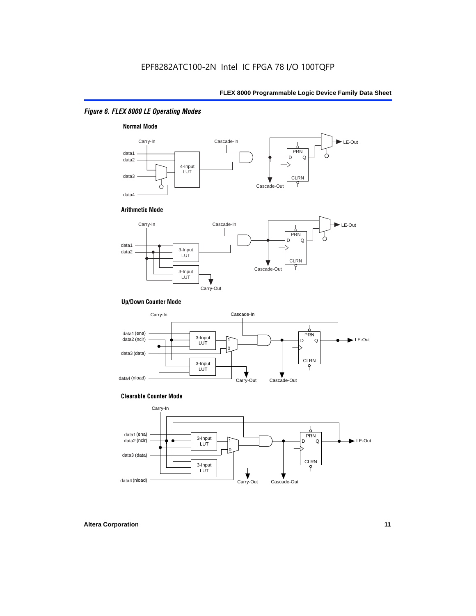# *Figure 6. FLEX 8000 LE Operating Modes*



#### **Arithmetic Mode**



#### **Up/Down Counter Mode**



#### **Clearable Counter Mode**

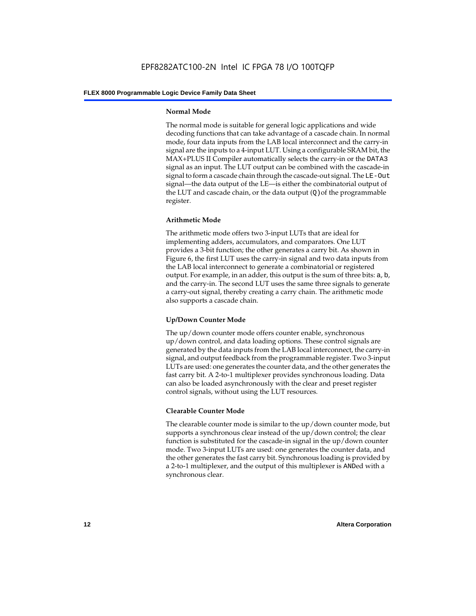### **Normal Mode**

The normal mode is suitable for general logic applications and wide decoding functions that can take advantage of a cascade chain. In normal mode, four data inputs from the LAB local interconnect and the carry-in signal are the inputs to a 4-input LUT. Using a configurable SRAM bit, the MAX+PLUS II Compiler automatically selects the carry-in or the DATA3 signal as an input. The LUT output can be combined with the cascade-in signal to form a cascade chain through the cascade-out signal. The LE-Out signal—the data output of the LE—is either the combinatorial output of the LUT and cascade chain, or the data output  $(Q)$  of the programmable register.

# **Arithmetic Mode**

The arithmetic mode offers two 3-input LUTs that are ideal for implementing adders, accumulators, and comparators. One LUT provides a 3-bit function; the other generates a carry bit. As shown in Figure 6, the first LUT uses the carry-in signal and two data inputs from the LAB local interconnect to generate a combinatorial or registered output. For example, in an adder, this output is the sum of three bits: a, b, and the carry-in. The second LUT uses the same three signals to generate a carry-out signal, thereby creating a carry chain. The arithmetic mode also supports a cascade chain.

# **Up/Down Counter Mode**

The up/down counter mode offers counter enable, synchronous up/down control, and data loading options. These control signals are generated by the data inputs from the LAB local interconnect, the carry-in signal, and output feedback from the programmable register. Two 3-input LUTs are used: one generates the counter data, and the other generates the fast carry bit. A 2-to-1 multiplexer provides synchronous loading. Data can also be loaded asynchronously with the clear and preset register control signals, without using the LUT resources.

# **Clearable Counter Mode**

The clearable counter mode is similar to the up/down counter mode, but supports a synchronous clear instead of the up/down control; the clear function is substituted for the cascade-in signal in the up/down counter mode. Two 3-input LUTs are used: one generates the counter data, and the other generates the fast carry bit. Synchronous loading is provided by a 2-to-1 multiplexer, and the output of this multiplexer is ANDed with a synchronous clear.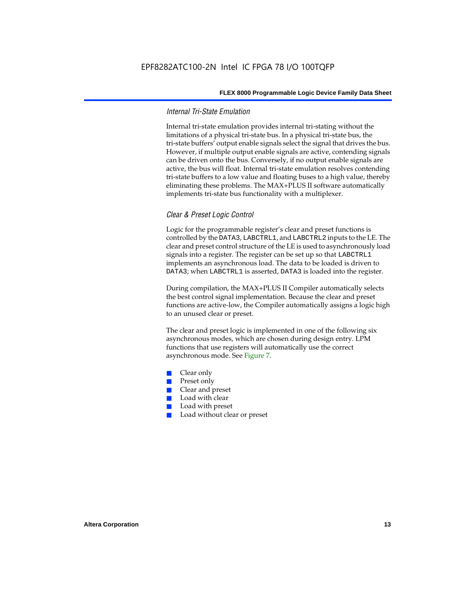## *Internal Tri-State Emulation*

Internal tri-state emulation provides internal tri-stating without the limitations of a physical tri-state bus. In a physical tri-state bus, the tri-state buffers' output enable signals select the signal that drives the bus. However, if multiple output enable signals are active, contending signals can be driven onto the bus. Conversely, if no output enable signals are active, the bus will float. Internal tri-state emulation resolves contending tri-state buffers to a low value and floating buses to a high value, thereby eliminating these problems. The MAX+PLUS II software automatically implements tri-state bus functionality with a multiplexer.

## *Clear & Preset Logic Control*

Logic for the programmable register's clear and preset functions is controlled by the DATA3, LABCTRL1, and LABCTRL2 inputs to the LE. The clear and preset control structure of the LE is used to asynchronously load signals into a register. The register can be set up so that LABCTRL1 implements an asynchronous load. The data to be loaded is driven to DATA3; when LABCTRL1 is asserted, DATA3 is loaded into the register.

During compilation, the MAX+PLUS II Compiler automatically selects the best control signal implementation. Because the clear and preset functions are active-low, the Compiler automatically assigns a logic high to an unused clear or preset.

The clear and preset logic is implemented in one of the following six asynchronous modes, which are chosen during design entry. LPM functions that use registers will automatically use the correct asynchronous mode. See Figure 7.

- Clear only
- Preset only
- Clear and preset
- Load with clear
- Load with preset
- Load without clear or preset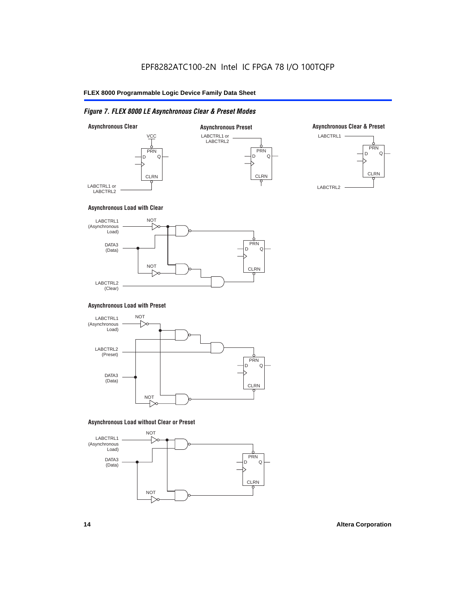# *Figure 7. FLEX 8000 LE Asynchronous Clear & Preset Modes*



#### **Asynchronous Load with Clear**



#### **Asynchronous Load with Preset**



#### **Asynchronous Load without Clear or Preset**

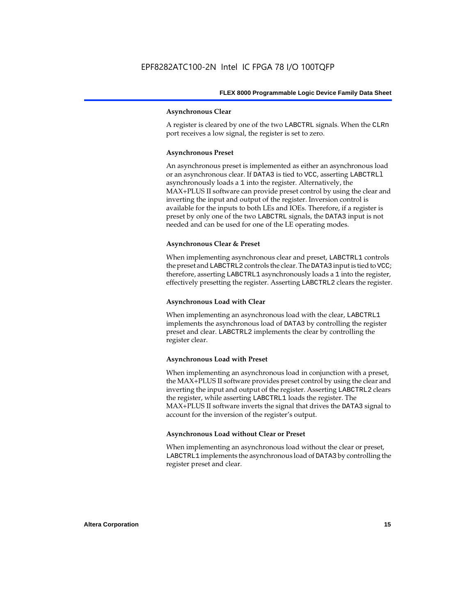#### **Asynchronous Clear**

A register is cleared by one of the two LABCTRL signals. When the CLRn port receives a low signal, the register is set to zero.

#### **Asynchronous Preset**

An asynchronous preset is implemented as either an asynchronous load or an asynchronous clear. If DATA3 is tied to VCC, asserting LABCTRLl asynchronously loads a 1 into the register. Alternatively, the MAX+PLUS II software can provide preset control by using the clear and inverting the input and output of the register. Inversion control is available for the inputs to both LEs and IOEs. Therefore, if a register is preset by only one of the two LABCTRL signals, the DATA3 input is not needed and can be used for one of the LE operating modes.

## **Asynchronous Clear & Preset**

When implementing asynchronous clear and preset, LABCTRL1 controls the preset and LABCTRL2 controls the clear. The DATA3 input is tied to VCC; therefore, asserting LABCTRL1 asynchronously loads a 1 into the register, effectively presetting the register. Asserting LABCTRL2 clears the register.

## **Asynchronous Load with Clear**

When implementing an asynchronous load with the clear, LABCTRL1 implements the asynchronous load of DATA3 by controlling the register preset and clear. LABCTRL2 implements the clear by controlling the register clear.

## **Asynchronous Load with Preset**

When implementing an asynchronous load in conjunction with a preset, the MAX+PLUS II software provides preset control by using the clear and inverting the input and output of the register. Asserting LABCTRL2 clears the register, while asserting LABCTRL1 loads the register. The MAX+PLUS II software inverts the signal that drives the DATA3 signal to account for the inversion of the register's output.

## **Asynchronous Load without Clear or Preset**

When implementing an asynchronous load without the clear or preset, LABCTRL1 implements the asynchronous load of DATA3 by controlling the register preset and clear.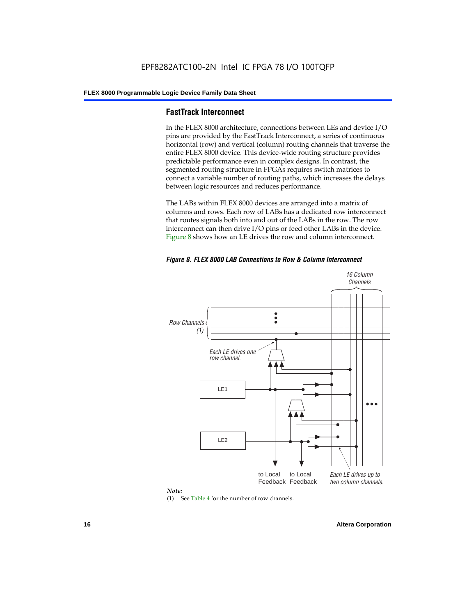# **FastTrack Interconnect**

In the FLEX 8000 architecture, connections between LEs and device I/O pins are provided by the FastTrack Interconnect, a series of continuous horizontal (row) and vertical (column) routing channels that traverse the entire FLEX 8000 device. This device-wide routing structure provides predictable performance even in complex designs. In contrast, the segmented routing structure in FPGAs requires switch matrices to connect a variable number of routing paths, which increases the delays between logic resources and reduces performance.

The LABs within FLEX 8000 devices are arranged into a matrix of columns and rows. Each row of LABs has a dedicated row interconnect that routes signals both into and out of the LABs in the row. The row interconnect can then drive I/O pins or feed other LABs in the device. Figure 8 shows how an LE drives the row and column interconnect.

*Figure 8. FLEX 8000 LAB Connections to Row & Column Interconnect*





(1) See Table 4 for the number of row channels.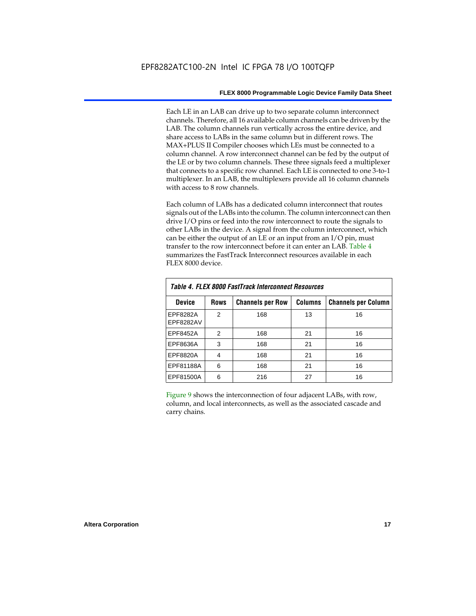Each LE in an LAB can drive up to two separate column interconnect channels. Therefore, all 16 available column channels can be driven by the LAB. The column channels run vertically across the entire device, and share access to LABs in the same column but in different rows. The MAX+PLUS II Compiler chooses which LEs must be connected to a column channel. A row interconnect channel can be fed by the output of the LE or by two column channels. These three signals feed a multiplexer that connects to a specific row channel. Each LE is connected to one 3-to-1 multiplexer. In an LAB, the multiplexers provide all 16 column channels with access to 8 row channels.

Each column of LABs has a dedicated column interconnect that routes signals out of the LABs into the column. The column interconnect can then drive I/O pins or feed into the row interconnect to route the signals to other LABs in the device. A signal from the column interconnect, which can be either the output of an LE or an input from an I/O pin, must transfer to the row interconnect before it can enter an LAB. Table 4 summarizes the FastTrack Interconnect resources available in each FLEX 8000 device.

| Table 4. FLEX 8000 FastTrack Interconnect Resources |               |                         |                |                            |  |  |  |  |  |  |
|-----------------------------------------------------|---------------|-------------------------|----------------|----------------------------|--|--|--|--|--|--|
| <b>Device</b>                                       | <b>Rows</b>   | <b>Channels per Row</b> | <b>Columns</b> | <b>Channels per Column</b> |  |  |  |  |  |  |
| EPF8282A<br>EPF8282AV                               | $\mathcal{P}$ | 168                     | 13             | 16                         |  |  |  |  |  |  |
| EPF8452A                                            | 2             | 168                     | 21             | 16                         |  |  |  |  |  |  |
| EPF8636A                                            | 3             | 168                     | 21             | 16                         |  |  |  |  |  |  |
| EPF8820A                                            | 4             | 168                     | 21             | 16                         |  |  |  |  |  |  |
| EPF81188A                                           | 6             | 168                     | 21             | 16                         |  |  |  |  |  |  |
| EPF81500A                                           | 6             | 216                     | 27             | 16                         |  |  |  |  |  |  |

Figure 9 shows the interconnection of four adjacent LABs, with row, column, and local interconnects, as well as the associated cascade and carry chains.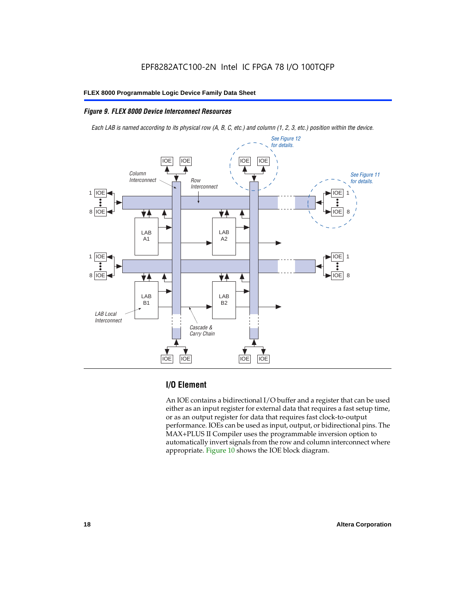# *Figure 9. FLEX 8000 Device Interconnect Resources*

*Each LAB is named according to its physical row (A, B, C, etc.) and column (1, 2, 3, etc.) position within the device.*



# **I/O Element**

An IOE contains a bidirectional I/O buffer and a register that can be used either as an input register for external data that requires a fast setup time, or as an output register for data that requires fast clock-to-output performance. IOEs can be used as input, output, or bidirectional pins. The MAX+PLUS II Compiler uses the programmable inversion option to automatically invert signals from the row and column interconnect where appropriate. Figure 10 shows the IOE block diagram.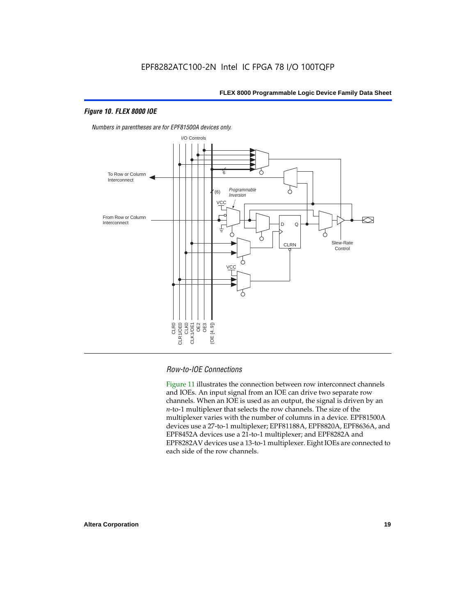# *Figure 10. FLEX 8000 IOE*



*Numbers in parentheses are for EPF81500A devices only.*

# *Row-to-IOE Connections*

Figure 11 illustrates the connection between row interconnect channels and IOEs. An input signal from an IOE can drive two separate row channels. When an IOE is used as an output, the signal is driven by an *n*-to-1 multiplexer that selects the row channels. The size of the multiplexer varies with the number of columns in a device. EPF81500A devices use a 27-to-1 multiplexer; EPF81188A, EPF8820A, EPF8636A, and EPF8452A devices use a 21-to-1 multiplexer; and EPF8282A and EPF8282AV devices use a 13-to-1 multiplexer. Eight IOEs are connected to each side of the row channels.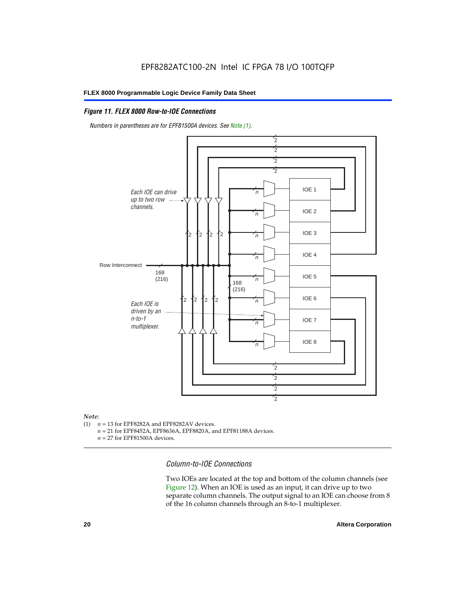# *Figure 11. FLEX 8000 Row-to-IOE Connections*

*Numbers in parentheses are for EPF81500A devices. See Note (1).*



# *Note:*<br>(1) *n*

- $n = 13$  for EPF8282A and EPF8282AV devices.
	- *n* = 21 for EPF8452A, EPF8636A, EPF8820A, and EPF81188A devices.
	- *n* = 27 for EPF81500A devices.

*Column-to-IOE Connections*

Two IOEs are located at the top and bottom of the column channels (see Figure 12). When an IOE is used as an input, it can drive up to two separate column channels. The output signal to an IOE can choose from 8 of the 16 column channels through an 8-to-1 multiplexer.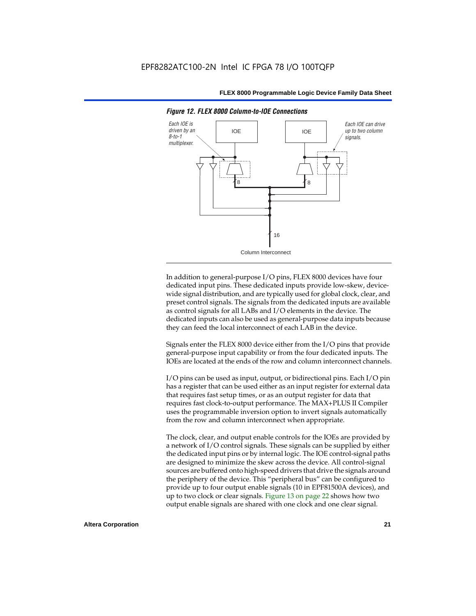

*Figure 12. FLEX 8000 Column-to-IOE Connections*

In addition to general-purpose I/O pins, FLEX 8000 devices have four dedicated input pins. These dedicated inputs provide low-skew, devicewide signal distribution, and are typically used for global clock, clear, and preset control signals. The signals from the dedicated inputs are available as control signals for all LABs and I/O elements in the device. The dedicated inputs can also be used as general-purpose data inputs because they can feed the local interconnect of each LAB in the device.

Signals enter the FLEX 8000 device either from the I/O pins that provide general-purpose input capability or from the four dedicated inputs. The IOEs are located at the ends of the row and column interconnect channels.

I/O pins can be used as input, output, or bidirectional pins. Each I/O pin has a register that can be used either as an input register for external data that requires fast setup times, or as an output register for data that requires fast clock-to-output performance. The MAX+PLUS II Compiler uses the programmable inversion option to invert signals automatically from the row and column interconnect when appropriate.

The clock, clear, and output enable controls for the IOEs are provided by a network of I/O control signals. These signals can be supplied by either the dedicated input pins or by internal logic. The IOE control-signal paths are designed to minimize the skew across the device. All control-signal sources are buffered onto high-speed drivers that drive the signals around the periphery of the device. This "peripheral bus" can be configured to provide up to four output enable signals (10 in EPF81500A devices), and up to two clock or clear signals. Figure 13 on page 22 shows how two output enable signals are shared with one clock and one clear signal.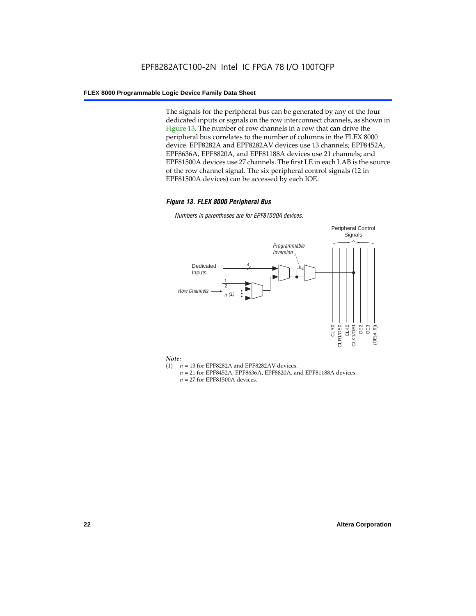The signals for the peripheral bus can be generated by any of the four dedicated inputs or signals on the row interconnect channels, as shown in Figure 13. The number of row channels in a row that can drive the peripheral bus correlates to the number of columns in the FLEX 8000 device. EPF8282A and EPF8282AV devices use 13 channels; EPF8452A, EPF8636A, EPF8820A, and EPF81188A devices use 21 channels; and EPF81500A devices use 27 channels. The first LE in each LAB is the source of the row channel signal. The six peripheral control signals (12 in EPF81500A devices) can be accessed by each IOE.

## *Figure 13. FLEX 8000 Peripheral Bus*

*Numbers in parentheses are for EPF81500A devices.*



#### *Note:*

- (1)  $n = 13$  for EPF8282A and EPF8282AV devices.
	- *n* = 21 for EPF8452A, EPF8636A, EPF8820A, and EPF81188A devices.
	- *n* = 27 for EPF81500A devices.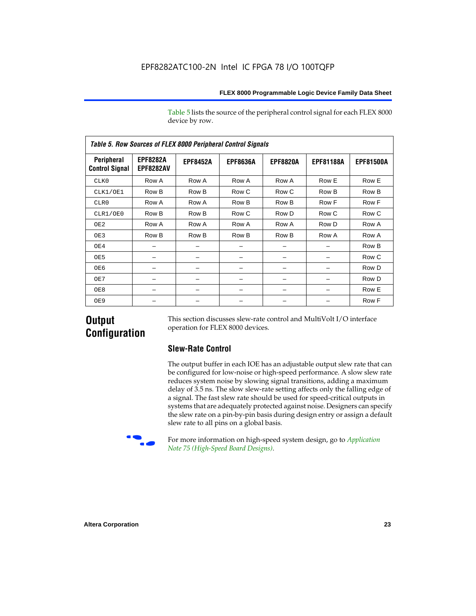Table 5 lists the source of the peripheral control signal for each FLEX 8000 device by row.

| <b>Table 5. Row Sources of FLEX 8000 Peripheral Control Signals</b> |                                     |                 |                 |                 |                  |                  |  |  |  |  |  |
|---------------------------------------------------------------------|-------------------------------------|-----------------|-----------------|-----------------|------------------|------------------|--|--|--|--|--|
| Peripheral<br><b>Control Signal</b>                                 | <b>EPF8282A</b><br><b>EPF8282AV</b> | <b>EPF8452A</b> | <b>EPF8636A</b> | <b>EPF8820A</b> | <b>EPF81188A</b> | <b>EPF81500A</b> |  |  |  |  |  |
| CLK0                                                                | Row A                               | Row A           | Row A           | Row A           | Row E            | Row E            |  |  |  |  |  |
| CLK1/OE1                                                            | Row B                               | Row B           | Row C           | Row C           | Row B            | Row B            |  |  |  |  |  |
| CLR0                                                                | Row A                               | Row A           | Row B           | Row B           | Row F            | Row F            |  |  |  |  |  |
| CLR1/OE0                                                            | Row B                               | Row B           | Row C           | Row D           | Row C            | Row C            |  |  |  |  |  |
| OE <sub>2</sub>                                                     | Row A                               | Row A           | Row A           | Row A           | Row D            | Row A            |  |  |  |  |  |
| OE3                                                                 | Row B                               | Row B           | Row B           | Row B           | Row A            | Row A            |  |  |  |  |  |
| OE4                                                                 |                                     |                 |                 |                 |                  | Row B            |  |  |  |  |  |
| OE5                                                                 |                                     |                 |                 |                 |                  | Row C            |  |  |  |  |  |
| OE6                                                                 |                                     |                 |                 |                 |                  | Row D            |  |  |  |  |  |
| OE7                                                                 |                                     |                 |                 |                 |                  | Row D            |  |  |  |  |  |
| OE8                                                                 |                                     |                 |                 |                 |                  | Row E            |  |  |  |  |  |
| OE9                                                                 |                                     |                 |                 |                 |                  | Row F            |  |  |  |  |  |

# **Output Configuration**

This section discusses slew-rate control and MultiVolt I/O interface operation for FLEX 8000 devices.

# **Slew-Rate Control**

The output buffer in each IOE has an adjustable output slew rate that can be configured for low-noise or high-speed performance. A slow slew rate reduces system noise by slowing signal transitions, adding a maximum delay of 3.5 ns. The slow slew-rate setting affects only the falling edge of a signal. The fast slew rate should be used for speed-critical outputs in systems that are adequately protected against noise. Designers can specify the slew rate on a pin-by-pin basis during design entry or assign a default slew rate to all pins on a global basis.



f For more information on high-speed system design, go to *Application Note 75 (High-Speed Board Designs)*.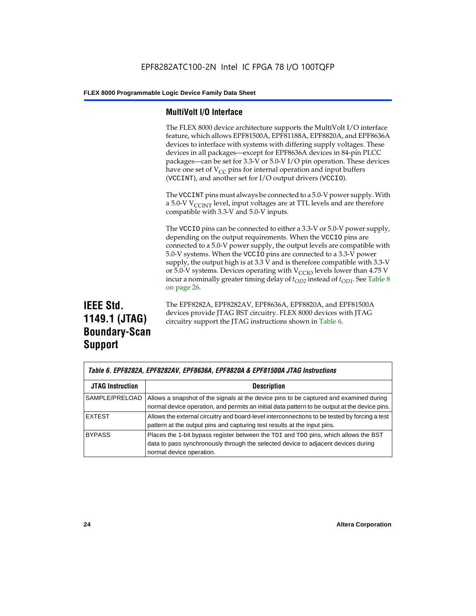# **MultiVolt I/O Interface**

The FLEX 8000 device architecture supports the MultiVolt I/O interface feature, which allows EPF81500A, EPF81188A, EPF8820A, and EPF8636A devices to interface with systems with differing supply voltages. These devices in all packages—except for EPF8636A devices in 84-pin PLCC packages—can be set for 3.3-V or 5.0-V I/O pin operation. These devices have one set of  $V_{CC}$  pins for internal operation and input buffers (VCCINT), and another set for I/O output drivers (VCCIO).

The VCCINT pins must always be connected to a 5.0-V power supply. With a 5.0-V  $V_{\text{CCINT}}$  level, input voltages are at TTL levels and are therefore compatible with 3.3-V and 5.0-V inputs.

The VCCIO pins can be connected to either a 3.3-V or 5.0-V power supply, depending on the output requirements. When the VCCIO pins are connected to a 5.0-V power supply, the output levels are compatible with 5.0-V systems. When the VCCIO pins are connected to a 3.3-V power supply, the output high is at 3.3 V and is therefore compatible with 3.3-V or 5.0-V systems. Devices operating with  $V_{\text{C}CD}$  levels lower than 4.75 V incur a nominally greater timing delay of  $t_{OD2}$  instead of  $t_{OD1}$ . See Table 8 on page 26.

# **IEEE Std. 1149.1 (JTAG) Boundary-Scan Support**

The EPF8282A, EPF8282AV, EPF8636A, EPF8820A, and EPF81500A devices provide JTAG BST circuitry. FLEX 8000 devices with JTAG circuitry support the JTAG instructions shown in Table 6.

| Table 6. EPF8282A, EPF8282AV, EPF8636A, EPF8820A & EPF81500A JTAG Instructions |                                                                                                                                                                                                      |  |  |  |  |
|--------------------------------------------------------------------------------|------------------------------------------------------------------------------------------------------------------------------------------------------------------------------------------------------|--|--|--|--|
| <b>JTAG Instruction</b>                                                        | <b>Description</b>                                                                                                                                                                                   |  |  |  |  |
| SAMPLE/PRELOAD                                                                 | Allows a snapshot of the signals at the device pins to be captured and examined during<br>normal device operation, and permits an initial data pattern to be output at the device pins.              |  |  |  |  |
| <b>EXTEST</b>                                                                  | Allows the external circuitry and board-level interconnections to be tested by forcing a test<br>pattern at the output pins and capturing test results at the input pins.                            |  |  |  |  |
| <b>BYPASS</b>                                                                  | Places the 1-bit bypass register between the TDI and TDO pins, which allows the BST<br>data to pass synchronously through the selected device to adjacent devices during<br>normal device operation. |  |  |  |  |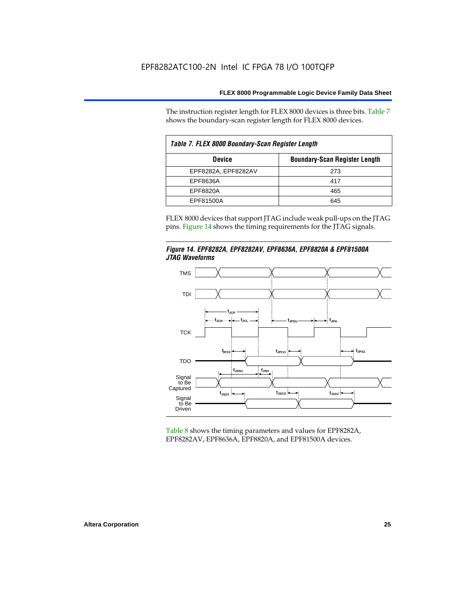The instruction register length for FLEX 8000 devices is three bits. Table 7 shows the boundary-scan register length for FLEX 8000 devices.

| Table 7. FLEX 8000 Boundary-Scan Register Length |                                      |  |  |  |  |  |  |
|--------------------------------------------------|--------------------------------------|--|--|--|--|--|--|
| <b>Device</b>                                    | <b>Boundary-Scan Register Length</b> |  |  |  |  |  |  |
| EPF8282A, EPF8282AV                              | 273                                  |  |  |  |  |  |  |
| EPF8636A                                         | 417                                  |  |  |  |  |  |  |
| EPF8820A                                         | 465                                  |  |  |  |  |  |  |
| EPF81500A                                        | 645                                  |  |  |  |  |  |  |

FLEX 8000 devices that support JTAG include weak pull-ups on the JTAG pins. Figure 14 shows the timing requirements for the JTAG signals.





Table 8 shows the timing parameters and values for EPF8282A, EPF8282AV, EPF8636A, EPF8820A, and EPF81500A devices.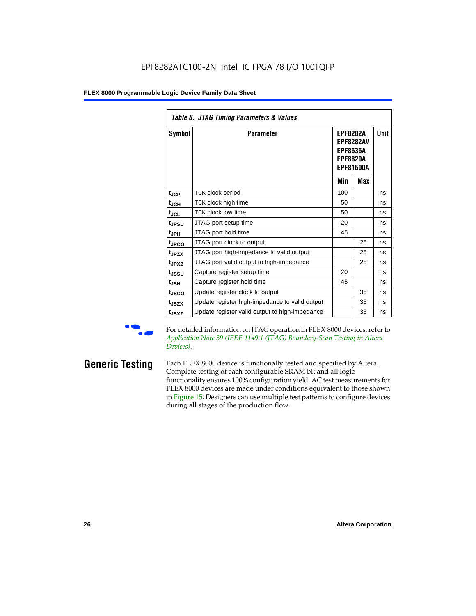|                               | Table 8. JTAG Timing Parameters & Values       |                                                                                               |            |             |  |  |  |  |  |  |
|-------------------------------|------------------------------------------------|-----------------------------------------------------------------------------------------------|------------|-------------|--|--|--|--|--|--|
| Symbol                        | <b>Parameter</b>                               | <b>EPF8282A</b><br><b>EPF8282AV</b><br><b>EPF8636A</b><br><b>EPF8820A</b><br><b>EPF81500A</b> |            | <b>Unit</b> |  |  |  |  |  |  |
|                               |                                                | Min                                                                                           | <b>Max</b> |             |  |  |  |  |  |  |
| $t_{\rm JCP}$                 | TCK clock period                               | 100                                                                                           |            | ns          |  |  |  |  |  |  |
| $\mathfrak{t}_{\mathsf{JCH}}$ | TCK clock high time                            | 50                                                                                            |            | ns          |  |  |  |  |  |  |
| $t_{JCL}$                     | TCK clock low time                             | 50                                                                                            |            | ns          |  |  |  |  |  |  |
| t <sub>JPSU</sub>             | JTAG port setup time                           | 20                                                                                            |            | ns          |  |  |  |  |  |  |
| t <sub>JPH</sub>              | JTAG port hold time                            | 45                                                                                            |            | ns          |  |  |  |  |  |  |
| t <sub>JPCO</sub>             | JTAG port clock to output                      |                                                                                               | 25         | ns          |  |  |  |  |  |  |
| t <sub>JPZX</sub>             | JTAG port high-impedance to valid output       |                                                                                               | 25         | ns          |  |  |  |  |  |  |
| t <sub>JPXZ</sub>             | JTAG port valid output to high-impedance       |                                                                                               | 25         | ns          |  |  |  |  |  |  |
| t <sub>JSSU</sub>             | Capture register setup time                    | 20                                                                                            |            | ns          |  |  |  |  |  |  |
| tjsh                          | Capture register hold time                     | 45                                                                                            |            | ns          |  |  |  |  |  |  |
| t <sub>JSCO</sub>             | Update register clock to output                |                                                                                               | 35         | ns          |  |  |  |  |  |  |
| t <sub>JSZX</sub>             | Update register high-impedance to valid output |                                                                                               | 35         | ns          |  |  |  |  |  |  |
| t <sub>JSXZ</sub>             | Update register valid output to high-impedance |                                                                                               | 35         | ns          |  |  |  |  |  |  |

For detailed information on JTAG operation in FLEX 8000 devices, refer to *Application Note 39 (IEEE 1149.1 (JTAG) Boundary-Scan Testing in Altera Devices)*.

**Generic Testing** Each FLEX 8000 device is functionally tested and specified by Altera. Complete testing of each configurable SRAM bit and all logic functionality ensures 100% configuration yield. AC test measurements for FLEX 8000 devices are made under conditions equivalent to those shown in Figure 15. Designers can use multiple test patterns to configure devices during all stages of the production flow.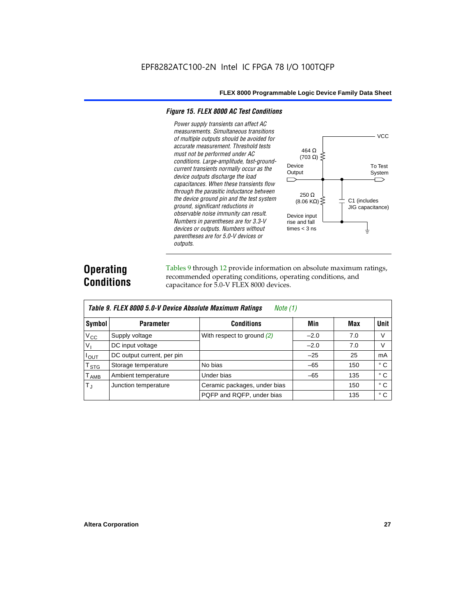#### *Figure 15. FLEX 8000 AC Test Conditions*

*Power supply transients can affect AC measurements. Simultaneous transitions of multiple outputs should be avoided for accurate measurement. Threshold tests*  464 Ω *must not be performed under AC*   $(703 \Omega)$ *conditions. Large-amplitude, fast-ground-*Device *current transients normally occur as the*  **Output** *device outputs discharge the load*   $\Box$ *capacitances. When these transients flow through the parasitic inductance between*  250 Ω *the device ground pin and the test system*   $(8.06 \text{ K}\Omega)$ C1 (includes *ground, significant reductions in*  JIG capacitance) *observable noise immunity can result.*  Device input *Numbers in parentheses are for 3.3-V*  rise and fall *devices or outputs. Numbers without*  times  $<$  3 ns *parentheses are for 5.0-V devices or outputs.*

# **Operating Conditions**

Tables 9 through 12 provide information on absolute maximum ratings, recommended operating conditions, operating conditions, and capacitance for 5.0-V FLEX 8000 devices.

|               | Table 9. FLEX 8000 5.0-V Device Absolute Maximum Ratings<br>Note (1) |                              |        |     |              |  |  |  |  |  |  |  |
|---------------|----------------------------------------------------------------------|------------------------------|--------|-----|--------------|--|--|--|--|--|--|--|
| Symbol        | <b>Parameter</b>                                                     | <b>Conditions</b>            | Min    | Max | <b>Unit</b>  |  |  |  |  |  |  |  |
| $V_{\rm CC}$  | Supply voltage                                                       | With respect to ground (2)   | $-2.0$ | 7.0 | V            |  |  |  |  |  |  |  |
| $V_{1}$       | DC input voltage                                                     |                              | $-2.0$ | 7.0 | V            |  |  |  |  |  |  |  |
| $I_{OUT}$     | DC output current, per pin                                           |                              | $-25$  | 25  | mA           |  |  |  |  |  |  |  |
| $T_{STG}$     | Storage temperature                                                  | No bias                      | $-65$  | 150 | $^{\circ}$ C |  |  |  |  |  |  |  |
| $T_{\rm AMB}$ | Ambient temperature                                                  | Under bias                   | $-65$  | 135 | $^{\circ}$ C |  |  |  |  |  |  |  |
| $T_{\rm J}$   | Junction temperature                                                 | Ceramic packages, under bias |        | 150 | $^{\circ}$ C |  |  |  |  |  |  |  |
|               |                                                                      | PQFP and RQFP, under bias    |        | 135 | ° C          |  |  |  |  |  |  |  |

**VCC** 

To Test System

⌒

╧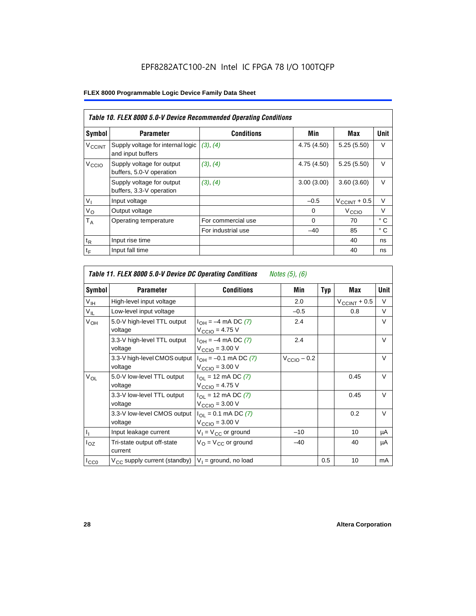|                          | Table 10. FLEX 8000 5.0-V Device Recommended Operating Conditions |                    |             |                          |              |  |  |  |  |  |
|--------------------------|-------------------------------------------------------------------|--------------------|-------------|--------------------------|--------------|--|--|--|--|--|
| Symbol                   | <b>Parameter</b>                                                  | <b>Conditions</b>  | Min         | Max                      | Unit         |  |  |  |  |  |
| <b>V<sub>CCINT</sub></b> | Supply voltage for internal logic<br>and input buffers            | (3), (4)           | 4.75 (4.50) | 5.25(5.50)               | $\vee$       |  |  |  |  |  |
| V <sub>CCIO</sub>        | Supply voltage for output<br>buffers, 5.0-V operation             | (3), (4)           | 4.75 (4.50) | 5.25(5.50)               | $\vee$       |  |  |  |  |  |
|                          | Supply voltage for output<br>buffers, 3.3-V operation             | (3), (4)           | 3.00(3.00)  | 3.60(3.60)               | V            |  |  |  |  |  |
| $V_{I}$                  | Input voltage                                                     |                    | $-0.5$      | $V_{\text{CCINT}} + 0.5$ | $\vee$       |  |  |  |  |  |
| $V_{\rm O}$              | Output voltage                                                    |                    | 0           | V <sub>CCIO</sub>        | $\vee$       |  |  |  |  |  |
| $T_A$                    | Operating temperature                                             | For commercial use | $\Omega$    | 70                       | $^{\circ}$ C |  |  |  |  |  |
|                          |                                                                   | For industrial use | $-40$       | 85                       | $^{\circ}$ C |  |  |  |  |  |
| $t_{R}$                  | Input rise time                                                   |                    |             | 40                       | ns           |  |  |  |  |  |
| $t_F$                    | Input fall time                                                   |                    |             | 40                       | ns           |  |  |  |  |  |

| Table 11. FLEX 8000 5.0-V Device DC Operating Conditions<br>Notes (5), (6) |                                         |                                                                               |                         |            |                       |        |  |  |  |  |
|----------------------------------------------------------------------------|-----------------------------------------|-------------------------------------------------------------------------------|-------------------------|------------|-----------------------|--------|--|--|--|--|
| Symbol                                                                     | <b>Parameter</b>                        | <b>Conditions</b>                                                             | Min                     | <b>Typ</b> | Max                   | Unit   |  |  |  |  |
| $V_{\text{IH}}$                                                            | High-level input voltage                |                                                                               | 2.0                     |            | $V_{\rm CCINT}$ + 0.5 | V      |  |  |  |  |
| $V_{IL}$                                                                   | Low-level input voltage                 |                                                                               | $-0.5$                  |            | 0.8                   | V      |  |  |  |  |
| V <sub>OH</sub>                                                            | 5.0-V high-level TTL output<br>voltage  | $I_{OH} = -4$ mA DC (7)<br>$V_{\text{CCIO}} = 4.75 V$                         | 2.4                     |            |                       | $\vee$ |  |  |  |  |
|                                                                            | 3.3-V high-level TTL output<br>voltage  | $I_{OH} = -4$ mA DC (7)<br>$V_{\text{CCIO}} = 3.00 \text{ V}$                 | 2.4                     |            |                       | $\vee$ |  |  |  |  |
|                                                                            | 3.3-V high-level CMOS output<br>voltage | $I_{OH} = -0.1$ mA DC (7)<br>$V_{\text{CCIO}} = 3.00 \text{ V}$               | $V_{\text{CCIO}} - 0.2$ |            |                       | V      |  |  |  |  |
| $V_{OL}$                                                                   | 5.0-V low-level TTL output<br>voltage   | $I_{\Omega}$ = 12 mA DC (7)<br>$V_{\text{CCIO}} = 4.75 V$                     |                         |            | 0.45                  | V      |  |  |  |  |
|                                                                            | 3.3-V low-level TTL output<br>voltage   | $I_{\text{OI}} = 12 \text{ mA DC } (7)$<br>$V_{\text{CCIO}} = 3.00 \text{ V}$ |                         |            | 0.45                  | $\vee$ |  |  |  |  |
|                                                                            | 3.3-V low-level CMOS output<br>voltage  | $I_{\Omega I} = 0.1$ mA DC (7)<br>$V_{\text{CCIO}} = 3.00 \text{ V}$          |                         |            | 0.2                   | V      |  |  |  |  |
| $I_1$                                                                      | Input leakage current                   | $V_1 = V_{CC}$ or ground                                                      | $-10$                   |            | 10                    | μA     |  |  |  |  |
| $I_{OZ}$                                                                   | Tri-state output off-state<br>current   | $V_{\Omega}$ = $V_{\Omega}$ or ground                                         | $-40$                   |            | 40                    | μA     |  |  |  |  |
| ICCO                                                                       | $V_{CC}$ supply current (standby)       | $V_1$ = ground, no load                                                       |                         | 0.5        | 10                    | mA     |  |  |  |  |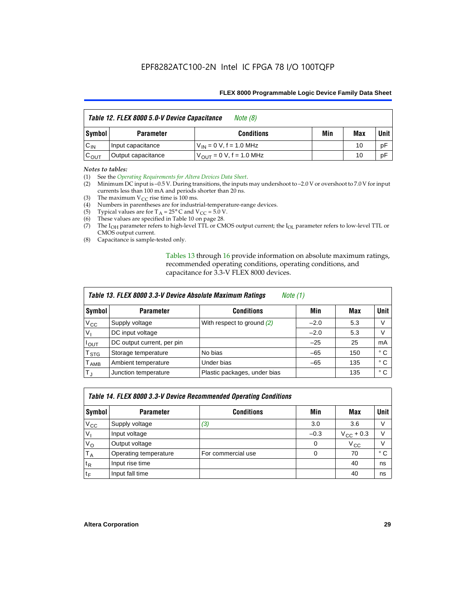|                  | Table 12. FLEX 8000 5.0-V Device Capacitance | Note $(8)$                    |     |     |        |
|------------------|----------------------------------------------|-------------------------------|-----|-----|--------|
| Symbol           | <b>Parameter</b>                             | <b>Conditions</b>             | Min | Max | Unit I |
| $C_{IN}$         | Input capacitance                            | $V_{IN} = 0 V$ , f = 1.0 MHz  |     | 10  | pF     |
| $C_{\text{OUT}}$ | Output capacitance                           | $V_{OIII}$ = 0 V, f = 1.0 MHz |     | 10  | pF     |

#### *Notes to tables:*

(1) See the *Operating Requirements for Altera Devices Data Sheet*.

- (2) Minimum DC input is –0.5 V. During transitions, the inputs may undershoot to –2.0 V or overshoot to 7.0 V for input currents less than 100 mA and periods shorter than 20 ns.
- (3) The maximum  $V_{CC}$  rise time is 100 ms.
- (4) Numbers in parentheses are for industrial-temperature-range devices.
- (5) Typical values are for  $T_A = 25^\circ$  C and  $V_{CC} = 5.0$  V.
- (6) These values are specified in Table 10 on page 28.
- (7) The  $I_{OH}$  parameter refers to high-level TTL or CMOS output current; the  $I_{OL}$  parameter refers to low-level TTL or CMOS output current.
- (8) Capacitance is sample-tested only.

Tables 13 through 16 provide information on absolute maximum ratings, recommended operating conditions, operating conditions, and capacitance for 3.3-V FLEX 8000 devices.

| Table 13. FLEX 8000 3.3-V Device Absolute Maximum Ratings<br><i>Note</i> $(1)$ |                            |                              |        |     |      |  |  |
|--------------------------------------------------------------------------------|----------------------------|------------------------------|--------|-----|------|--|--|
| Symbol                                                                         | <b>Parameter</b>           | <b>Conditions</b>            | Min    | Max | Unit |  |  |
| $V_{CC}$                                                                       | Supply voltage             | With respect to ground $(2)$ | $-2.0$ | 5.3 | V    |  |  |
| V <sub>1</sub>                                                                 | DC input voltage           |                              | $-2.0$ | 5.3 | V    |  |  |
| $I_{\text{OUT}}$                                                               | DC output current, per pin |                              | $-25$  | 25  | mA   |  |  |
| T <sub>STG</sub>                                                               | Storage temperature        | No bias                      | $-65$  | 150 | ° C  |  |  |
| <b>T</b> <sub>AMB</sub>                                                        | Ambient temperature        | Under bias                   | $-65$  | 135 | ° C  |  |  |
| $T_J$                                                                          | Junction temperature       | Plastic packages, under bias |        | 135 | ° C  |  |  |

|              | Table 14. FLEX 8000 3.3-V Device Recommended Operating Conditions |                    |          |                    |        |  |  |  |
|--------------|-------------------------------------------------------------------|--------------------|----------|--------------------|--------|--|--|--|
| Symbol       | <b>Parameter</b>                                                  | <b>Conditions</b>  | Min      | Max                | Unit I |  |  |  |
| $V_{\rm CC}$ | Supply voltage                                                    | (3)                | 3.0      | 3.6                | V      |  |  |  |
| $V_{1}$      | Input voltage                                                     |                    | $-0.3$   | $V_{\rm CC}$ + 0.3 | $\vee$ |  |  |  |
| $V_{\rm O}$  | Output voltage                                                    |                    | $\Omega$ | $V_{\rm CC}$       | $\vee$ |  |  |  |
| $T_A$        | Operating temperature                                             | For commercial use | 0        | 70                 | ۰c     |  |  |  |
| $t_{R}$      | Input rise time                                                   |                    |          | 40                 | ns     |  |  |  |
| $t_F$        | Input fall time                                                   |                    |          | 40                 | ns     |  |  |  |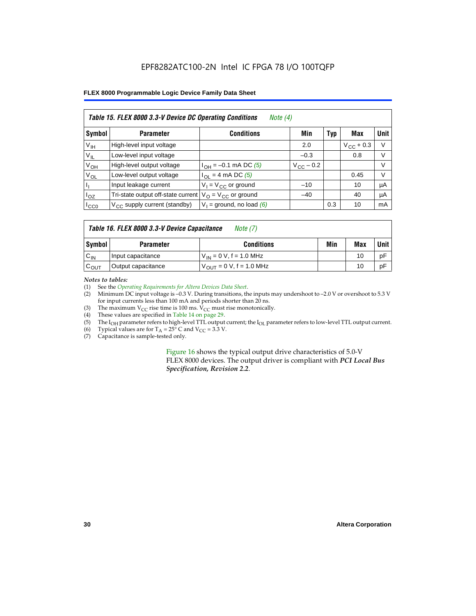# EPF8282ATC100-2N Intel IC FPGA 78 I/O 100TQFP

#### **FLEX 8000 Programmable Logic Device Family Data Sheet**

| Table 15. FLEX 8000 3.3-V Device DC Operating Conditions<br>Note $(4)$ |                                          |                                          |                    |     |                    |        |  |  |  |
|------------------------------------------------------------------------|------------------------------------------|------------------------------------------|--------------------|-----|--------------------|--------|--|--|--|
| Symbol                                                                 | <b>Parameter</b>                         | <b>Conditions</b>                        | Min                | Typ | Max                | Unit   |  |  |  |
| V <sub>IH</sub>                                                        | High-level input voltage                 |                                          | 2.0                |     | $V_{\rm CC}$ + 0.3 | $\vee$ |  |  |  |
| $V_{IL}$                                                               | Low-level input voltage                  |                                          | $-0.3$             |     | 0.8                | V      |  |  |  |
| $V_{OH}$                                                               | High-level output voltage                | $I_{OH} = -0.1$ mA DC (5)                | $V_{\rm CC}$ – 0.2 |     |                    | V      |  |  |  |
| $V_{OL}$                                                               | Low-level output voltage                 | $I_{OL}$ = 4 mA DC (5)                   |                    |     | 0.45               | V      |  |  |  |
| П                                                                      | Input leakage current                    | $V_1 = V_{CC}$ or ground                 | $-10$              |     | 10                 | μA     |  |  |  |
| $I_{OZ}$                                                               | Tri-state output off-state current       | $V_{\text{O}} = V_{\text{CC}}$ or ground | $-40$              |     | 40                 | μA     |  |  |  |
| ICCO                                                                   | $V_{\text{CC}}$ supply current (standby) | $V_1$ = ground, no load (6)              |                    | 0.3 | 10                 | mA     |  |  |  |

# *Table 16. FLEX 8000 3.3-V Device Capacitance Note (7)*

| Symbol           | <b>Parameter</b>   | <b>Conditions</b>                   | Min | Max | Unit |
|------------------|--------------------|-------------------------------------|-----|-----|------|
| $C_{IN}$         | Input capacitance  | $V_{IN} = 0 V$ , f = 1.0 MHz        |     | 10  | рF   |
| $c_{\text{OUT}}$ | Output capacitance | $V_{\text{OUT}} = 0 V, f = 1.0 MHz$ |     | 10  | рF   |

#### *Notes to tables:*

(1) See the *Operating Requirements for Altera Devices Data Sheet*.

- (2) Minimum DC input voltage is –0.3 V. During transitions, the inputs may undershoot to –2.0 V or overshoot to 5.3 V for input currents less than 100 mA and periods shorter than 20 ns.
- (3) The maximum  $V_{CC}$  rise time is 100 ms.  $V_{CC}$  must rise monotonically.<br>(4) These values are specified in Table 14 on page 29.
- These values are specified in Table 14 on page 29.
- (5) The I<sub>OH</sub> parameter refers to high-level TTL output current; the I<sub>OL</sub> parameter refers to low-level TTL output current.<br>(6) Typical values are for T<sub>A</sub> = 25° C and V<sub>CC</sub> = 3.3 V.
- (6) Typical values are for  $T_A = 25^\circ$  C and  $V_{CC} = 3.3$  V.<br>(7) Capacitance is sample-tested only.
- Capacitance is sample-tested only.

Figure 16 shows the typical output drive characteristics of 5.0-V FLEX 8000 devices. The output driver is compliant with *PCI Local Bus Specification, Revision 2.2*.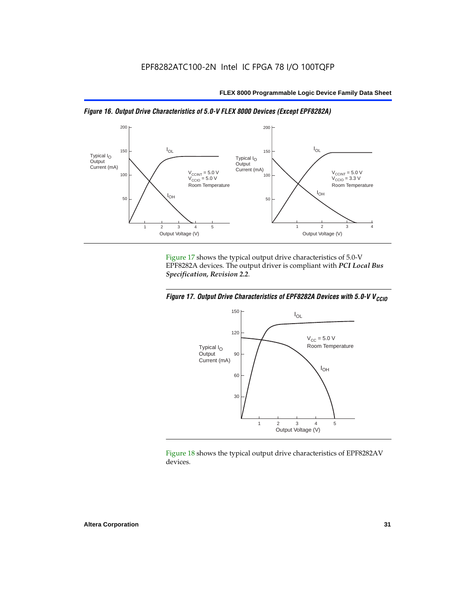



Figure 17 shows the typical output drive characteristics of 5.0-V EPF8282A devices. The output driver is compliant with *PCI Local Bus Specification, Revision 2.2*.





Figure 18 shows the typical output drive characteristics of EPF8282AV devices.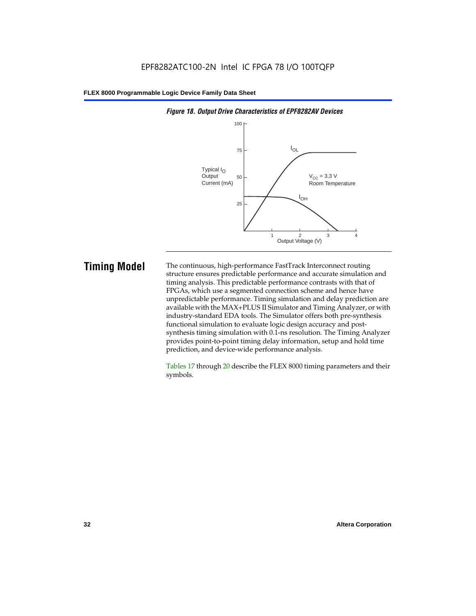

#### *Figure 18. Output Drive Characteristics of EPF8282AV Devices*

**Timing Model** The continuous, high-performance FastTrack Interconnect routing structure ensures predictable performance and accurate simulation and timing analysis. This predictable performance contrasts with that of FPGAs, which use a segmented connection scheme and hence have unpredictable performance. Timing simulation and delay prediction are available with the MAX+PLUS II Simulator and Timing Analyzer, or with industry-standard EDA tools. The Simulator offers both pre-synthesis functional simulation to evaluate logic design accuracy and postsynthesis timing simulation with 0.1-ns resolution. The Timing Analyzer provides point-to-point timing delay information, setup and hold time prediction, and device-wide performance analysis.

> Tables 17 through 20 describe the FLEX 8000 timing parameters and their symbols.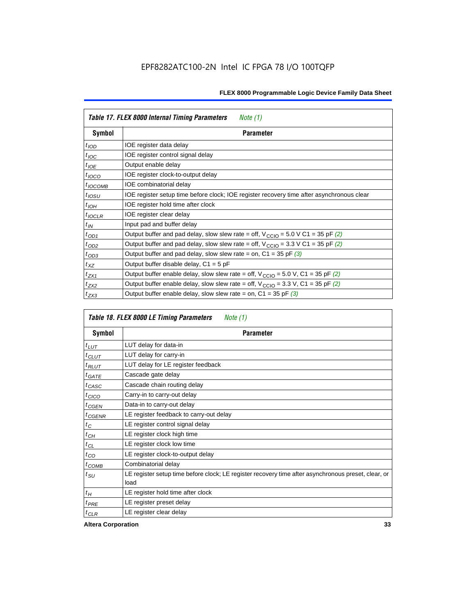| Table 17. FLEX 8000 Internal Timing Parameters<br>Note $(1)$ |                                                                                                              |  |  |  |
|--------------------------------------------------------------|--------------------------------------------------------------------------------------------------------------|--|--|--|
| Symbol                                                       | <b>Parameter</b>                                                                                             |  |  |  |
| $t_{\text{IOD}}$                                             | IOE register data delay                                                                                      |  |  |  |
| $t_{\text{IOC}}$                                             | IOE register control signal delay                                                                            |  |  |  |
| $t_{IOE}$                                                    | Output enable delay                                                                                          |  |  |  |
| $t_{IOCO}$                                                   | IOE register clock-to-output delay                                                                           |  |  |  |
| $t_{IOCOMB}$                                                 | IOE combinatorial delay                                                                                      |  |  |  |
| $t_{IOSU}$                                                   | IOE register setup time before clock; IOE register recovery time after asynchronous clear                    |  |  |  |
| $t_{IOH}$                                                    | IOE register hold time after clock                                                                           |  |  |  |
| $t_{IOCLR}$                                                  | IOE register clear delay                                                                                     |  |  |  |
| $t_{IN}$                                                     | Input pad and buffer delay                                                                                   |  |  |  |
| $t_{OD1}$                                                    | Output buffer and pad delay, slow slew rate = off, $V_{\text{CCIO}} = 5.0 \text{ V C1} = 35 \text{ pF } (2)$ |  |  |  |
| $t_{OD2}$                                                    | Output buffer and pad delay, slow slew rate = off, $V_{\text{CCIO}} = 3.3 \text{ V C1} = 35 \text{ pF } (2)$ |  |  |  |
| $t_{OD3}$                                                    | Output buffer and pad delay, slow slew rate = on, $C1 = 35$ pF (3)                                           |  |  |  |
| $t_{XZ}$                                                     | Output buffer disable delay, $C1 = 5$ pF                                                                     |  |  |  |
| $t_{ZX1}$                                                    | Output buffer enable delay, slow slew rate = off, $V_{\text{CCIO}} = 5.0$ V, C1 = 35 pF (2)                  |  |  |  |
| $t_{ZX2}$                                                    | Output buffer enable delay, slow slew rate = off, $V_{\text{CCIO}} = 3.3$ V, C1 = 35 pF (2)                  |  |  |  |
| $t_{ZX3}$                                                    | Output buffer enable delay, slow slew rate = on, $C1 = 35$ pF (3)                                            |  |  |  |

| Table 18. FLEX 8000 LE Timing Parameters<br>Note (1) |                                                                                                             |  |  |  |
|------------------------------------------------------|-------------------------------------------------------------------------------------------------------------|--|--|--|
| Symbol                                               | Parameter                                                                                                   |  |  |  |
| $t_{LUT}$                                            | LUT delay for data-in                                                                                       |  |  |  |
| $t_{CLUT}$                                           | LUT delay for carry-in                                                                                      |  |  |  |
| $t_{RLUT}$                                           | LUT delay for LE register feedback                                                                          |  |  |  |
| $t$ GATE                                             | Cascade gate delay                                                                                          |  |  |  |
| $t_{CASC}$                                           | Cascade chain routing delay                                                                                 |  |  |  |
| $t_{CICO}$                                           | Carry-in to carry-out delay                                                                                 |  |  |  |
| $t_{GEN}$                                            | Data-in to carry-out delay                                                                                  |  |  |  |
| ${}^{t}$ CGENR                                       | LE register feedback to carry-out delay                                                                     |  |  |  |
| $t_C$                                                | LE register control signal delay                                                                            |  |  |  |
| $t_{CH}$                                             | LE register clock high time                                                                                 |  |  |  |
| $t_{CL}$                                             | LE register clock low time                                                                                  |  |  |  |
| $t_{CO}$                                             | LE register clock-to-output delay                                                                           |  |  |  |
| $t$ <sub>COMB</sub>                                  | Combinatorial delay                                                                                         |  |  |  |
| t <sub>SU</sub>                                      | LE register setup time before clock; LE register recovery time after asynchronous preset, clear, or<br>load |  |  |  |
| $t_H$                                                | LE register hold time after clock                                                                           |  |  |  |
| $t_{PRE}$                                            | LE register preset delay                                                                                    |  |  |  |
| $t_{CLR}$                                            | LE register clear delay                                                                                     |  |  |  |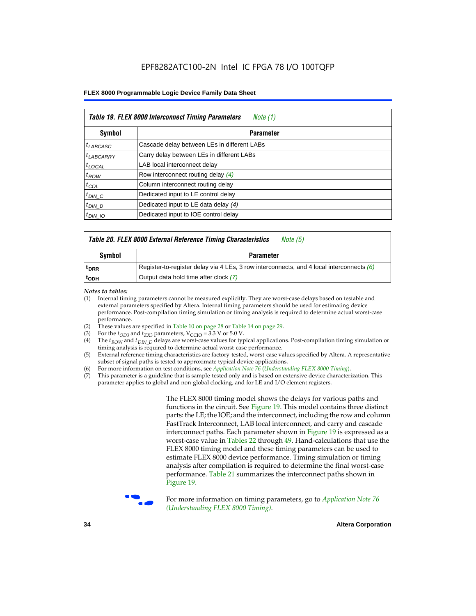| Table 19. FLEX 8000 Interconnect Timing Parameters<br>Note (1) |                                             |  |  |  |  |
|----------------------------------------------------------------|---------------------------------------------|--|--|--|--|
| Symbol                                                         | <b>Parameter</b>                            |  |  |  |  |
| <sup>t</sup> LABCASC                                           | Cascade delay between LEs in different LABs |  |  |  |  |
| $t_{LABCARRY}$                                                 | Carry delay between LEs in different LABs   |  |  |  |  |
| $t_{\text{LOCAL}}$                                             | LAB local interconnect delay                |  |  |  |  |
| $t_{ROW}$                                                      | Row interconnect routing delay (4)          |  |  |  |  |
| $t_{COL}$                                                      | Column interconnect routing delay           |  |  |  |  |
| $t_{DIN}$ $C$                                                  | Dedicated input to LE control delay         |  |  |  |  |
| $t_{DIN}$ D                                                    | Dedicated input to LE data delay (4)        |  |  |  |  |
| $t_{DIN}$ 10                                                   | Dedicated input to IOE control delay        |  |  |  |  |

# *Table 20. FLEX 8000 External Reference Timing Characteristics Note (5)*

| Symbol           | <b>Parameter</b>                                                                           |  |  |  |  |
|------------------|--------------------------------------------------------------------------------------------|--|--|--|--|
| <sup>T</sup> DRR | Register-to-register delay via 4 LEs, 3 row interconnects, and 4 local interconnects $(6)$ |  |  |  |  |
| <sup>T</sup> ODH | Output data hold time after clock (7)                                                      |  |  |  |  |

*Notes to tables:*

- (1) Internal timing parameters cannot be measured explicitly. They are worst-case delays based on testable and external parameters specified by Altera. Internal timing parameters should be used for estimating device performance. Post-compilation timing simulation or timing analysis is required to determine actual worst-case performance.
- (2) These values are specified in Table 10 on page 28 or Table 14 on page 29.<br>(3) For the  $t_{OD3}$  and  $t_{ZX3}$  parameters,  $V_{CCIO} = 3.3$  V or 5.0 V.
- (3) For the  $t_{OD3}$  and  $t_{ZX3}$  parameters,  $V_{CCIO} = 3.3$  V or 5.0 V.<br>(4) The  $t_{ROM}$  and  $t_{DIN}$   $_D$  delays are worst-case values for type
- The *t<sub>ROW</sub>* and *t<sub>DIN\_D</sub>* delays are worst-case values for typical applications. Post-compilation timing simulation or timing analysis is required to determine actual worst-case performance.
- (5) External reference timing characteristics are factory-tested, worst-case values specified by Altera. A representative subset of signal paths is tested to approximate typical device applications.
- (6) For more information on test conditions, see *Application Note 76* (*Understanding FLEX 8000 Timing*).
- (7) This parameter is a guideline that is sample-tested only and is based on extensive device characterization. This parameter applies to global and non-global clocking, and for LE and I/O element registers.

The FLEX 8000 timing model shows the delays for various paths and functions in the circuit. See Figure 19. This model contains three distinct parts: the LE; the IOE; and the interconnect, including the row and column FastTrack Interconnect, LAB local interconnect, and carry and cascade interconnect paths. Each parameter shown in Figure 19 is expressed as a worst-case value in Tables 22 through 49. Hand-calculations that use the FLEX 8000 timing model and these timing parameters can be used to estimate FLEX 8000 device performance. Timing simulation or timing analysis after compilation is required to determine the final worst-case performance. Table 21 summarizes the interconnect paths shown in Figure 19.



f For more information on timing parameters, go to *Application Note 76 (Understanding FLEX 8000 Timing)*.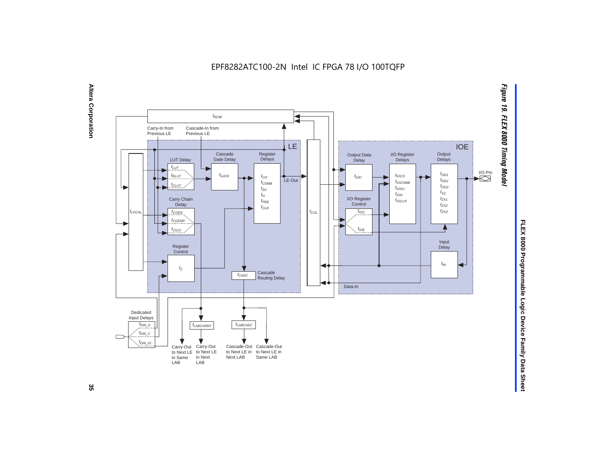EPF8282ATC100-2N Intel IC FPGA 78 I/O 100TQFP





FLEX 8000 Programmable Logic Device Family Data Sheet **FLEX 8000 Programmable Logic Device Family Data Sheet**

ပ္တ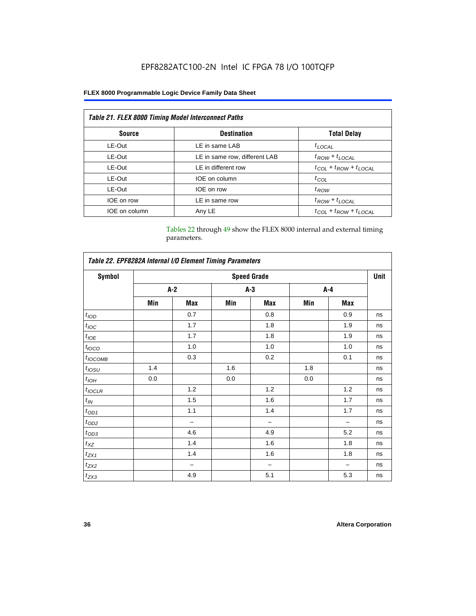# EPF8282ATC100-2N Intel IC FPGA 78 I/O 100TQFP

# **FLEX 8000 Programmable Logic Device Family Data Sheet**

| Table 21. FLEX 8000 Timing Model Interconnect Paths |                               |                                 |  |  |  |  |
|-----------------------------------------------------|-------------------------------|---------------------------------|--|--|--|--|
| <b>Source</b>                                       | <b>Destination</b>            | <b>Total Delay</b>              |  |  |  |  |
| LE-Out                                              | LE in same LAB                | $t_{LOCAL}$                     |  |  |  |  |
| LE-Out                                              | LE in same row, different LAB | $t_{ROW} + t_{LOCAL}$           |  |  |  |  |
| LE-Out                                              | LE in different row           | $t_{COL} + t_{ROW} + t_{LOCAL}$ |  |  |  |  |
| LE-Out                                              | IOE on column                 | $t_{COL}$                       |  |  |  |  |
| LE-Out                                              | IOE on row                    | $t_{\mathit{ROW}}$              |  |  |  |  |
| IOE on row                                          | LE in same row                | $t_{ROW} + t_{LOCAL}$           |  |  |  |  |
| IOE on column                                       | Any LE                        | $t_{COL} + t_{ROW} + t_{LOCAL}$ |  |  |  |  |

Tables 22 through 49 show the FLEX 8000 internal and external timing parameters.

| Table 22. EPF8282A Internal I/O Element Timing Parameters |                    |                          |       |     |         |     |    |  |  |
|-----------------------------------------------------------|--------------------|--------------------------|-------|-----|---------|-----|----|--|--|
| <b>Symbol</b>                                             | <b>Speed Grade</b> |                          |       |     |         |     |    |  |  |
|                                                           |                    | $A-2$                    | $A-3$ |     | $A - 4$ |     |    |  |  |
|                                                           | Min                | Max                      | Min   | Max | Min     | Max |    |  |  |
| t <sub>IOD</sub>                                          |                    | 0.7                      |       | 0.8 |         | 0.9 | ns |  |  |
| $t_{\text{IOC}}$                                          |                    | 1.7                      |       | 1.8 |         | 1.9 | ns |  |  |
| $t_{IOE}$                                                 |                    | 1.7                      |       | 1.8 |         | 1.9 | ns |  |  |
| $t_{IOCO}$                                                |                    | 1.0                      |       | 1.0 |         | 1.0 | ns |  |  |
| $t_{IOCOMB}$                                              |                    | 0.3                      |       | 0.2 |         | 0.1 | ns |  |  |
| $t_{IOSU}$                                                | 1.4                |                          | 1.6   |     | 1.8     |     | ns |  |  |
| $t_{IOH}$                                                 | 0.0                |                          | 0.0   |     | 0.0     |     | ns |  |  |
| $t_{IOCLR}$                                               |                    | 1.2                      |       | 1.2 |         | 1.2 | ns |  |  |
| $t_{I\!N}$                                                |                    | 1.5                      |       | 1.6 |         | 1.7 | ns |  |  |
| $t_{OD1}$                                                 |                    | 1.1                      |       | 1.4 |         | 1.7 | ns |  |  |
| $t_{OD2}$                                                 |                    | $\overline{\phantom{0}}$ |       | -   |         |     | ns |  |  |
| $t_{0D3}$                                                 |                    | 4.6                      |       | 4.9 |         | 5.2 | ns |  |  |
| $t_{XZ}$                                                  |                    | 1.4                      |       | 1.6 |         | 1.8 | ns |  |  |
| $t_{ZX1}$                                                 |                    | 1.4                      |       | 1.6 |         | 1.8 | ns |  |  |
| $t_{ZX2}$                                                 |                    | -                        |       | -   |         |     | ns |  |  |
| $t_{ZX3}$                                                 |                    | 4.9                      |       | 5.1 |         | 5.3 | ns |  |  |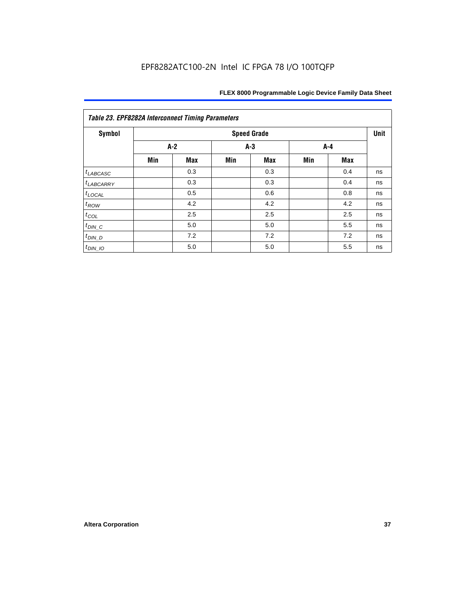| Table 23. EPF8282A Interconnect Timing Parameters |       |            |       |                    |     |     |      |  |  |
|---------------------------------------------------|-------|------------|-------|--------------------|-----|-----|------|--|--|
| Symbol                                            |       |            |       | <b>Speed Grade</b> |     |     | Unit |  |  |
|                                                   | $A-2$ |            | $A-3$ |                    | A-4 |     |      |  |  |
|                                                   | Min   | <b>Max</b> | Min   | <b>Max</b>         | Min | Max |      |  |  |
| $t_{LABCASC}$                                     |       | 0.3        |       | 0.3                |     | 0.4 | ns   |  |  |
| <sup>t</sup> LABCARRY                             |       | 0.3        |       | 0.3                |     | 0.4 | ns   |  |  |
| $t_{\text{LOCAL}}$                                |       | 0.5        |       | 0.6                |     | 0.8 | ns   |  |  |
| $t_{ROW}$                                         |       | 4.2        |       | 4.2                |     | 4.2 | ns   |  |  |
| $t_{COL}$                                         |       | 2.5        |       | 2.5                |     | 2.5 | ns   |  |  |
| $t_{DIN\_C}$                                      |       | 5.0        |       | 5.0                |     | 5.5 | ns   |  |  |
| $t_{DIN\_D}$                                      |       | 7.2        |       | 7.2                |     | 7.2 | ns   |  |  |
| $t_{DIN\_IO}$                                     |       | 5.0        |       | 5.0                |     | 5.5 | ns   |  |  |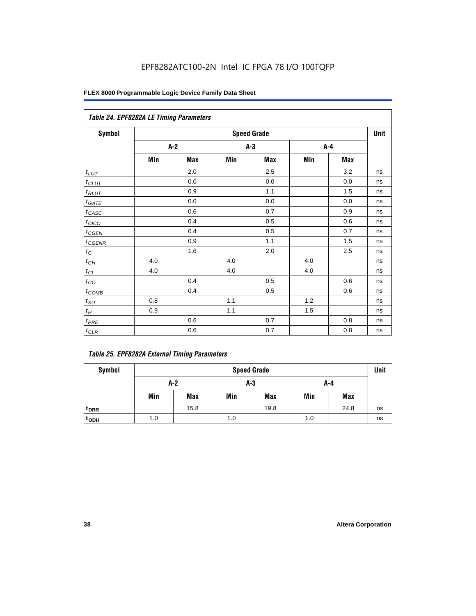|                       | Table 24. EPF8282A LE Timing Parameters |       |     |                    |     |       |             |  |  |  |
|-----------------------|-----------------------------------------|-------|-----|--------------------|-----|-------|-------------|--|--|--|
| Symbol                |                                         |       |     | <b>Speed Grade</b> |     |       | <b>Unit</b> |  |  |  |
|                       |                                         | $A-2$ |     | $A-3$              |     | $A-4$ |             |  |  |  |
|                       | Min                                     | Max   | Min | Max                | Min | Max   |             |  |  |  |
| $t_{L\underline{UT}}$ |                                         | 2.0   |     | 2.5                |     | 3.2   | ns          |  |  |  |
| $t$ CLUT              |                                         | 0.0   |     | 0.0                |     | 0.0   | ns          |  |  |  |
| $t_{RLUT}$            |                                         | 0.9   |     | 1.1                |     | 1.5   | ns          |  |  |  |
| $t_{GATE}$            |                                         | 0.0   |     | 0.0                |     | 0.0   | ns          |  |  |  |
| $t_{CASC}$            |                                         | 0.6   |     | 0.7                |     | 0.9   | ns          |  |  |  |
| $t_{CICO}$            |                                         | 0.4   |     | 0.5                |     | 0.6   | ns          |  |  |  |
| $t_{CGEN}$            |                                         | 0.4   |     | 0.5                |     | 0.7   | ns          |  |  |  |
| $t_{CGENR}$           |                                         | 0.9   |     | 1.1                |     | 1.5   | ns          |  |  |  |
| $t_C\,$               |                                         | 1.6   |     | 2.0                |     | 2.5   | ns          |  |  |  |
| $t_{CH}$              | 4.0                                     |       | 4.0 |                    | 4.0 |       | ns          |  |  |  |
| $t_{CL}$              | 4.0                                     |       | 4.0 |                    | 4.0 |       | ns          |  |  |  |
| $t_{CQ}$              |                                         | 0.4   |     | 0.5                |     | 0.6   | ns          |  |  |  |
| $t_{\text{COMB}}$     |                                         | 0.4   |     | 0.5                |     | 0.6   | ns          |  |  |  |
| $t_{\text{SU}}$       | 0.8                                     |       | 1.1 |                    | 1.2 |       | ns          |  |  |  |
| $t_H\,$               | 0.9                                     |       | 1.1 |                    | 1.5 |       | ns          |  |  |  |
| $t_{PRE}$             |                                         | 0.6   |     | 0.7                |     | 0.8   | ns          |  |  |  |
| $t_{CLR}$             |                                         | 0.6   |     | $0.7\,$            |     | 0.8   | ns          |  |  |  |

|  |  | <b>Table 25. EPF8282A External Timing Parameters</b> |
|--|--|------------------------------------------------------|
|  |  |                                                      |

| Symbol           |     | <b>Speed Grade</b> |     |      |     |            |    |  |  |
|------------------|-----|--------------------|-----|------|-----|------------|----|--|--|
|                  |     | A-2                | A-4 |      |     |            |    |  |  |
|                  | Min | <b>Max</b>         | Min | Max  | Min | <b>Max</b> |    |  |  |
| t <sub>DRR</sub> |     | 15.8               |     | 19.8 |     | 24.8       | ns |  |  |
| t <sub>ODH</sub> | 1.0 |                    | 1.0 |      | 1.0 |            | ns |  |  |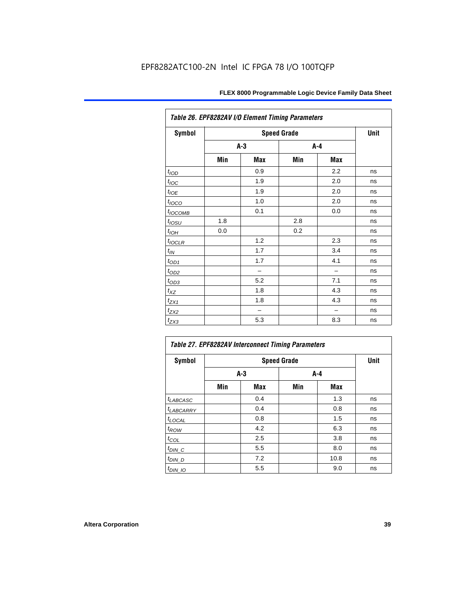| Table 26. EPF8282AV I/O Element Timing Parameters |     |             |     |       |    |  |  |  |
|---------------------------------------------------|-----|-------------|-----|-------|----|--|--|--|
| <b>Symbol</b>                                     |     | <b>Unit</b> |     |       |    |  |  |  |
|                                                   |     | $A-3$       |     | $A-4$ |    |  |  |  |
|                                                   | Min | Max         | Min | Max   |    |  |  |  |
| t <sub>IOD</sub>                                  |     | 0.9         |     | 2.2   | ns |  |  |  |
| $t_{\text{loc}}$                                  |     | 1.9         |     | 2.0   | ns |  |  |  |
| $t_{IOE}$                                         |     | 1.9         |     | 2.0   | ns |  |  |  |
| $t_{IOCO}$                                        |     | 1.0         |     | 2.0   | ns |  |  |  |
| t <sub>IOCOMB</sub>                               |     | 0.1         |     | 0.0   | ns |  |  |  |
| $t_{IOSU}$                                        | 1.8 |             | 2.8 |       | ns |  |  |  |
| $t_{IOH}$                                         | 0.0 |             | 0.2 |       | ns |  |  |  |
| $t_{IOCLR}$                                       |     | 1.2         |     | 2.3   | ns |  |  |  |
| $t_{\mathit{IN}}$                                 |     | 1.7         |     | 3.4   | ns |  |  |  |
| $t_{OD1}$                                         |     | 1.7         |     | 4.1   | ns |  |  |  |
| $t_{OD2}$                                         |     | -           |     |       | ns |  |  |  |
| $t_{OD3}$                                         |     | 5.2         |     | 7.1   | ns |  |  |  |
| $t_{XZ}$                                          |     | 1.8         |     | 4.3   | ns |  |  |  |
| $t_{ZX1}$                                         |     | 1.8         |     | 4.3   | ns |  |  |  |
| $t_{ZX2}$                                         |     |             |     |       | ns |  |  |  |
| $t_{ZX3}$                                         |     | 5.3         |     | 8.3   | ns |  |  |  |

| Table 27. EPF8282AV Interconnect Timing Parameters |     |             |       |      |    |  |  |  |  |
|----------------------------------------------------|-----|-------------|-------|------|----|--|--|--|--|
| <b>Symbol</b>                                      |     | <b>Unit</b> |       |      |    |  |  |  |  |
|                                                    |     | $A-3$       | $A-4$ |      |    |  |  |  |  |
|                                                    | Min | Max         | Min   | Max  |    |  |  |  |  |
| $t_{LABCASC}$                                      |     | 0.4         |       | 1.3  | ns |  |  |  |  |
| t <sub>LABCARRY</sub>                              |     | 0.4         |       | 0.8  | ns |  |  |  |  |
| $t_{\text{LOCAL}}$                                 |     | 0.8         |       | 1.5  | ns |  |  |  |  |
| $t_{ROW}$                                          |     | 4.2         |       | 6.3  | ns |  |  |  |  |
| $t_{COL}$                                          |     | 2.5         |       | 3.8  | ns |  |  |  |  |
| $t_{DI\underline{N}C}$                             |     | 5.5         |       | 8.0  | ns |  |  |  |  |
| $t_{DIN\_D}$                                       |     | 7.2         |       | 10.8 | ns |  |  |  |  |
| $t_{DIN\_IO}$                                      |     | 5.5         |       | 9.0  | ns |  |  |  |  |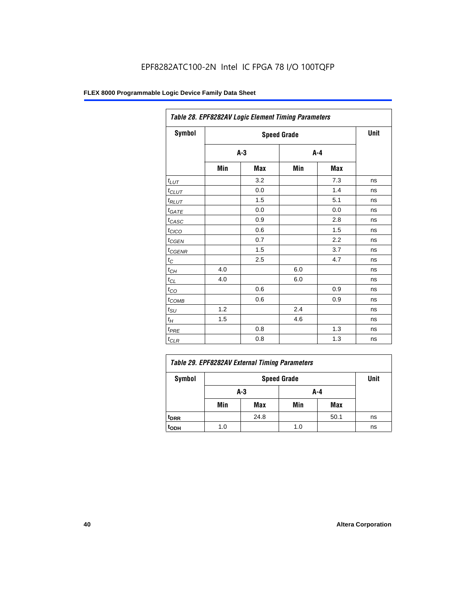| Table 28. EPF8282AV Logic Element Timing Parameters |     |       |     |         |    |  |  |  |
|-----------------------------------------------------|-----|-------|-----|---------|----|--|--|--|
| Symbol                                              |     | Unit  |     |         |    |  |  |  |
|                                                     |     | $A-3$ |     | $A - 4$ |    |  |  |  |
|                                                     | Min | Max   | Min | Max     |    |  |  |  |
| $t_{LUT}$                                           |     | 3.2   |     | 7.3     | ns |  |  |  |
| $t_{CLUT}$                                          |     | 0.0   |     | 1.4     | ns |  |  |  |
| $t_{RLUT}$                                          |     | 1.5   |     | 5.1     | ns |  |  |  |
| $t_{GATE}$                                          |     | 0.0   |     | 0.0     | ns |  |  |  |
| $t_{CASC}$                                          |     | 0.9   |     | 2.8     | ns |  |  |  |
| $t_{CICO}$                                          |     | 0.6   |     | 1.5     | ns |  |  |  |
| $t_{\text{GEN}}$                                    |     | 0.7   |     | 2.2     | ns |  |  |  |
| $t_{\text{GENR}}$                                   |     | 1.5   |     | 3.7     | ns |  |  |  |
| $t_C$                                               |     | 2.5   |     | 4.7     | ns |  |  |  |
| $t_{CH}$                                            | 4.0 |       | 6.0 |         | ns |  |  |  |
| $t_{CL}$                                            | 4.0 |       | 6.0 |         | ns |  |  |  |
| $t_{CO}$                                            |     | 0.6   |     | 0.9     | ns |  |  |  |
| $t_{COMB}$                                          |     | 0.6   |     | 0.9     | ns |  |  |  |
| $t_{\text{SU}}$                                     | 1.2 |       | 2.4 |         | ns |  |  |  |
| $t_H$                                               | 1.5 |       | 4.6 |         | ns |  |  |  |
| $t_{PRE}$                                           |     | 0.8   |     | 1.3     | ns |  |  |  |
| $t_{CLR}$                                           |     | 0.8   |     | 1.3     | ns |  |  |  |

| Table 29. EPF8282AV External Timing Parameters |     |      |     |      |    |  |  |
|------------------------------------------------|-----|------|-----|------|----|--|--|
| Symbol                                         |     | Unit |     |      |    |  |  |
|                                                |     | A-3  | A-4 |      |    |  |  |
|                                                | Min | Max  | Min | Max  |    |  |  |
| <sup>t</sup> DRR                               |     | 24.8 |     | 50.1 | ns |  |  |
| t <sub>орн</sub>                               | 1.0 |      | 1.0 |      | ns |  |  |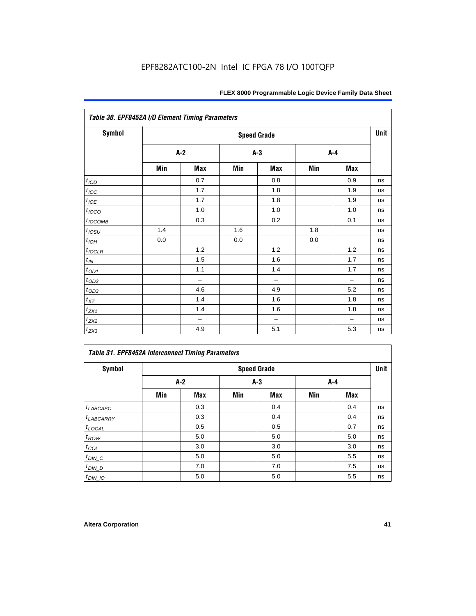| Table 30. EPF8452A I/O Element Timing Parameters |     |                    |     |                          |     |                          |    |  |  |  |
|--------------------------------------------------|-----|--------------------|-----|--------------------------|-----|--------------------------|----|--|--|--|
| Symbol                                           |     | <b>Speed Grade</b> |     |                          |     |                          |    |  |  |  |
|                                                  |     | $A-2$              |     | $A-3$                    |     | $A-4$                    |    |  |  |  |
|                                                  | Min | Max                | Min | Max                      | Min | Max                      |    |  |  |  |
| t <sub>IOD</sub>                                 |     | 0.7                |     | 0.8                      |     | 0.9                      | ns |  |  |  |
| $t_{\text{IOC}}$                                 |     | 1.7                |     | 1.8                      |     | 1.9                      | ns |  |  |  |
| $t_{IOE}$                                        |     | 1.7                |     | 1.8                      |     | 1.9                      | ns |  |  |  |
| $t_{IOCO}$                                       |     | $1.0$              |     | 1.0                      |     | 1.0                      | ns |  |  |  |
| $t_{IOCOMB}$                                     |     | 0.3                |     | 0.2                      |     | 0.1                      | ns |  |  |  |
| $t_{IOSU}$                                       | 1.4 |                    | 1.6 |                          | 1.8 |                          | ns |  |  |  |
| $t_{\text{LOH}}$                                 | 0.0 |                    | 0.0 |                          | 0.0 |                          | ns |  |  |  |
| $t_{IOCLR}$                                      |     | 1.2                |     | 1.2                      |     | 1.2                      | ns |  |  |  |
| $t_{I\!N}$                                       |     | 1.5                |     | 1.6                      |     | 1.7                      | ns |  |  |  |
| $t_{OD1}$                                        |     | 1.1                |     | 1.4                      |     | 1.7                      | ns |  |  |  |
| $t_{\underline{OD2}}$                            |     | $\qquad \qquad -$  |     | $\overline{\phantom{0}}$ |     | $\overline{\phantom{0}}$ | ns |  |  |  |
| $t_{OD3}$                                        |     | 4.6                |     | 4.9                      |     | 5.2                      | ns |  |  |  |
| $t_{XZ}$                                         |     | 1.4                |     | 1.6                      |     | 1.8                      | ns |  |  |  |
| $t_{ZX1}$                                        |     | 1.4                |     | 1.6                      |     | 1.8                      | ns |  |  |  |
| $t_{ZX2}$                                        |     | -                  |     | $\overline{\phantom{0}}$ |     | $\overline{\phantom{0}}$ | ns |  |  |  |
| $t_{ZX3}$                                        |     | 4.9                |     | 5.1                      |     | 5.3                      | ns |  |  |  |

# *Table 31. EPF8452A Interconnect Timing Parameters*

| Symbol             |       | <b>Speed Grade</b> |       |     |     |       |    |  |  |  |
|--------------------|-------|--------------------|-------|-----|-----|-------|----|--|--|--|
|                    | $A-2$ |                    | $A-3$ |     |     | $A-4$ |    |  |  |  |
|                    | Min   | Max                | Min   | Max | Min | Max   |    |  |  |  |
| $t_{LABCASC}$      |       | 0.3                |       | 0.4 |     | 0.4   | ns |  |  |  |
| $t_{LABCARRY}$     |       | 0.3                |       | 0.4 |     | 0.4   | ns |  |  |  |
| $t_{\text{LOCAL}}$ |       | 0.5                |       | 0.5 |     | 0.7   | ns |  |  |  |
| $t_{ROW}$          |       | 5.0                |       | 5.0 |     | 5.0   | ns |  |  |  |
| $t_{COL}$          |       | 3.0                |       | 3.0 |     | 3.0   | ns |  |  |  |
| $t_{DIN\_C}$       |       | 5.0                |       | 5.0 |     | 5.5   | ns |  |  |  |
| $t_{DIN\_D}$       |       | 7.0                |       | 7.0 |     | 7.5   | ns |  |  |  |
| $t_{DIN\_IO}$      |       | 5.0                |       | 5.0 |     | 5.5   | ns |  |  |  |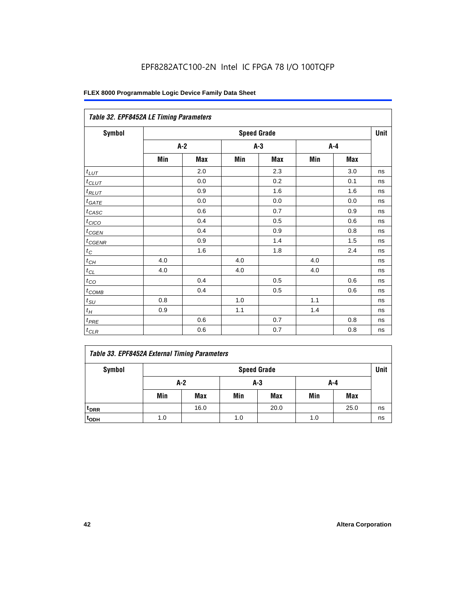| Table 32. EPF8452A LE Timing Parameters |     |                    |     |       |     |         |    |  |  |  |
|-----------------------------------------|-----|--------------------|-----|-------|-----|---------|----|--|--|--|
| <b>Symbol</b>                           |     | <b>Speed Grade</b> |     |       |     |         |    |  |  |  |
|                                         |     | $A-2$              |     | $A-3$ |     | $A-4$   |    |  |  |  |
|                                         | Min | Max                | Min | Max   | Min | Max     |    |  |  |  |
| $t_{LUT}$                               |     | 2.0                |     | 2.3   |     | 3.0     | ns |  |  |  |
| $t_{CLUT}$                              |     | 0.0                |     | 0.2   |     | 0.1     | ns |  |  |  |
| $t_{RLUT}$                              |     | 0.9                |     | 1.6   |     | 1.6     | ns |  |  |  |
| $t_{\underline{GATE}}$                  |     | 0.0                |     | 0.0   |     | 0.0     | ns |  |  |  |
| $t_{CASC}$                              |     | 0.6                |     | 0.7   |     | 0.9     | ns |  |  |  |
| $t_{CICO}$                              |     | 0.4                |     | 0.5   |     | 0.6     | ns |  |  |  |
| $t_{CGEN}$                              |     | 0.4                |     | 0.9   |     | 0.8     | ns |  |  |  |
| $t_{CGENR}$                             |     | 0.9                |     | 1.4   |     | 1.5     | ns |  |  |  |
| $t_C$                                   |     | 1.6                |     | 1.8   |     | 2.4     | ns |  |  |  |
| $t_{\mathit{CH}}$                       | 4.0 |                    | 4.0 |       | 4.0 |         | ns |  |  |  |
| $t_{\ensuremath{\text{CL}}}$            | 4.0 |                    | 4.0 |       | 4.0 |         | ns |  |  |  |
| $t_{CQ}$                                |     | 0.4                |     | 0.5   |     | 0.6     | ns |  |  |  |
| $t_{\text{COMB}}$                       |     | 0.4                |     | 0.5   |     | 0.6     | ns |  |  |  |
| $t_{\text{S}\underline{U}}$             | 0.8 |                    | 1.0 |       | 1.1 |         | ns |  |  |  |
| $t_H\,$                                 | 0.9 |                    | 1.1 |       | 1.4 |         | ns |  |  |  |
| $t_{PRE}$                               |     | 0.6                |     | 0.7   |     | 0.8     | ns |  |  |  |
| $t_{CLR}$                               |     | 0.6                |     | 0.7   |     | $0.8\,$ | ns |  |  |  |

# *Table 33. EPF8452A External Timing Parameters*

| Symbol                      |                     | <b>Speed Grade</b> |     |            |     |            |    |  |  |
|-----------------------------|---------------------|--------------------|-----|------------|-----|------------|----|--|--|
|                             | A-2<br>$A-3$<br>A-4 |                    |     |            |     |            |    |  |  |
|                             | Min                 | Max                | Min | <b>Max</b> | Min | <b>Max</b> |    |  |  |
| <sup>t</sup> <sub>DRR</sub> |                     | 16.0               |     | 20.0       |     | 25.0       | ns |  |  |
| t <sub>ODH</sub>            | 1.0                 |                    | 1.0 |            | 1.0 |            | ns |  |  |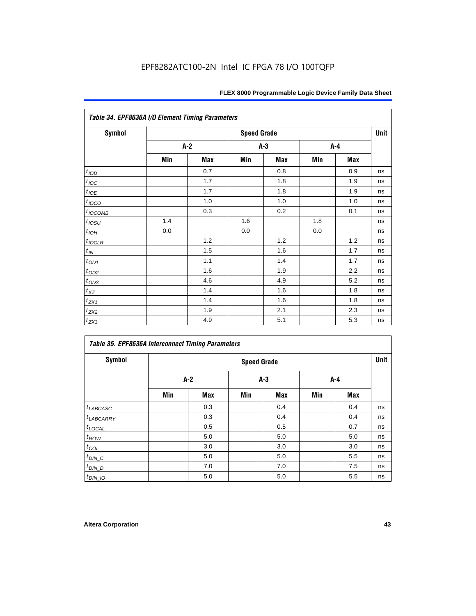| Table 34. EPF8636A I/O Element Timing Parameters |     |                    |     |       |     |            |    |  |  |
|--------------------------------------------------|-----|--------------------|-----|-------|-----|------------|----|--|--|
| <b>Symbol</b>                                    |     | <b>Speed Grade</b> |     |       |     |            |    |  |  |
|                                                  |     | $A-2$              |     | $A-3$ |     | A-4        |    |  |  |
|                                                  | Min | Max                | Min | Max   | Min | <b>Max</b> |    |  |  |
| t <sub>IOD</sub>                                 |     | 0.7                |     | 0.8   |     | 0.9        | ns |  |  |
| $t_{\text{IOC}}$                                 |     | 1.7                |     | 1.8   |     | 1.9        | ns |  |  |
| $t_{IOE}$                                        |     | 1.7                |     | 1.8   |     | 1.9        | ns |  |  |
| $t_{IOCO}$                                       |     | 1.0                |     | 1.0   |     | 1.0        | ns |  |  |
| $t_{IOCOMB}$                                     |     | 0.3                |     | 0.2   |     | 0.1        | ns |  |  |
| $t_{IOSU}$                                       | 1.4 |                    | 1.6 |       | 1.8 |            | ns |  |  |
| $t_{IOH}$                                        | 0.0 |                    | 0.0 |       | 0.0 |            | ns |  |  |
| $t_{IOCLR}$                                      |     | 1.2                |     | 1.2   |     | 1.2        | ns |  |  |
| $t_{I\!N}$                                       |     | 1.5                |     | 1.6   |     | 1.7        | ns |  |  |
| $t_{OD1}$                                        |     | 1.1                |     | 1.4   |     | 1.7        | ns |  |  |
| $t_{OD2}$                                        |     | 1.6                |     | 1.9   |     | 2.2        | ns |  |  |
| $t_{OD3}$                                        |     | 4.6                |     | 4.9   |     | 5.2        | ns |  |  |
| $t_{XZ}$                                         |     | 1.4                |     | 1.6   |     | 1.8        | ns |  |  |
| $t_{ZX1}$                                        |     | 1.4                |     | 1.6   |     | 1.8        | ns |  |  |
| $t_{ZX2}$                                        |     | 1.9                |     | 2.1   |     | 2.3        | ns |  |  |
| $t_{ZX3}$                                        |     | 4.9                |     | 5.1   |     | 5.3        | ns |  |  |

| <b>Table 35. EPF8636A Interconnect Timing Parameters</b> |     |                    |     |            |     |     |    |  |  |
|----------------------------------------------------------|-----|--------------------|-----|------------|-----|-----|----|--|--|
| <b>Symbol</b>                                            |     | <b>Speed Grade</b> |     |            |     |     |    |  |  |
|                                                          | A-2 |                    |     | $A-3$      |     | A-4 |    |  |  |
|                                                          | Min | <b>Max</b>         | Min | <b>Max</b> | Min | Max |    |  |  |
| $t_{LABCASC}$                                            |     | 0.3                |     | 0.4        |     | 0.4 | ns |  |  |
| <sup>t</sup> LABCARRY                                    |     | 0.3                |     | 0.4        |     | 0.4 | ns |  |  |
| $t_{\text{LOCAL}}$                                       |     | 0.5                |     | 0.5        |     | 0.7 | ns |  |  |
| $t_{ROW}$                                                |     | 5.0                |     | 5.0        |     | 5.0 | ns |  |  |
| $t_{COL}$                                                |     | 3.0                |     | 3.0        |     | 3.0 | ns |  |  |
| $t_{DIN\_C}$                                             |     | 5.0                |     | 5.0        |     | 5.5 | ns |  |  |
| $t_{DIN\_D}$                                             |     | 7.0                |     | 7.0        |     | 7.5 | ns |  |  |
| $t_{DIN_1O}$                                             |     | 5.0                |     | 5.0        |     | 5.5 | ns |  |  |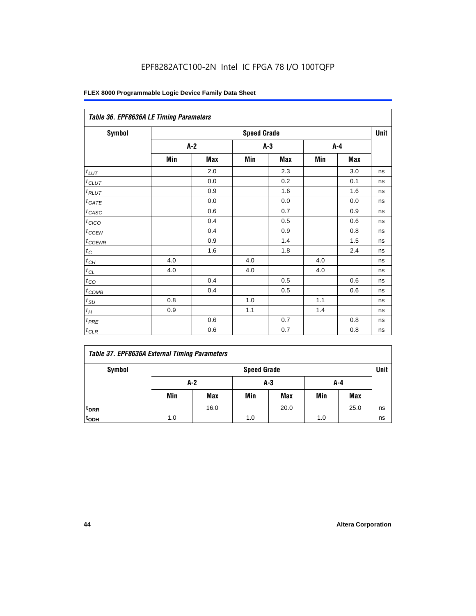| Table 36. EPF8636A LE Timing Parameters |     |       |                    |     |         |     |      |  |  |
|-----------------------------------------|-----|-------|--------------------|-----|---------|-----|------|--|--|
| Symbol                                  |     |       | <b>Speed Grade</b> |     |         |     | Unit |  |  |
|                                         |     | $A-2$ | $A-3$              |     | $A - 4$ |     |      |  |  |
|                                         | Min | Max   | Min                | Max | Min     | Max |      |  |  |
| $t_{LUT}$                               |     | 2.0   |                    | 2.3 |         | 3.0 | ns   |  |  |
| $t_{CLUT}$                              |     | 0.0   |                    | 0.2 |         | 0.1 | ns   |  |  |
| $t_{RLUT}$                              |     | 0.9   |                    | 1.6 |         | 1.6 | ns   |  |  |
| $t_{GATE}$                              |     | 0.0   |                    | 0.0 |         | 0.0 | ns   |  |  |
| $t_{CASC}$                              |     | 0.6   |                    | 0.7 |         | 0.9 | ns   |  |  |
| $t_{CICO}$                              |     | 0.4   |                    | 0.5 |         | 0.6 | ns   |  |  |
| $t_{GEN}$                               |     | 0.4   |                    | 0.9 |         | 0.8 | ns   |  |  |
| $t_{CGENR}$                             |     | 0.9   |                    | 1.4 |         | 1.5 | ns   |  |  |
| $t_C$                                   |     | 1.6   |                    | 1.8 |         | 2.4 | ns   |  |  |
| $t_{CH}$                                | 4.0 |       | 4.0                |     | 4.0     |     | ns   |  |  |
| $t_{CL}$                                | 4.0 |       | 4.0                |     | 4.0     |     | ns   |  |  |
| $t_{CO}$                                |     | 0.4   |                    | 0.5 |         | 0.6 | ns   |  |  |
| $t_{\text{COMB}}$                       |     | 0.4   |                    | 0.5 |         | 0.6 | ns   |  |  |
| $t_{SU}$                                | 0.8 |       | 1.0                |     | 1.1     |     | ns   |  |  |
| $t_H$                                   | 0.9 |       | $1.1$              |     | 1.4     |     | ns   |  |  |
| $t_{PRE}$                               |     | 0.6   |                    | 0.7 |         | 0.8 | ns   |  |  |
| $t_{CLR}$                               |     | 0.6   |                    | 0.7 |         | 0.8 | ns   |  |  |

# *Table 37. EPF8636A External Timing Parameters*

| Symbol           | <b>Speed Grade</b> |            |     |            |     |            |    |
|------------------|--------------------|------------|-----|------------|-----|------------|----|
|                  | $A-2$<br>A-3       |            |     | A-4        |     |            |    |
|                  | Min                | <b>Max</b> | Min | <b>Max</b> | Min | <b>Max</b> |    |
| t <sub>DRR</sub> |                    | 16.0       |     | 20.0       |     | 25.0       | ns |
| t <sub>ODH</sub> | 1.0                |            | 1.0 |            | 1.0 |            | ns |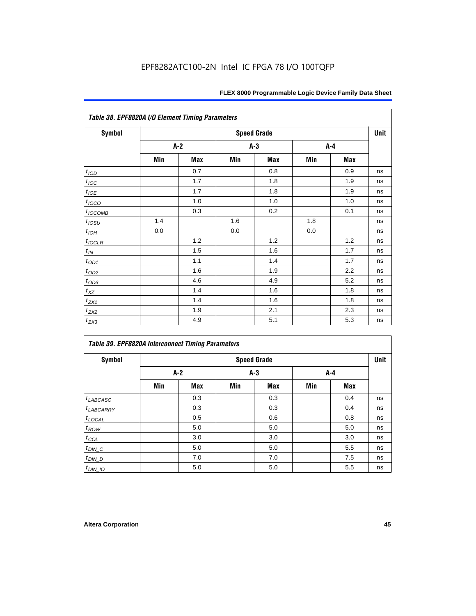| Table 38. EPF8820A I/O Element Timing Parameters |     |     |     |                    |     |            |      |  |  |
|--------------------------------------------------|-----|-----|-----|--------------------|-----|------------|------|--|--|
| <b>Symbol</b>                                    |     |     |     | <b>Speed Grade</b> |     |            | Unit |  |  |
|                                                  |     | A-2 |     | A-3                |     | A-4        |      |  |  |
|                                                  | Min | Max | Min | <b>Max</b>         | Min | <b>Max</b> |      |  |  |
| $t_{\textit{\scriptsize{IOD}}}$                  |     | 0.7 |     | 0.8                |     | 0.9        | ns   |  |  |
| $t_{\text{IOC}}$                                 |     | 1.7 |     | 1.8                |     | 1.9        | ns   |  |  |
| $t_{IOE}$                                        |     | 1.7 |     | 1.8                |     | 1.9        | ns   |  |  |
| $t_{IOCO}$                                       |     | 1.0 |     | 1.0                |     | 1.0        | ns   |  |  |
| $t_{IOCOMB}$                                     |     | 0.3 |     | 0.2                |     | 0.1        | ns   |  |  |
| $t_{IOSU}$                                       | 1.4 |     | 1.6 |                    | 1.8 |            | ns   |  |  |
| $t_{IOH}$                                        | 0.0 |     | 0.0 |                    | 0.0 |            | ns   |  |  |
| $t_{IOCLR}$                                      |     | 1.2 |     | 1.2                |     | 1.2        | ns   |  |  |
| $t_{I\!N}$                                       |     | 1.5 |     | 1.6                |     | 1.7        | ns   |  |  |
| $t_{OD1}$                                        |     | 1.1 |     | 1.4                |     | 1.7        | ns   |  |  |
| $t_{\text{OD2}}$                                 |     | 1.6 |     | 1.9                |     | 2.2        | ns   |  |  |
| $t_{OD3}$                                        |     | 4.6 |     | 4.9                |     | 5.2        | ns   |  |  |
| $t_{\text{XZ}}$                                  |     | 1.4 |     | 1.6                |     | 1.8        | ns   |  |  |
| $t_{ZX1}$                                        |     | 1.4 |     | 1.6                |     | 1.8        | ns   |  |  |
| $t_{ZX2}$                                        |     | 1.9 |     | 2.1                |     | 2.3        | ns   |  |  |
| $t_{ZX3}$                                        |     | 4.9 |     | 5.1                |     | 5.3        | ns   |  |  |

| <b>Table 39. EPF8820A Interconnect Timing Parameters</b> |     |                    |     |            |     |            |    |  |  |  |
|----------------------------------------------------------|-----|--------------------|-----|------------|-----|------------|----|--|--|--|
| Symbol                                                   |     | <b>Speed Grade</b> |     |            |     |            |    |  |  |  |
|                                                          |     | $A-2$              |     | $A-3$      |     | A-4        |    |  |  |  |
|                                                          | Min | <b>Max</b>         | Min | <b>Max</b> | Min | <b>Max</b> |    |  |  |  |
| $t_{LABCASC}$                                            |     | 0.3                |     | 0.3        |     | 0.4        | ns |  |  |  |
| $t_{LABCARRY}$                                           |     | 0.3                |     | 0.3        |     | 0.4        | ns |  |  |  |
| $t_{\text{LOCAL}}$                                       |     | 0.5                |     | 0.6        |     | 0.8        | ns |  |  |  |
| $t_{ROW}$                                                |     | 5.0                |     | 5.0        |     | 5.0        | ns |  |  |  |
| $t_{COL}$                                                |     | 3.0                |     | 3.0        |     | 3.0        | ns |  |  |  |
| $t_{DIN\_C}$                                             |     | 5.0                |     | 5.0        |     | 5.5        | ns |  |  |  |
| $t$ <sub>DIN_D</sub>                                     |     | 7.0                |     | 7.0        |     | 7.5        | ns |  |  |  |
| $t_{DIN\_IO}$                                            |     | 5.0                |     | 5.0        |     | 5.5        | ns |  |  |  |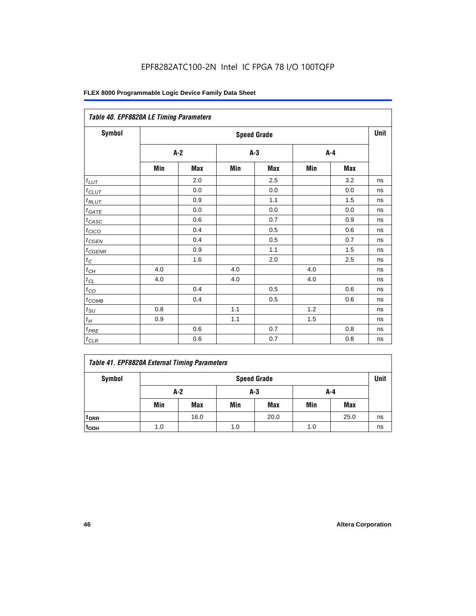| Table 40. EPF8820A LE Timing Parameters |     |       |     |                    |     |         |      |  |  |
|-----------------------------------------|-----|-------|-----|--------------------|-----|---------|------|--|--|
| Symbol                                  |     |       |     | <b>Speed Grade</b> |     |         | Unit |  |  |
|                                         |     | $A-2$ |     | $A-3$              |     | $A - 4$ |      |  |  |
|                                         | Min | Max   | Min | Max                | Min | Max     |      |  |  |
| $t_{LUT}$                               |     | 2.0   |     | 2.5                |     | 3.2     | ns   |  |  |
| $t_{CLUT}$                              |     | 0.0   |     | 0.0                |     | 0.0     | ns   |  |  |
| $t_{RLUT}$                              |     | 0.9   |     | 1.1                |     | 1.5     | ns   |  |  |
| $t_{GATE}$                              |     | 0.0   |     | 0.0                |     | 0.0     | ns   |  |  |
| $t_{CASC}$                              |     | 0.6   |     | 0.7                |     | 0.9     | ns   |  |  |
| t <sub>CICO</sub>                       |     | 0.4   |     | 0.5                |     | 0.6     | ns   |  |  |
| $t_{GEN}$                               |     | 0.4   |     | 0.5                |     | 0.7     | ns   |  |  |
| $t_{CGENR}$                             |     | 0.9   |     | 1.1                |     | 1.5     | ns   |  |  |
| $t_C$                                   |     | 1.6   |     | 2.0                |     | 2.5     | ns   |  |  |
| $t_{CH}$                                | 4.0 |       | 4.0 |                    | 4.0 |         | ns   |  |  |
| $t_{CL}$                                | 4.0 |       | 4.0 |                    | 4.0 |         | ns   |  |  |
| $t_{CO}$                                |     | 0.4   |     | 0.5                |     | 0.6     | ns   |  |  |
| $t_{COMB}$                              |     | 0.4   |     | 0.5                |     | 0.6     | ns   |  |  |
| $t_{SU}$                                | 0.8 |       | 1.1 |                    | 1.2 |         | ns   |  |  |
| $t_H\,$                                 | 0.9 |       | 1.1 |                    | 1.5 |         | ns   |  |  |
| $t_{PRE}$                               |     | 0.6   |     | 0.7                |     | 0.8     | ns   |  |  |
| $t_{CLR}$                               |     | 0.6   |     | 0.7                |     | 0.8     | ns   |  |  |

| Symbol           | <b>Speed Grade</b> |      |     |            |     |            |    |
|------------------|--------------------|------|-----|------------|-----|------------|----|
|                  | $A-2$<br>A-3       |      |     | A-4        |     |            |    |
|                  | Min                | Max  | Min | <b>Max</b> | Min | <b>Max</b> |    |
| t <sub>DRR</sub> |                    | 16.0 |     | 20.0       |     | 25.0       | ns |
| $t_{ODH}$        | 1.0                |      | 1.0 |            | 1.0 |            | ns |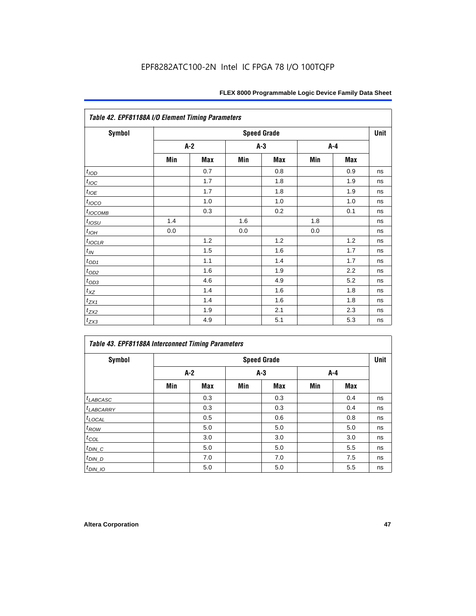| Table 42. EPF81188A I/O Element Timing Parameters |     |     |     |                    |     |     |      |  |  |
|---------------------------------------------------|-----|-----|-----|--------------------|-----|-----|------|--|--|
| <b>Symbol</b>                                     |     |     |     | <b>Speed Grade</b> |     |     | Unit |  |  |
|                                                   |     | A-2 |     | $A-3$              |     | A-4 |      |  |  |
|                                                   | Min | Max | Min | Max                | Min | Max |      |  |  |
| t <sub>IOD</sub>                                  |     | 0.7 |     | 0.8                |     | 0.9 | ns   |  |  |
| $t_{\text{loc}}$                                  |     | 1.7 |     | 1.8                |     | 1.9 | ns   |  |  |
| $t_{IOE}$                                         |     | 1.7 |     | 1.8                |     | 1.9 | ns   |  |  |
| $t_{IOCO}$                                        |     | 1.0 |     | 1.0                |     | 1.0 | ns   |  |  |
| $t_{IOCOMB}$                                      |     | 0.3 |     | 0.2                |     | 0.1 | ns   |  |  |
| $t_{IOSU}$                                        | 1.4 |     | 1.6 |                    | 1.8 |     | ns   |  |  |
| $t_{I\underline{OH}}$                             | 0.0 |     | 0.0 |                    | 0.0 |     | ns   |  |  |
| $t_{IOCLR}$                                       |     | 1.2 |     | 1.2                |     | 1.2 | ns   |  |  |
| $t_{I\!N}$                                        |     | 1.5 |     | 1.6                |     | 1.7 | ns   |  |  |
| $t_{OD1}$                                         |     | 1.1 |     | 1.4                |     | 1.7 | ns   |  |  |
| $t_{OD2}$                                         |     | 1.6 |     | 1.9                |     | 2.2 | ns   |  |  |
| $t_{OD3}$                                         |     | 4.6 |     | 4.9                |     | 5.2 | ns   |  |  |
| $t_{X\!Z}$                                        |     | 1.4 |     | 1.6                |     | 1.8 | ns   |  |  |
| $t_{ZX1}$                                         |     | 1.4 |     | 1.6                |     | 1.8 | ns   |  |  |
| $t_{ZX2}$                                         |     | 1.9 |     | 2.1                |     | 2.3 | ns   |  |  |
| $t_{ZX3}$                                         |     | 4.9 |     | 5.1                |     | 5.3 | ns   |  |  |

| Table 43. EPF81188A Interconnect Timing Parameters |                    |       |       |            |     |            |    |  |  |
|----------------------------------------------------|--------------------|-------|-------|------------|-----|------------|----|--|--|
| <b>Symbol</b>                                      | <b>Speed Grade</b> |       |       |            |     |            |    |  |  |
|                                                    |                    | $A-2$ | $A-3$ |            | A-4 |            |    |  |  |
|                                                    | Min                | Max   | Min   | <b>Max</b> | Min | <b>Max</b> |    |  |  |
| $t_{LABCASC}$                                      |                    | 0.3   |       | 0.3        |     | 0.4        | ns |  |  |
| $t_{LABCARY}$                                      |                    | 0.3   |       | 0.3        |     | 0.4        | ns |  |  |
| $t_{\text{LOCAL}}$                                 |                    | 0.5   |       | 0.6        |     | 0.8        | ns |  |  |
| $t_{ROW}$                                          |                    | 5.0   |       | 5.0        |     | 5.0        | ns |  |  |
| $t_{COL}$                                          |                    | 3.0   |       | 3.0        |     | 3.0        | ns |  |  |
| $t_{DIN\_C}$                                       |                    | 5.0   |       | 5.0        |     | 5.5        | ns |  |  |
| $t_{DIN\_D}$                                       |                    | 7.0   |       | 7.0        |     | 7.5        | ns |  |  |
| $t_{DIN_1O}$                                       |                    | 5.0   |       | 5.0        |     | 5.5        | ns |  |  |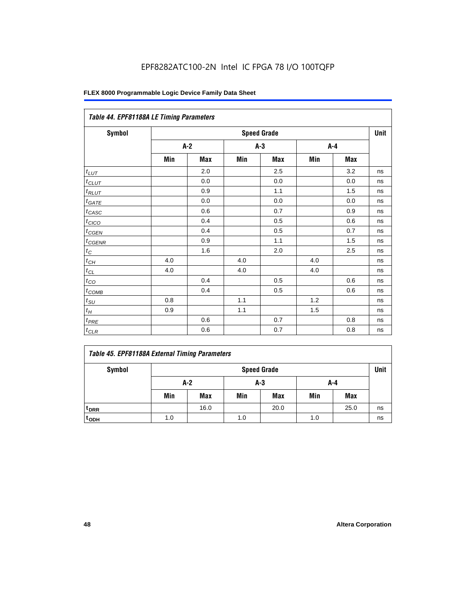| Table 44. EPF81188A LE Timing Parameters |     |       |     |                    |     |     |      |  |  |
|------------------------------------------|-----|-------|-----|--------------------|-----|-----|------|--|--|
| Symbol                                   |     |       |     | <b>Speed Grade</b> |     |     | Unit |  |  |
|                                          |     | $A-2$ |     | $A-3$              |     | A-4 |      |  |  |
|                                          | Min | Max   | Min | Max                | Min | Max |      |  |  |
| $t_{LUT}$                                |     | 2.0   |     | 2.5                |     | 3.2 | ns   |  |  |
| $t_{CLUT}$                               |     | 0.0   |     | 0.0                |     | 0.0 | ns   |  |  |
| $t_{RLUT}$                               |     | 0.9   |     | 1.1                |     | 1.5 | ns   |  |  |
| $t_{GATE}$                               |     | 0.0   |     | 0.0                |     | 0.0 | ns   |  |  |
| $t_{CASC}$                               |     | 0.6   |     | 0.7                |     | 0.9 | ns   |  |  |
| $t_{CICO}$                               |     | 0.4   |     | 0.5                |     | 0.6 | ns   |  |  |
| $t_{GEN}$                                |     | 0.4   |     | 0.5                |     | 0.7 | ns   |  |  |
| $t_{CGENR}$                              |     | 0.9   |     | 1.1                |     | 1.5 | ns   |  |  |
| $t_C$                                    |     | 1.6   |     | 2.0                |     | 2.5 | ns   |  |  |
| $t_{\mathit{CH}}$                        | 4.0 |       | 4.0 |                    | 4.0 |     | ns   |  |  |
| $t_{CL}$                                 | 4.0 |       | 4.0 |                    | 4.0 |     | ns   |  |  |
| $t_{CO}$                                 |     | 0.4   |     | 0.5                |     | 0.6 | ns   |  |  |
| $t_{\text{COMB}}$                        |     | 0.4   |     | 0.5                |     | 0.6 | ns   |  |  |
| $t_{SU}$                                 | 0.8 |       | 1.1 |                    | 1.2 |     | ns   |  |  |
| $t_H$                                    | 0.9 |       | 1.1 |                    | 1.5 |     | ns   |  |  |
| $t_{PRE}$                                |     | 0.6   |     | 0.7                |     | 0.8 | ns   |  |  |
| $t_{CLR}$                                |     | 0.6   |     | 0.7                |     | 0.8 | ns   |  |  |

|  |  |  |  | Table 45. EPF81188A External Timing Parameters |
|--|--|--|--|------------------------------------------------|
|--|--|--|--|------------------------------------------------|

| Symbol           | <b>Speed Grade</b> |            |     |            |     |            |    |  |  |
|------------------|--------------------|------------|-----|------------|-----|------------|----|--|--|
|                  | $A-2$              |            | A-3 |            | A-4 |            |    |  |  |
|                  | Min                | <b>Max</b> | Min | <b>Max</b> | Min | <b>Max</b> |    |  |  |
| t <sub>DRR</sub> |                    | 16.0       |     | 20.0       |     | 25.0       | ns |  |  |
| t <sub>ODH</sub> | 1.0                |            | 1.0 |            | 1.0 |            | ns |  |  |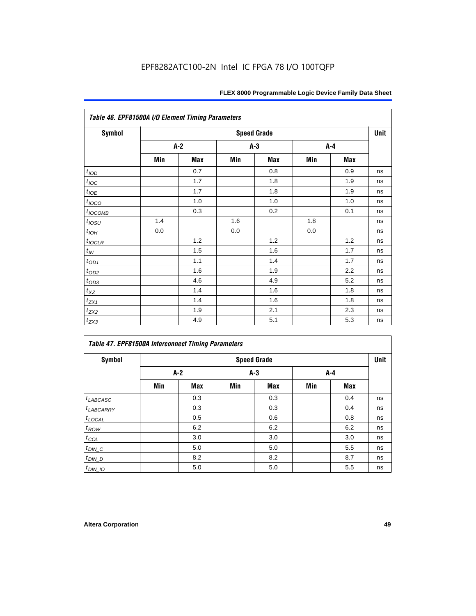|                      | Table 46. EPF81500A I/O Element Timing Parameters<br><b>Speed Grade</b> |       |       |     |     |     |      |  |
|----------------------|-------------------------------------------------------------------------|-------|-------|-----|-----|-----|------|--|
| Symbol               |                                                                         |       |       |     |     |     | Unit |  |
|                      |                                                                         | $A-2$ | $A-3$ |     |     | A-4 |      |  |
|                      | Min                                                                     | Max   | Min   | Max | Min | Max |      |  |
| t <sub>IOD</sub>     |                                                                         | 0.7   |       | 0.8 |     | 0.9 | ns   |  |
| $t_{\text{IOC}}$     |                                                                         | 1.7   |       | 1.8 |     | 1.9 | ns   |  |
| $t_{IOE}$            |                                                                         | 1.7   |       | 1.8 |     | 1.9 | ns   |  |
| $t_{IOCO}$           |                                                                         | 1.0   |       | 1.0 |     | 1.0 | ns   |  |
| $t_{IOCOMB}$         |                                                                         | 0.3   |       | 0.2 |     | 0.1 | ns   |  |
| $t_{IOSU}$           | 1.4                                                                     |       | 1.6   |     | 1.8 |     | ns   |  |
| $t_{IOH}$            | 0.0                                                                     |       | 0.0   |     | 0.0 |     | ns   |  |
| $t_{IOCLR}$          |                                                                         | 1.2   |       | 1.2 |     | 1.2 | ns   |  |
| $t_{I\!N}$           |                                                                         | 1.5   |       | 1.6 |     | 1.7 | ns   |  |
| $t_{OD1}$            |                                                                         | 1.1   |       | 1.4 |     | 1.7 | ns   |  |
| $t_{OD2}$            |                                                                         | 1.6   |       | 1.9 |     | 2.2 | ns   |  |
| $t_{OD3}$            |                                                                         | 4.6   |       | 4.9 |     | 5.2 | ns   |  |
| $t_{\underline{XZ}}$ |                                                                         | 1.4   |       | 1.6 |     | 1.8 | ns   |  |
| $t_{ZX1}$            |                                                                         | 1.4   |       | 1.6 |     | 1.8 | ns   |  |
| $t_{ZX2}$            |                                                                         | 1.9   |       | 2.1 |     | 2.3 | ns   |  |
| $t_{ZX3}$            |                                                                         | 4.9   |       | 5.1 |     | 5.3 | ns   |  |

| Table 47. EPF81500A Interconnect Timing Parameters<br><b>Symbol</b> |     |     |                             |     |     |     | Unit |
|---------------------------------------------------------------------|-----|-----|-----------------------------|-----|-----|-----|------|
|                                                                     | A-2 |     | <b>Speed Grade</b><br>$A-3$ |     | A-4 |     |      |
|                                                                     | Min | Max | Min                         | Max | Min | Max |      |
| $t_{LABCASC}$                                                       |     | 0.3 |                             | 0.3 |     | 0.4 | ns   |
| <sup>t</sup> LABCARRY                                               |     | 0.3 |                             | 0.3 |     | 0.4 | ns   |
| $t_{\text{LOCAL}}$                                                  |     | 0.5 |                             | 0.6 |     | 0.8 | ns   |
| $t_{\mathit{ROW}}$                                                  |     | 6.2 |                             | 6.2 |     | 6.2 | ns   |
| $t_{COL}$                                                           |     | 3.0 |                             | 3.0 |     | 3.0 | ns   |
| $t_{DIN\_C}$                                                        |     | 5.0 |                             | 5.0 |     | 5.5 | ns   |
| $t_{DIN\_D}$                                                        |     | 8.2 |                             | 8.2 |     | 8.7 | ns   |
| $t_{DIN}$ 10                                                        |     | 5.0 |                             | 5.0 |     | 5.5 | ns   |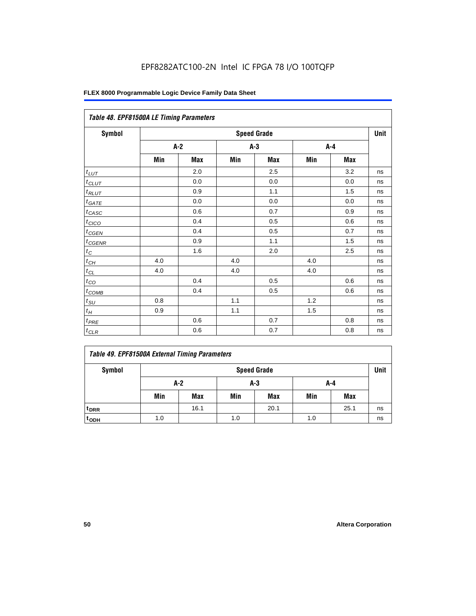| Table 48. EPF81500A LE Timing Parameters |                    |            |       |            |     |            |    |  |  |
|------------------------------------------|--------------------|------------|-------|------------|-----|------------|----|--|--|
| Symbol                                   | <b>Speed Grade</b> |            |       |            |     |            |    |  |  |
|                                          |                    | $A-2$      | $A-3$ |            | A-4 |            |    |  |  |
|                                          | Min                | <b>Max</b> | Min   | <b>Max</b> | Min | <b>Max</b> |    |  |  |
| $t_{LUT}$                                |                    | 2.0        |       | 2.5        |     | 3.2        | ns |  |  |
| $t$ CLUT                                 |                    | 0.0        |       | 0.0        |     | 0.0        | ns |  |  |
| $t_{RLUT}$                               |                    | 0.9        |       | 1.1        |     | 1.5        | ns |  |  |
| $t_{\underline{GATE}}$                   |                    | 0.0        |       | 0.0        |     | 0.0        | ns |  |  |
| $t_{CASC}$                               |                    | 0.6        |       | 0.7        |     | 0.9        | ns |  |  |
| $t_{CICO}$                               |                    | 0.4        |       | 0.5        |     | 0.6        | ns |  |  |
| $t_{CGEN}$                               |                    | 0.4        |       | 0.5        |     | 0.7        | ns |  |  |
| $t_{CGENR}$                              |                    | 0.9        |       | 1.1        |     | 1.5        | ns |  |  |
| $t_C$                                    |                    | 1.6        |       | 2.0        |     | 2.5        | ns |  |  |
| $t_{CH}$                                 | 4.0                |            | 4.0   |            | 4.0 |            | ns |  |  |
| $t_{CL}$                                 | 4.0                |            | 4.0   |            | 4.0 |            | ns |  |  |
| $t_{CO}$                                 |                    | 0.4        |       | 0.5        |     | 0.6        | ns |  |  |
| $t_{COMB}$                               |                    | 0.4        |       | 0.5        |     | 0.6        | ns |  |  |
| $t_{\rm SU}$                             | 0.8                |            | 1.1   |            | 1.2 |            | ns |  |  |
| $t_H$                                    | 0.9                |            | 1.1   |            | 1.5 |            | ns |  |  |
| $t_{PRE}$                                |                    | 0.6        |       | 0.7        |     | 0.8        | ns |  |  |
| $t_{CLR}$                                |                    | 0.6        |       | 0.7        |     | 0.8        | ns |  |  |

| <b>Table 49. EPF81500A External Timing Parameters</b> |  |
|-------------------------------------------------------|--|
|-------------------------------------------------------|--|

| Symbol             | <b>Speed Grade</b> |      |     |            |     |            |    |
|--------------------|--------------------|------|-----|------------|-----|------------|----|
|                    | $A-2$<br>A-3       |      |     |            | A-4 |            |    |
|                    | Min                | Max  | Min | <b>Max</b> | Min | <b>Max</b> |    |
| $t_{DRR}$          |                    | 16.1 |     | 20.1       |     | 25.1       | ns |
| $t$ <sub>ODH</sub> | 1.0                |      | 1.0 |            | 1.0 |            | ns |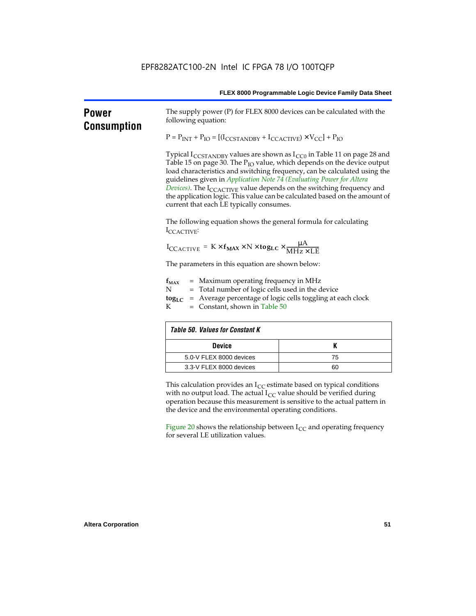| <b>Power</b><br><b>Consumption</b> | The supply power (P) for FLEX 8000 devices can be calculated with the<br>following equation:                                                                                                                                                                                                                                                                                                                                                                                                                                                            |    |  |  |  |  |  |  |  |
|------------------------------------|---------------------------------------------------------------------------------------------------------------------------------------------------------------------------------------------------------------------------------------------------------------------------------------------------------------------------------------------------------------------------------------------------------------------------------------------------------------------------------------------------------------------------------------------------------|----|--|--|--|--|--|--|--|
|                                    | $P = P_{INT} + P_{IO} = [(I_{CCSTANDBY} + I_{CCACTIVE}) \times V_{CC}] + P_{IO}$                                                                                                                                                                                                                                                                                                                                                                                                                                                                        |    |  |  |  |  |  |  |  |
|                                    | Typical $I_{\text{CCSTANDBY}}$ values are shown as $I_{\text{CC0}}$ in Table 11 on page 28 and<br>Table 15 on page 30. The P <sub>IO</sub> value, which depends on the device output<br>load characteristics and switching frequency, can be calculated using the<br>guidelines given in Application Note 74 (Evaluating Power for Altera<br>Devices). The I <sub>CCACTIVE</sub> value depends on the switching frequency and<br>the application logic. This value can be calculated based on the amount of<br>current that each LE typically consumes. |    |  |  |  |  |  |  |  |
|                                    | The following equation shows the general formula for calculating<br>ICCACTIVE:                                                                                                                                                                                                                                                                                                                                                                                                                                                                          |    |  |  |  |  |  |  |  |
|                                    | $I_{\text{CCACTIVE}} = K \times f_{\text{MAX}} \times N \times \text{tog}_{\text{LC}} \times \frac{\mu A}{\text{MHz} \times \text{LE}}$                                                                                                                                                                                                                                                                                                                                                                                                                 |    |  |  |  |  |  |  |  |
|                                    | The parameters in this equation are shown below:                                                                                                                                                                                                                                                                                                                                                                                                                                                                                                        |    |  |  |  |  |  |  |  |
|                                    | $=$ Maximum operating frequency in MHz<br>$f_{MAX}$<br>Ν<br>= Total number of logic cells used in the device<br>= Average percentage of logic cells toggling at each clock<br>$\log_{LC}$<br>K<br>$=$ Constant, shown in Table 50                                                                                                                                                                                                                                                                                                                       |    |  |  |  |  |  |  |  |
|                                    | <b>Table 50. Values for Constant K</b>                                                                                                                                                                                                                                                                                                                                                                                                                                                                                                                  |    |  |  |  |  |  |  |  |
|                                    | <b>Device</b>                                                                                                                                                                                                                                                                                                                                                                                                                                                                                                                                           | K  |  |  |  |  |  |  |  |
|                                    | 5.0-V FLEX 8000 devices                                                                                                                                                                                                                                                                                                                                                                                                                                                                                                                                 | 75 |  |  |  |  |  |  |  |
|                                    | 3.3-V FLEX 8000 devices                                                                                                                                                                                                                                                                                                                                                                                                                                                                                                                                 | 60 |  |  |  |  |  |  |  |
|                                    | This calculation provides an $I_{CC}$ estimate based on typical conditions<br>with no output load. The actual $I_{CC}$ value should be verified during<br>operation because this measurement is sensitive to the actual pattern in<br>the device and the environmental operating conditions.                                                                                                                                                                                                                                                            |    |  |  |  |  |  |  |  |
|                                    | Figure 20 shows the relationship between $I_{CC}$ and operating frequency<br>for several LE utilization values.                                                                                                                                                                                                                                                                                                                                                                                                                                         |    |  |  |  |  |  |  |  |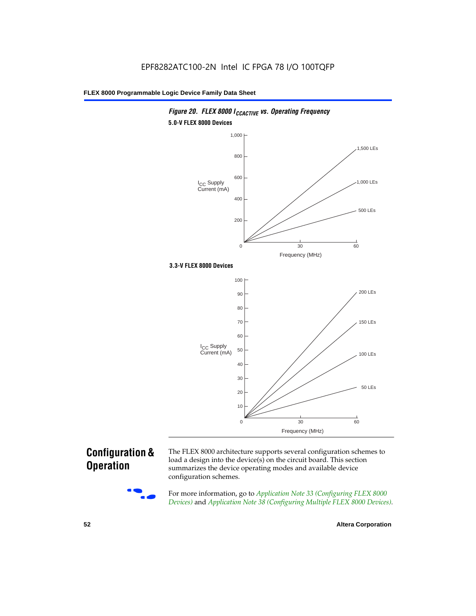

# **Configuration & Operation**



The FLEX 8000 architecture supports several configuration schemes to load a design into the device(s) on the circuit board. This section summarizes the device operating modes and available device configuration schemes.

For more information, go to *Application Note 33 (Configuring FLEX 8000 Devices)* and *Application Note 38 (Configuring Multiple FLEX 8000 Devices)*.

**52 Altera Corporation**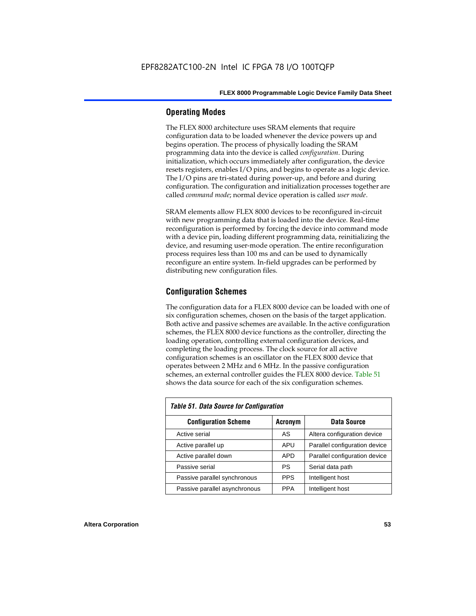# **Operating Modes**

The FLEX 8000 architecture uses SRAM elements that require configuration data to be loaded whenever the device powers up and begins operation. The process of physically loading the SRAM programming data into the device is called *configuration*. During initialization, which occurs immediately after configuration, the device resets registers, enables I/O pins, and begins to operate as a logic device. The I/O pins are tri-stated during power-up, and before and during configuration. The configuration and initialization processes together are called *command mode*; normal device operation is called *user mode*.

SRAM elements allow FLEX 8000 devices to be reconfigured in-circuit with new programming data that is loaded into the device. Real-time reconfiguration is performed by forcing the device into command mode with a device pin, loading different programming data, reinitializing the device, and resuming user-mode operation. The entire reconfiguration process requires less than 100 ms and can be used to dynamically reconfigure an entire system. In-field upgrades can be performed by distributing new configuration files.

# **Configuration Schemes**

The configuration data for a FLEX 8000 device can be loaded with one of six configuration schemes, chosen on the basis of the target application. Both active and passive schemes are available. In the active configuration schemes, the FLEX 8000 device functions as the controller, directing the loading operation, controlling external configuration devices, and completing the loading process. The clock source for all active configuration schemes is an oscillator on the FLEX 8000 device that operates between 2 MHz and 6 MHz. In the passive configuration schemes, an external controller guides the FLEX 8000 device. Table 51 shows the data source for each of the six configuration schemes.

| <b>Table 51. Data Source for Configuration</b> |                |                               |  |  |  |  |  |  |  |
|------------------------------------------------|----------------|-------------------------------|--|--|--|--|--|--|--|
| <b>Configuration Scheme</b>                    | <b>Acronym</b> | Data Source                   |  |  |  |  |  |  |  |
| Active serial                                  | AS             | Altera configuration device   |  |  |  |  |  |  |  |
| Active parallel up                             | APU            | Parallel configuration device |  |  |  |  |  |  |  |
| Active parallel down                           | <b>APD</b>     | Parallel configuration device |  |  |  |  |  |  |  |
| Passive serial                                 | PS             | Serial data path              |  |  |  |  |  |  |  |
| Passive parallel synchronous                   | <b>PPS</b>     | Intelligent host              |  |  |  |  |  |  |  |
| Passive parallel asynchronous                  | <b>PPA</b>     | Intelligent host              |  |  |  |  |  |  |  |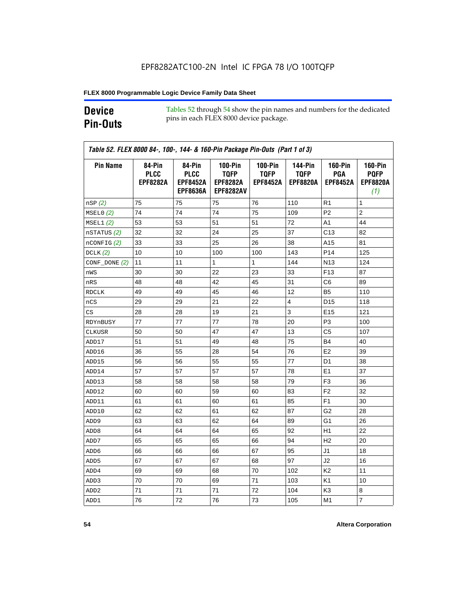# **Device Pin-Outs**

Tables 52 through 54 show the pin names and numbers for the dedicated pins in each FLEX 8000 device package.

| <b>Pin Name</b>  | 84-Pin<br><b>PLCC</b><br><b>EPF8282A</b> | 84-Pin<br><b>PLCC</b><br><b>EPF8452A</b><br><b>EPF8636A</b> | <b>100-Pin</b><br><b>TQFP</b><br><b>EPF8282A</b><br><b>EPF8282AV</b> | <b>100-Pin</b><br><b>TQFP</b><br><b>EPF8452A</b> | <b>144-Pin</b><br><b>TQFP</b><br><b>EPF8820A</b> | <b>160-Pin</b><br>PGA<br><b>EPF8452A</b> | <b>160-Pin</b><br><b>PQFP</b><br><b>EPF8820A</b><br>(1) |
|------------------|------------------------------------------|-------------------------------------------------------------|----------------------------------------------------------------------|--------------------------------------------------|--------------------------------------------------|------------------------------------------|---------------------------------------------------------|
| nSP(2)           | 75                                       | 75                                                          | 75                                                                   | 76                                               | 110                                              | R1                                       | 1                                                       |
| MSELO(2)         | 74                                       | 74                                                          | 74                                                                   | 75                                               | 109                                              | P <sub>2</sub>                           | $\overline{c}$                                          |
| MSEL1(2)         | 53                                       | 53                                                          | 51                                                                   | 51                                               | 72                                               | A1                                       | 44                                                      |
| nSTATUS (2)      | 32                                       | 32                                                          | 24                                                                   | 25                                               | 37                                               | C <sub>13</sub>                          | 82                                                      |
| $n$ CONFIG $(2)$ | 33                                       | 33                                                          | 25                                                                   | 26                                               | 38                                               | A15                                      | 81                                                      |
| DCLK $(2)$       | 10                                       | 10                                                          | 100                                                                  | 100                                              | 143                                              | P <sub>14</sub>                          | 125                                                     |
| $CONF\_DONE(2)$  | 11                                       | 11                                                          | 1                                                                    | 1                                                | 144                                              | N <sub>13</sub>                          | 124                                                     |
| nWS              | 30                                       | 30                                                          | 22                                                                   | 23                                               | 33                                               | F <sub>13</sub>                          | 87                                                      |
| nRS              | 48                                       | 48                                                          | 42                                                                   | 45                                               | 31                                               | C6                                       | 89                                                      |
| <b>RDCLK</b>     | 49                                       | 49                                                          | 45                                                                   | 46                                               | 12                                               | B <sub>5</sub>                           | 110                                                     |
| nCS              | 29                                       | 29                                                          | 21                                                                   | 22                                               | 4                                                | D <sub>15</sub>                          | 118                                                     |
| CS               | 28                                       | 28                                                          | 19                                                                   | 21                                               | 3                                                | E <sub>15</sub>                          | 121                                                     |
| RDYnBUSY         | 77                                       | 77                                                          | 77                                                                   | 78                                               | 20                                               | P <sub>3</sub>                           | 100                                                     |
| CLKUSR           | 50                                       | 50                                                          | 47                                                                   | 47                                               | 13                                               | C5                                       | 107                                                     |
| ADD17            | 51                                       | 51                                                          | 49                                                                   | 48                                               | 75                                               | B4                                       | 40                                                      |
| ADD16            | 36                                       | 55                                                          | 28                                                                   | 54                                               | 76                                               | E <sub>2</sub>                           | 39                                                      |
| ADD15            | 56                                       | 56                                                          | 55                                                                   | 55                                               | 77                                               | D <sub>1</sub>                           | 38                                                      |
| ADD14            | 57                                       | 57                                                          | 57                                                                   | 57                                               | 78                                               | E <sub>1</sub>                           | 37                                                      |
| ADD13            | 58                                       | 58                                                          | 58                                                                   | 58                                               | 79                                               | F <sub>3</sub>                           | 36                                                      |
| ADD12            | 60                                       | 60                                                          | 59                                                                   | 60                                               | 83                                               | F <sub>2</sub>                           | 32                                                      |
| ADD11            | 61                                       | 61                                                          | 60                                                                   | 61                                               | 85                                               | F <sub>1</sub>                           | 30                                                      |
| ADD10            | 62                                       | 62                                                          | 61                                                                   | 62                                               | 87                                               | G2                                       | 28                                                      |
| ADD <sub>9</sub> | 63                                       | 63                                                          | 62                                                                   | 64                                               | 89                                               | G1                                       | 26                                                      |
| ADD <sub>8</sub> | 64                                       | 64                                                          | 64                                                                   | 65                                               | 92                                               | H1                                       | 22                                                      |
| ADD7             | 65                                       | 65                                                          | 65                                                                   | 66                                               | 94                                               | H <sub>2</sub>                           | 20                                                      |
| ADD6             | 66                                       | 66                                                          | 66                                                                   | 67                                               | 95                                               | J1                                       | 18                                                      |
| ADD <sub>5</sub> | 67                                       | 67                                                          | 67                                                                   | 68                                               | 97                                               | J2                                       | 16                                                      |
| ADD4             | 69                                       | 69                                                          | 68                                                                   | 70                                               | 102                                              | K <sub>2</sub>                           | 11                                                      |
| ADD3             | 70                                       | 70                                                          | 69                                                                   | 71                                               | 103                                              | K1                                       | 10                                                      |
| ADD <sub>2</sub> | 71                                       | 71                                                          | 71                                                                   | 72                                               | 104                                              | K3                                       | 8                                                       |
| ADD1             | 76                                       | 72                                                          | 76                                                                   | 73                                               | 105                                              | M <sub>1</sub>                           | $\overline{7}$                                          |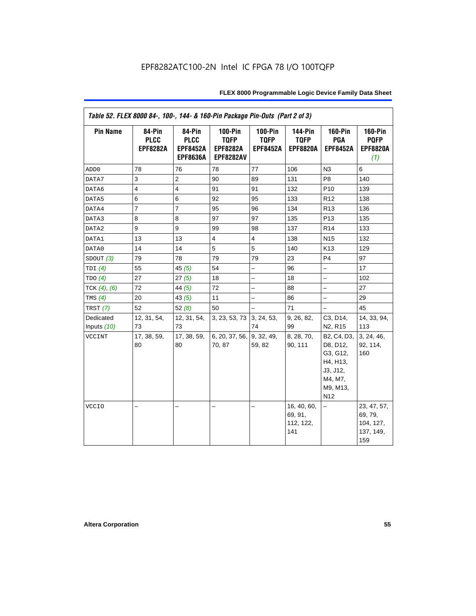|                   | Table 52. FLEX 8000 84-, 100-, 144- & 160-Pin Package Pin-Outs (Part 2 of 3) |                                                             |                                                                      |                                                  |                                                  |                                                                                                       |                                                         |  |  |  |
|-------------------|------------------------------------------------------------------------------|-------------------------------------------------------------|----------------------------------------------------------------------|--------------------------------------------------|--------------------------------------------------|-------------------------------------------------------------------------------------------------------|---------------------------------------------------------|--|--|--|
| <b>Pin Name</b>   | 84-Pin<br><b>PLCC</b><br><b>EPF8282A</b>                                     | 84-Pin<br><b>PLCC</b><br><b>EPF8452A</b><br><b>EPF8636A</b> | <b>100-Pin</b><br><b>TQFP</b><br><b>EPF8282A</b><br><b>EPF8282AV</b> | <b>100-Pin</b><br><b>TQFP</b><br><b>EPF8452A</b> | <b>144-Pin</b><br><b>TQFP</b><br><b>EPF8820A</b> | <b>160-Pin</b><br>PGA<br><b>EPF8452A</b>                                                              | <b>160-Pin</b><br><b>PQFP</b><br><b>EPF8820A</b><br>(1) |  |  |  |
| ADD <sub>0</sub>  | 78                                                                           | 76                                                          | 78                                                                   | 77                                               | 106                                              | N3                                                                                                    | 6                                                       |  |  |  |
| DATA7             | 3                                                                            | $\overline{2}$                                              | 90                                                                   | 89                                               | 131                                              | P <sub>8</sub>                                                                                        | 140                                                     |  |  |  |
| DATA6             | $\overline{4}$                                                               | $\overline{4}$                                              | 91                                                                   | 91                                               | 132                                              | P <sub>10</sub>                                                                                       | 139                                                     |  |  |  |
| DATA5             | 6                                                                            | 6                                                           | 92                                                                   | 95                                               | 133                                              | R <sub>12</sub>                                                                                       | 138                                                     |  |  |  |
| DATA4             | $\overline{7}$                                                               | $\overline{7}$                                              | 95                                                                   | 96                                               | 134                                              | R <sub>13</sub>                                                                                       | 136                                                     |  |  |  |
| DATA3             | 8                                                                            | 8                                                           | 97                                                                   | 97                                               | 135                                              | P <sub>13</sub>                                                                                       | 135                                                     |  |  |  |
| DATA2             | 9                                                                            | 9                                                           | 99                                                                   | 98                                               | 137                                              | R <sub>14</sub>                                                                                       | 133                                                     |  |  |  |
| DATA1             | 13                                                                           | 13                                                          | $\overline{4}$                                                       | $\overline{4}$                                   | 138                                              | N <sub>15</sub>                                                                                       | 132                                                     |  |  |  |
| DATA0             | 14                                                                           | 14                                                          | 5                                                                    | 5                                                | 140                                              | K <sub>13</sub>                                                                                       | 129                                                     |  |  |  |
| SDOUT(3)          | 79                                                                           | 78                                                          | 79                                                                   | 79                                               | 23                                               | P <sub>4</sub>                                                                                        | 97                                                      |  |  |  |
| TDI $(4)$         | 55                                                                           | 45 $(5)$                                                    | 54                                                                   | L,                                               | 96                                               | $\overline{\phantom{0}}$                                                                              | 17                                                      |  |  |  |
| TDO(4)            | 27                                                                           | 27(5)                                                       | 18                                                                   |                                                  | 18                                               | —                                                                                                     | 102                                                     |  |  |  |
| TCK $(4)$ , $(6)$ | 72                                                                           | 44 $(5)$                                                    | 72                                                                   |                                                  | 88                                               |                                                                                                       | 27                                                      |  |  |  |
| TMS $(4)$         | 20                                                                           | 43 $(5)$                                                    | 11                                                                   | $\overline{\phantom{0}}$                         | 86                                               | $\qquad \qquad -$                                                                                     | 29                                                      |  |  |  |
| TRST $(7)$        | 52                                                                           | 52(8)                                                       | 50                                                                   | $\overline{\phantom{0}}$                         | 71                                               | $\qquad \qquad -$                                                                                     | 45                                                      |  |  |  |
| Dedicated         | 12, 31, 54,                                                                  | 12, 31, 54,                                                 | 3, 23, 53, 73 3, 24, 53,                                             |                                                  | 9, 26, 82,                                       | C3, D14,                                                                                              | 14, 33, 94,                                             |  |  |  |
| Inputs (10)       | 73                                                                           | 73                                                          |                                                                      | 74                                               | 99                                               | N <sub>2</sub> , R <sub>15</sub>                                                                      | 113                                                     |  |  |  |
| VCCINT            | 17, 38, 59,<br>80                                                            | 17, 38, 59,<br>80                                           | 6, 20, 37, 56, 9, 32, 49,<br>70, 87                                  | 59, 82                                           | 8, 28, 70,<br>90, 111                            | B2, C4, D3,<br>D8, D12,<br>G3, G12,<br>H4, H13,<br>J3, J12,<br>M4, M7,<br>M9, M13,<br>N <sub>12</sub> | 3, 24, 46,<br>92, 114,<br>160                           |  |  |  |
| <b>VCCIO</b>      |                                                                              |                                                             | -                                                                    |                                                  | 16, 40, 60,<br>69, 91,<br>112, 122,<br>141       | -                                                                                                     | 23, 47, 57,<br>69, 79,<br>104, 127,<br>137, 149,<br>159 |  |  |  |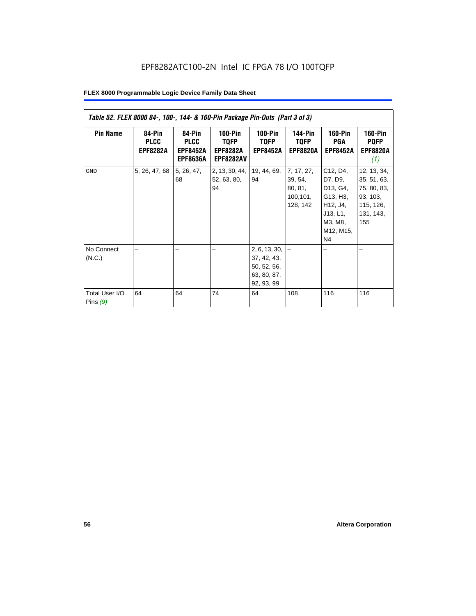| Table 52. FLEX 8000 84-, 100-, 144- & 160-Pin Package Pin-Outs (Part 3 of 3) |                                          |                                                             |                                                          |                                                                                |                                                           |                                                                                                               |                                                                                        |  |  |
|------------------------------------------------------------------------------|------------------------------------------|-------------------------------------------------------------|----------------------------------------------------------|--------------------------------------------------------------------------------|-----------------------------------------------------------|---------------------------------------------------------------------------------------------------------------|----------------------------------------------------------------------------------------|--|--|
| <b>Pin Name</b>                                                              | 84-Pin<br><b>PLCC</b><br><b>EPF8282A</b> | 84-Pin<br><b>PLCC</b><br><b>EPF8452A</b><br><b>EPF8636A</b> | $100-Pin$<br>TQFP<br><b>EPF8282A</b><br><b>EPF8282AV</b> | $100-Pin$<br><b>TQFP</b><br><b>EPF8452A</b>                                    | <b>144-Pin</b><br><b>TQFP</b><br><b>EPF8820A</b>          | <b>160-Pin</b><br>PGA<br><b>EPF8452A</b>                                                                      | <b>160-Pin</b><br><b>PQFP</b><br><b>EPF8820A</b><br>(1)                                |  |  |
| <b>GND</b>                                                                   | 5, 26, 47, 68                            | 5, 26, 47,<br>68                                            | 2, 13, 30, 44,<br>52, 63, 80,<br>94                      | 19, 44, 69,<br>94                                                              | 7, 17, 27,<br>39, 54,<br>80, 81,<br>100, 101,<br>128, 142 | C12, D4,<br>D7, D9,<br>D13, G4,<br>G13, H3,<br>H12, J4,<br>J13, L1,<br>M3, M8,<br>M12, M15,<br>N <sub>4</sub> | 12, 13, 34,<br>35, 51, 63,<br>75, 80, 83,<br>93, 103,<br>115, 126,<br>131, 143,<br>155 |  |  |
| No Connect<br>(N.C.)<br>Total User I/O<br>Pins $(9)$                         | 64                                       | 64                                                          | 74                                                       | 2, 6, 13, 30,<br>37, 42, 43,<br>50, 52, 56,<br>63, 80, 87,<br>92, 93, 99<br>64 | 108                                                       | 116                                                                                                           | 116                                                                                    |  |  |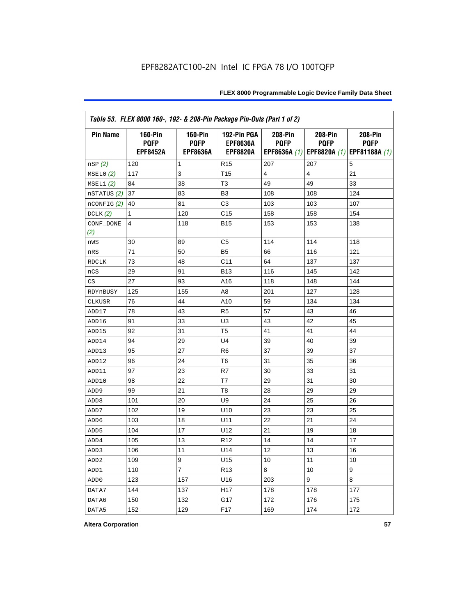| Table 53. FLEX 8000 160-, 192- & 208-Pin Package Pin-Outs (Part 1 of 2) |                                                  |                                                  |                                                   |                        |                        |                                                                   |
|-------------------------------------------------------------------------|--------------------------------------------------|--------------------------------------------------|---------------------------------------------------|------------------------|------------------------|-------------------------------------------------------------------|
| <b>Pin Name</b>                                                         | <b>160-Pin</b><br><b>PQFP</b><br><b>EPF8452A</b> | <b>160-Pin</b><br><b>PQFP</b><br><b>EPF8636A</b> | 192-Pin PGA<br><b>EPF8636A</b><br><b>EPF8820A</b> | 208-Pin<br><b>PQFP</b> | 208-Pin<br><b>PQFP</b> | 208-Pin<br><b>PQFP</b><br>EPF8636A (1) EPF8820A (1) EPF81188A (1) |
| nSP (2)                                                                 | 120                                              | 1                                                | R <sub>15</sub>                                   | 207                    | 207                    | 5                                                                 |
| MSELO(2)                                                                | 117                                              | 3                                                | T <sub>15</sub>                                   | 4                      | $\overline{4}$         | 21                                                                |
| MSEL1(2)                                                                | 84                                               | 38                                               | T <sub>3</sub>                                    | 49                     | 49                     | 33                                                                |
| nSTATUS (2)                                                             | 37                                               | 83                                               | B <sub>3</sub>                                    | 108                    | 108                    | 124                                                               |
| nCONFIG <sup>(2)</sup>                                                  | 40                                               | 81                                               | C3                                                | 103                    | 103                    | 107                                                               |
| DCLK(2)                                                                 | 1                                                | 120                                              | C <sub>15</sub>                                   | 158                    | 158                    | 154                                                               |
| CONF_DONE<br>(2)                                                        | 4                                                | 118                                              | <b>B15</b>                                        | 153                    | 153                    | 138                                                               |
| nWS                                                                     | 30                                               | 89                                               | C <sub>5</sub>                                    | 114                    | 114                    | 118                                                               |
| nRS                                                                     | 71                                               | 50                                               | B <sub>5</sub>                                    | 66                     | 116                    | 121                                                               |
| <b>RDCLK</b>                                                            | 73                                               | 48                                               | C <sub>11</sub>                                   | 64                     | 137                    | 137                                                               |
| nCS                                                                     | 29                                               | 91                                               | <b>B13</b>                                        | 116                    | 145                    | 142                                                               |
| CS                                                                      | 27                                               | 93                                               | A16                                               | 118                    | 148                    | 144                                                               |
| RDYnBUSY                                                                | 125                                              | 155                                              | A <sub>8</sub>                                    | 201                    | 127                    | 128                                                               |
| CLKUSR                                                                  | 76                                               | 44                                               | A10                                               | 59                     | 134                    | 134                                                               |
| ADD17                                                                   | 78                                               | 43                                               | R <sub>5</sub>                                    | 57                     | 43                     | 46                                                                |
| ADD16                                                                   | 91                                               | 33                                               | U <sub>3</sub>                                    | 43                     | 42                     | 45                                                                |
| ADD15                                                                   | 92                                               | 31                                               | T <sub>5</sub>                                    | 41                     | 41                     | 44                                                                |
| ADD14                                                                   | 94                                               | 29                                               | U <sub>4</sub>                                    | 39                     | 40                     | 39                                                                |
| ADD13                                                                   | 95                                               | 27                                               | R <sub>6</sub>                                    | 37                     | 39                     | 37                                                                |
| ADD12                                                                   | 96                                               | 24                                               | T6                                                | 31                     | 35                     | 36                                                                |
| ADD11                                                                   | 97                                               | 23                                               | R7                                                | 30                     | 33                     | 31                                                                |
| ADD10                                                                   | 98                                               | 22                                               | T7                                                | 29                     | 31                     | 30                                                                |
| ADD <sub>9</sub>                                                        | 99                                               | 21                                               | T <sub>8</sub>                                    | 28                     | 29                     | 29                                                                |
| ADD <sub>8</sub>                                                        | 101                                              | 20                                               | U9                                                | 24                     | 25                     | 26                                                                |
| ADD7                                                                    | 102                                              | 19                                               | U10                                               | 23                     | 23                     | 25                                                                |
| ADD6                                                                    | 103                                              | 18                                               | U11                                               | 22                     | 21                     | 24                                                                |
| ADD <sub>5</sub>                                                        | 104                                              | 17                                               | U12                                               | 21                     | 19                     | 18                                                                |
| ADD4                                                                    | 105                                              | 13                                               | R <sub>12</sub>                                   | 14                     | 14                     | 17                                                                |
| ADD <sub>3</sub>                                                        | 106                                              | 11                                               | U14                                               | 12                     | 13                     | 16                                                                |
| ADD <sub>2</sub>                                                        | 109                                              | 9                                                | U15                                               | 10                     | 11                     | 10                                                                |
| ADD1                                                                    | 110                                              | $\overline{7}$                                   | R <sub>13</sub>                                   | 8                      | 10                     | 9                                                                 |
| ADD <sub>0</sub>                                                        | 123                                              | 157                                              | U16                                               | 203                    | 9                      | 8                                                                 |
| DATA7                                                                   | 144                                              | 137                                              | H <sub>17</sub>                                   | 178                    | 178                    | 177                                                               |
| DATA6                                                                   | 150                                              | 132                                              | G17                                               | 172                    | 176                    | 175                                                               |
| DATA5                                                                   | 152                                              | 129                                              | F <sub>17</sub>                                   | 169                    | 174                    | 172                                                               |

**Altera Corporation 57**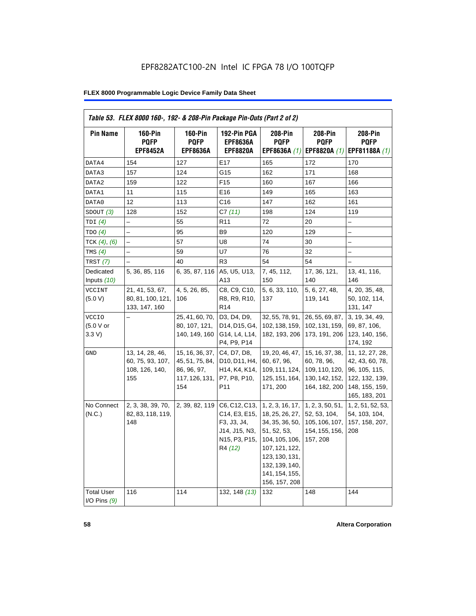| Table 53. FLEX 8000 160-, 192- & 208-Pin Package Pin-Outs (Part 2 of 2) |                                                              |                                                                            |                                                                                                                                   |                                                                                                                                                                                  |                                                                                     |                                                                                                          |
|-------------------------------------------------------------------------|--------------------------------------------------------------|----------------------------------------------------------------------------|-----------------------------------------------------------------------------------------------------------------------------------|----------------------------------------------------------------------------------------------------------------------------------------------------------------------------------|-------------------------------------------------------------------------------------|----------------------------------------------------------------------------------------------------------|
| <b>Pin Name</b>                                                         | <b>160-Pin</b><br><b>PQFP</b><br><b>EPF8452A</b>             | $160-Pin$<br><b>PQFP</b><br><b>EPF8636A</b>                                | 192-Pin PGA<br><b>EPF8636A</b><br><b>EPF8820A</b>                                                                                 | 208-Pin<br><b>PQFP</b><br>EPF8636A (1)                                                                                                                                           | 208-Pin<br><b>PQFP</b><br>EPF8820A (1)                                              | 208-Pin<br><b>POFP</b><br>EPF81188A (1)                                                                  |
| DATA4                                                                   | 154                                                          | 127                                                                        | E17                                                                                                                               | 165                                                                                                                                                                              | 172                                                                                 | 170                                                                                                      |
| DATA3                                                                   | 157                                                          | 124                                                                        | G15                                                                                                                               | 162                                                                                                                                                                              | 171                                                                                 | 168                                                                                                      |
| DATA2                                                                   | 159                                                          | 122                                                                        | F <sub>15</sub>                                                                                                                   | 160                                                                                                                                                                              | 167                                                                                 | 166                                                                                                      |
| DATA1                                                                   | 11                                                           | 115                                                                        | E16                                                                                                                               | 149                                                                                                                                                                              | 165                                                                                 | 163                                                                                                      |
| DATA0                                                                   | 12                                                           | 113                                                                        | C16                                                                                                                               | 147                                                                                                                                                                              | 162                                                                                 | 161                                                                                                      |
| SDOUT $(3)$                                                             | 128                                                          | 152                                                                        | C7(11)                                                                                                                            | 198                                                                                                                                                                              | 124                                                                                 | 119                                                                                                      |
| TDI(4)                                                                  | $\overline{a}$                                               | 55                                                                         | R <sub>11</sub>                                                                                                                   | 72                                                                                                                                                                               | 20                                                                                  |                                                                                                          |
| TDO(4)                                                                  | $\overline{\phantom{0}}$                                     | 95                                                                         | B9                                                                                                                                | 120                                                                                                                                                                              | 129                                                                                 | -                                                                                                        |
| TCK $(4)$ , $(6)$                                                       |                                                              | 57                                                                         | U8                                                                                                                                | 74                                                                                                                                                                               | 30                                                                                  | $\overline{\phantom{0}}$                                                                                 |
| TMS $(4)$                                                               |                                                              | 59                                                                         | U7                                                                                                                                | 76                                                                                                                                                                               | 32                                                                                  |                                                                                                          |
| TRST (7)                                                                |                                                              | 40                                                                         | R <sub>3</sub>                                                                                                                    | 54                                                                                                                                                                               | 54                                                                                  |                                                                                                          |
| Dedicated<br>Inputs (10)                                                | 5, 36, 85, 116                                               | 6, 35, 87, 116                                                             | A5, U5, U13,<br>A13                                                                                                               | 7, 45, 112,<br>150                                                                                                                                                               | 17, 36, 121,<br>140                                                                 | 13, 41, 116,<br>146                                                                                      |
| VCCINT<br>(5.0 V)                                                       | 21, 41, 53, 67,<br>80, 81, 100, 121,<br>133, 147, 160        | 4, 5, 26, 85,<br>106                                                       | C8, C9, C10,<br>R8, R9, R10,<br>R <sub>14</sub>                                                                                   | 5, 6, 33, 110,<br>137                                                                                                                                                            | 5, 6, 27, 48,<br>119, 141                                                           | 4, 20, 35, 48,<br>50, 102, 114,<br>131, 147                                                              |
| <b>VCCIO</b><br>(5.0 V or<br>3.3 V                                      |                                                              | 25, 41, 60, 70,<br>80, 107, 121,<br>140, 149, 160                          | D3, D4, D9,<br>D14, D15, G4,<br>G14, L4, L14,<br>P4, P9, P14                                                                      | 32, 55, 78, 91,<br>102, 138, 159,<br>182, 193, 206                                                                                                                               | 26, 55, 69, 87,<br>102, 131, 159,<br>173, 191, 206                                  | 3, 19, 34, 49,<br>69, 87, 106,<br>123, 140, 156,<br>174, 192                                             |
| GND                                                                     | 13, 14, 28, 46,<br>60, 75, 93, 107,<br>108, 126, 140,<br>155 | 15, 16, 36, 37,<br>45, 51, 75, 84,<br>86, 96, 97,<br>117, 126, 131,<br>154 | C4, D7, D8,<br>D10, D11, H4,<br>H <sub>14</sub> , K <sub>4</sub> , K <sub>14</sub> ,<br>P7, P8, P10,<br>P11                       | 19, 20, 46, 47,<br>60, 67, 96,<br>109, 111, 124,<br>125, 151, 164,<br>171, 200                                                                                                   | 15, 16, 37, 38,<br>60, 78, 96,<br>109, 110, 120,<br>130, 142, 152,<br>164, 182, 200 | 11, 12, 27, 28,<br>42, 43, 60, 78,<br>96, 105, 115,<br>122, 132, 139,<br>148, 155, 159,<br>165, 183, 201 |
| No Connect<br>(N.C.)                                                    | 2, 3, 38, 39, 70,<br>82, 83, 118, 119,<br>148                | 2, 39, 82, 119                                                             | C6, C12, C13,<br>C14, E3, E15,<br>F3, J3, J4,<br>J14, J15, N3,<br>N <sub>15</sub> , P <sub>3</sub> , P <sub>15</sub> ,<br>R4 (12) | 1, 2, 3, 16, 17,<br>18, 25, 26, 27,<br>34, 35, 36, 50,<br>51, 52, 53,<br>104, 105, 106,<br>107, 121, 122,<br>123, 130, 131,<br>132, 139, 140,<br>141, 154, 155,<br>156, 157, 208 | 1, 2, 3, 50, 51,<br>52, 53, 104,<br>105, 106, 107,<br>154, 155, 156,<br>157, 208    | 1, 2, 51, 52, 53,<br>54, 103, 104,<br>157, 158, 207,<br>208                                              |
| <b>Total User</b><br>I/O Pins $(9)$                                     | 116                                                          | 114                                                                        | 132, 148 (13)                                                                                                                     | 132                                                                                                                                                                              | 148                                                                                 | 144                                                                                                      |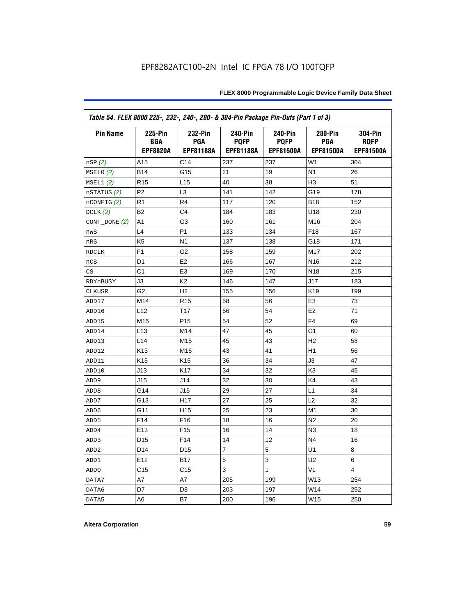| Table 54. FLEX 8000 225-, 232-, 240-, 280- & 304-Pin Package Pin-Outs (Part 1 of 3) |                                                 |                                           |                                            |                                                   |                                    |                                                   |
|-------------------------------------------------------------------------------------|-------------------------------------------------|-------------------------------------------|--------------------------------------------|---------------------------------------------------|------------------------------------|---------------------------------------------------|
| <b>Pin Name</b>                                                                     | <b>225-Pin</b><br><b>BGA</b><br><b>EPF8820A</b> | 232-Pin<br><b>PGA</b><br><b>EPF81188A</b> | <b>240-Pin</b><br><b>PQFP</b><br>EPF81188A | <b>240-Pin</b><br><b>PQFP</b><br><b>EPF81500A</b> | 280-Pin<br><b>PGA</b><br>EPF81500A | <b>304-Pin</b><br><b>ROFP</b><br><b>EPF81500A</b> |
| nSP(2)                                                                              | A15                                             | C14                                       | 237                                        | 237                                               | W <sub>1</sub>                     | 304                                               |
| MSELO(2)                                                                            | <b>B14</b>                                      | G15                                       | 21                                         | 19                                                | N <sub>1</sub>                     | 26                                                |
| MSEL1(2)                                                                            | R <sub>15</sub>                                 | L15                                       | 40                                         | 38                                                | H <sub>3</sub>                     | 51                                                |
| nSTATUS (2)                                                                         | P <sub>2</sub>                                  | L <sub>3</sub>                            | 141                                        | 142                                               | G19                                | 178                                               |
| $n$ CONFIG $(2)$                                                                    | R <sub>1</sub>                                  | R <sub>4</sub>                            | 117                                        | 120                                               | <b>B18</b>                         | 152                                               |
| DCLK(2)                                                                             | B <sub>2</sub>                                  | C <sub>4</sub>                            | 184                                        | 183                                               | U18                                | 230                                               |
| CONF_DONE (2)                                                                       | A1                                              | G3                                        | 160                                        | 161                                               | M16                                | 204                                               |
| nWS                                                                                 | L4                                              | P <sub>1</sub>                            | 133                                        | 134                                               | F <sub>18</sub>                    | 167                                               |
| nRS                                                                                 | K <sub>5</sub>                                  | N <sub>1</sub>                            | 137                                        | 138                                               | G18                                | 171                                               |
| <b>RDCLK</b>                                                                        | F <sub>1</sub>                                  | G <sub>2</sub>                            | 158                                        | 159                                               | M17                                | 202                                               |
| nCS                                                                                 | D <sub>1</sub>                                  | E <sub>2</sub>                            | 166                                        | 167                                               | N <sub>16</sub>                    | 212                                               |
| CS                                                                                  | C1                                              | E <sub>3</sub>                            | 169                                        | 170                                               | N <sub>18</sub>                    | 215                                               |
| RDYnBUSY                                                                            | J3                                              | K <sub>2</sub>                            | 146                                        | 147                                               | J17                                | 183                                               |
| <b>CLKUSR</b>                                                                       | G <sub>2</sub>                                  | H <sub>2</sub>                            | 155                                        | 156                                               | K <sub>19</sub>                    | 199                                               |
| ADD17                                                                               | M14                                             | R <sub>15</sub>                           | 58                                         | 56                                                | E <sub>3</sub>                     | 73                                                |
| ADD16                                                                               | L12                                             | T17                                       | 56                                         | 54                                                | E <sub>2</sub>                     | 71                                                |
| ADD15                                                                               | M15                                             | P <sub>15</sub>                           | 54                                         | 52                                                | F <sub>4</sub>                     | 69                                                |
| ADD14                                                                               | L13                                             | M14                                       | 47                                         | 45                                                | G1                                 | 60                                                |
| ADD13                                                                               | L14                                             | M15                                       | 45                                         | 43                                                | H <sub>2</sub>                     | 58                                                |
| ADD12                                                                               | K <sub>13</sub>                                 | M16                                       | 43                                         | 41                                                | H1                                 | 56                                                |
| ADD11                                                                               | K <sub>15</sub>                                 | K <sub>15</sub>                           | 36                                         | 34                                                | J3                                 | 47                                                |
| ADD10                                                                               | J13                                             | K17                                       | 34                                         | 32                                                | K <sub>3</sub>                     | 45                                                |
| ADD <sub>9</sub>                                                                    | J15                                             | J14                                       | 32                                         | 30                                                | K4                                 | 43                                                |
| ADD <sub>8</sub>                                                                    | G14                                             | J15                                       | 29                                         | 27                                                | L1                                 | 34                                                |
| ADD7                                                                                | G13                                             | H <sub>17</sub>                           | 27                                         | 25                                                | L2                                 | 32                                                |
| ADD <sub>6</sub>                                                                    | G11                                             | H <sub>15</sub>                           | 25                                         | 23                                                | M <sub>1</sub>                     | 30                                                |
| ADD <sub>5</sub>                                                                    | F <sub>14</sub>                                 | F <sub>16</sub>                           | 18                                         | 16                                                | N <sub>2</sub>                     | 20                                                |
| ADD4                                                                                | E <sub>13</sub>                                 | F <sub>15</sub>                           | 16                                         | 14                                                | N <sub>3</sub>                     | 18                                                |
| ADD3                                                                                | D <sub>15</sub>                                 | F14                                       | 14                                         | 12                                                | N <sub>4</sub>                     | 16                                                |
| ADD <sub>2</sub>                                                                    | D <sub>14</sub>                                 | D <sub>15</sub>                           | 7                                          | 5                                                 | U <sub>1</sub>                     | 8                                                 |
| ADD1                                                                                | E12                                             | <b>B17</b>                                | 5                                          | 3                                                 | U2                                 | 6                                                 |
| ADD <sub>0</sub>                                                                    | C <sub>15</sub>                                 | C <sub>15</sub>                           | 3                                          | 1                                                 | V <sub>1</sub>                     | 4                                                 |
| DATA7                                                                               | A7                                              | A7                                        | 205                                        | 199                                               | W13                                | 254                                               |
| DATA6                                                                               | D7                                              | D <sub>8</sub>                            | 203                                        | 197                                               | W14                                | 252                                               |
| DATA5                                                                               | A6                                              | B7                                        | 200                                        | 196                                               | W15                                | 250                                               |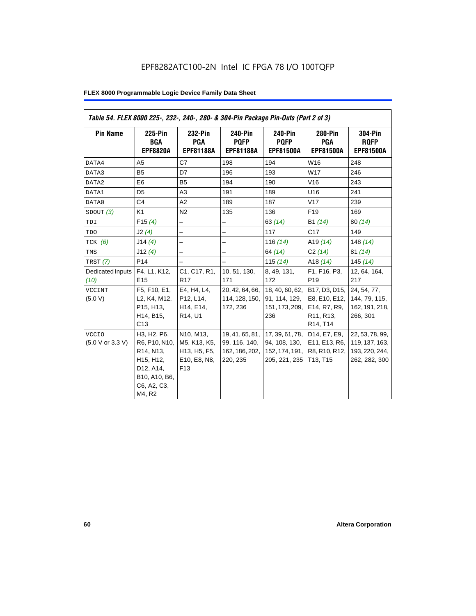| Table 54. FLEX 8000 225-, 232-, 240-, 280- & 304-Pin Package Pin-Outs (Part 2 of 3) |                                                                                                                                         |                                                                                                                     |                                                                |                                                                     |                                                                                                                            |                                                                      |
|-------------------------------------------------------------------------------------|-----------------------------------------------------------------------------------------------------------------------------------------|---------------------------------------------------------------------------------------------------------------------|----------------------------------------------------------------|---------------------------------------------------------------------|----------------------------------------------------------------------------------------------------------------------------|----------------------------------------------------------------------|
| <b>Pin Name</b>                                                                     | 225-Pin<br><b>BGA</b><br><b>EPF8820A</b>                                                                                                | 232-Pin<br><b>PGA</b><br><b>EPF81188A</b>                                                                           | 240-Pin<br><b>POFP</b><br><b>EPF81188A</b>                     | 240-Pin<br><b>POFP</b><br><b>EPF81500A</b>                          | <b>280-Pin</b><br><b>PGA</b><br><b>EPF81500A</b>                                                                           | <b>304-Pin</b><br><b>RQFP</b><br><b>EPF81500A</b>                    |
| DATA4                                                                               | A <sub>5</sub>                                                                                                                          | C7                                                                                                                  | 198                                                            | 194                                                                 | W16                                                                                                                        | 248                                                                  |
| DATA3                                                                               | <b>B5</b>                                                                                                                               | D7                                                                                                                  | 196                                                            | 193                                                                 | W17                                                                                                                        | 246                                                                  |
| DATA2                                                                               | E <sub>6</sub>                                                                                                                          | B <sub>5</sub>                                                                                                      | 194                                                            | 190                                                                 | V16                                                                                                                        | 243                                                                  |
| DATA1                                                                               | D <sub>5</sub>                                                                                                                          | A3                                                                                                                  | 191                                                            | 189                                                                 | U16                                                                                                                        | 241                                                                  |
| DATA0                                                                               | C <sub>4</sub>                                                                                                                          | A2                                                                                                                  | 189                                                            | 187                                                                 | V17                                                                                                                        | 239                                                                  |
| SDOUT(3)                                                                            | K1                                                                                                                                      | N <sub>2</sub>                                                                                                      | 135                                                            | 136                                                                 | F <sub>19</sub>                                                                                                            | 169                                                                  |
| TDI                                                                                 | F15(4)                                                                                                                                  | -                                                                                                                   | -                                                              | 63(14)                                                              | B1 (14)                                                                                                                    | 80(14)                                                               |
| TDO                                                                                 | J2(4)                                                                                                                                   |                                                                                                                     |                                                                | 117                                                                 | C17                                                                                                                        | 149                                                                  |
| $TCK$ (6)                                                                           | J14(4)                                                                                                                                  | $\overline{a}$                                                                                                      | $\overline{\phantom{0}}$                                       | 116 $(14)$                                                          | A <sub>19</sub> $(14)$                                                                                                     | 148 $(14)$                                                           |
| TMS                                                                                 | J12(4)                                                                                                                                  | $\overline{\phantom{0}}$                                                                                            | $\overline{\phantom{0}}$                                       | 64 (14)                                                             | C2(14)                                                                                                                     | 81(14)                                                               |
| TRST (7)                                                                            | P <sub>14</sub>                                                                                                                         |                                                                                                                     | $\overline{\phantom{0}}$                                       | 115 $(14)$                                                          | A18 $(14)$                                                                                                                 | 145(14)                                                              |
| Dedicated Inputs<br>(10)                                                            | F4, L1, K12,<br>E <sub>15</sub>                                                                                                         | C <sub>1</sub> , C <sub>17</sub> , R <sub>1</sub> ,<br>R <sub>17</sub>                                              | 10, 51, 130,<br>171                                            | 8, 49, 131,<br>172                                                  | F1, F16, P3,<br>P <sub>19</sub>                                                                                            | 12, 64, 164,<br>217                                                  |
| <b>VCCINT</b><br>(5.0 V)                                                            | F5, F10, E1,<br>L2, K4, M12,<br>P15, H13,<br>H14, B15,<br>C13                                                                           | E4, H4, L4,<br>P12, L14,<br>H14, E14,<br>R14, U1                                                                    | 20, 42, 64, 66,<br>114, 128, 150,<br>172, 236                  | 18, 40, 60, 62,<br>91, 114, 129,<br>151, 173, 209,<br>236           | B17, D3, D15,<br>E8, E10, E12,<br>E14, R7, R9,<br>R <sub>11</sub> , R <sub>13</sub> ,<br>R <sub>14</sub> , T <sub>14</sub> | 24, 54, 77,<br>144, 79, 115,<br>162, 191, 218,<br>266, 301           |
| <b>VCCIO</b><br>(5.0 V or 3.3 V)                                                    | H3, H2, P6,<br>R6, P10, N10,<br>R <sub>14</sub> , N <sub>13</sub> ,<br>H15, H12,<br>D12, A14,<br>B10, A10, B6,<br>C6, A2, C3,<br>M4, R2 | N10, M13,<br>M5, K13, K5,<br>H <sub>13</sub> , H <sub>5</sub> , F <sub>5</sub> ,<br>E10, E8, N8,<br>F <sub>13</sub> | 19, 41, 65, 81,<br>99, 116, 140,<br>162, 186, 202,<br>220, 235 | 17, 39, 61, 78,<br>94, 108, 130,<br>152, 174, 191,<br>205, 221, 235 | D14, E7, E9,<br>E11, E13, R6,<br>R8, R10, R12,<br>T13, T15                                                                 | 22, 53, 78, 99,<br>119, 137, 163,<br>193, 220, 244,<br>262, 282, 300 |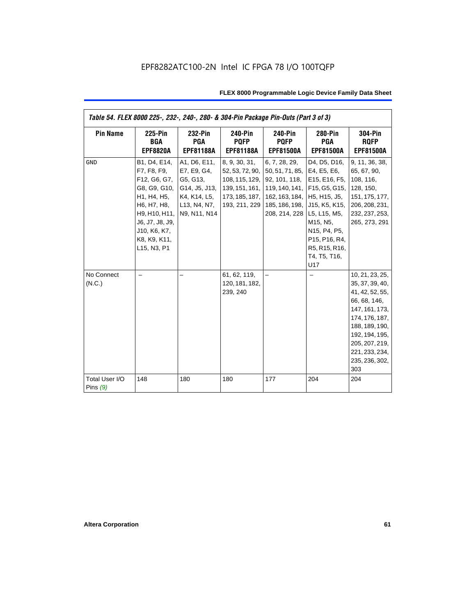| Table 54. FLEX 8000 225-, 232-, 240-, 280- & 304-Pin Package Pin-Outs (Part 3 of 3) |                                                                                                                                                                              |                                                                                                                                                 |                                                                                                         |                                                                                                                              |                                                                                                                                                                                                                           |                                                                                                                                                                                                            |
|-------------------------------------------------------------------------------------|------------------------------------------------------------------------------------------------------------------------------------------------------------------------------|-------------------------------------------------------------------------------------------------------------------------------------------------|---------------------------------------------------------------------------------------------------------|------------------------------------------------------------------------------------------------------------------------------|---------------------------------------------------------------------------------------------------------------------------------------------------------------------------------------------------------------------------|------------------------------------------------------------------------------------------------------------------------------------------------------------------------------------------------------------|
| <b>Pin Name</b>                                                                     | <b>225-Pin</b><br>BGA<br><b>EPF8820A</b>                                                                                                                                     | 232-Pin<br><b>PGA</b><br><b>EPF81188A</b>                                                                                                       | <b>240-Pin</b><br><b>PQFP</b><br><b>EPF81188A</b>                                                       | <b>240-Pin</b><br><b>PQFP</b><br><b>EPF81500A</b>                                                                            | 280-Pin<br><b>PGA</b><br><b>EPF81500A</b>                                                                                                                                                                                 | <b>304-Pin</b><br><b>RQFP</b><br><b>EPF81500A</b>                                                                                                                                                          |
| GND                                                                                 | B1, D4, E14,<br>F7, F8, F9,<br>F12, G6, G7,<br>G8, G9, G10,<br>H1, H4, H5,<br>H6, H7, H8,<br>H9, H10, H11,<br>J6, J7, J8, J9,<br>J10, K6, K7,<br>K8, K9, K11,<br>L15, N3, P1 | A1, D6, E11,<br>E7, E9, G4,<br>G5, G13,<br>G14, J5, J13,<br>K4, K14, L5,<br>L <sub>13</sub> , N <sub>4</sub> , N <sub>7</sub> ,<br>N9, N11, N14 | 8, 9, 30, 31,<br>52, 53, 72, 90,<br>108, 115, 129,<br>139, 151, 161,<br>173, 185, 187,<br>193, 211, 229 | 6, 7, 28, 29,<br>50, 51, 71, 85, E4, E5, E6,<br>92, 101, 118,<br>162, 163, 184, H5, H15, J5,<br>208, 214, 228   L5, L15, M5, | D4, D5, D16,<br>E15, E16, F5,<br>119, 140, 141, F15, G5, G15,<br>185, 186, 198, U15, K5, K15,<br>M15, N5,<br>N15, P4, P5,<br>P <sub>15</sub> , P <sub>16</sub> , R <sub>4</sub> ,<br>R5, R15, R16,<br>T4, T5, T16,<br>U17 | 9, 11, 36, 38,<br>65, 67, 90,<br>108, 116,<br>128, 150,<br>151, 175, 177,<br>206, 208, 231,<br>232, 237, 253,<br>265, 273, 291                                                                             |
| No Connect<br>(N.C.)                                                                |                                                                                                                                                                              |                                                                                                                                                 | 61, 62, 119,<br>120, 181, 182,<br>239, 240                                                              |                                                                                                                              |                                                                                                                                                                                                                           | 10, 21, 23, 25,<br>35, 37, 39, 40,<br>41, 42, 52, 55,<br>66, 68, 146,<br>147, 161, 173,<br>174, 176, 187,<br>188, 189, 190,<br>192, 194, 195,<br>205, 207, 219,<br>221, 233, 234,<br>235, 236, 302,<br>303 |
| Total User I/O<br>Pins $(9)$                                                        | 148                                                                                                                                                                          | 180                                                                                                                                             | 180                                                                                                     | 177                                                                                                                          | 204                                                                                                                                                                                                                       | 204                                                                                                                                                                                                        |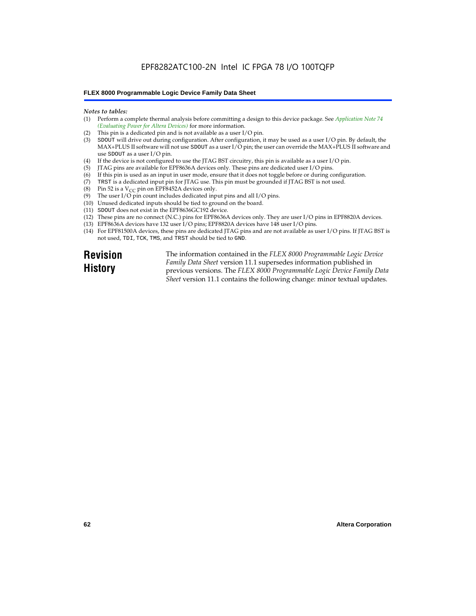# EPF8282ATC100-2N Intel IC FPGA 78 I/O 100TQFP

#### **FLEX 8000 Programmable Logic Device Family Data Sheet**

#### *Notes to tables:*

- (1) Perform a complete thermal analysis before committing a design to this device package. See *Application Note 74 (Evaluating Power for Altera Devices)* for more information.
- (2) This pin is a dedicated pin and is not available as a user I/O pin.
- (3) SDOUT will drive out during configuration. After configuration, it may be used as a user I/O pin. By default, the MAX+PLUS II software will not use SDOUT as a user I/O pin; the user can override the MAX+PLUS II software and use SDOUT as a user I/O pin.
- (4) If the device is not configured to use the JTAG BST circuitry, this pin is available as a user I/O pin.
- (5) JTAG pins are available for EPF8636A devices only. These pins are dedicated user I/O pins.
- $(6)$  If this pin is used as an input in user mode, ensure that it does not toggle before or during configuration.
- (7) TRST is a dedicated input pin for JTAG use. This pin must be grounded if JTAG BST is not used.
- (8) Pin 52 is a  $V_{CC}$  pin on EPF8452A devices only.
- (9) The user I/O pin count includes dedicated input pins and all I/O pins.
- (10) Unused dedicated inputs should be tied to ground on the board.
- (11) SDOUT does not exist in the EPF8636GC192 device.
- (12) These pins are no connect (N.C.) pins for EPF8636A devices only. They are user I/O pins in EPF8820A devices.
- (13) EPF8636A devices have 132 user I/O pins; EPF8820A devices have 148 user I/O pins.
- (14) For EPF81500A devices, these pins are dedicated JTAG pins and are not available as user I/O pins. If JTAG BST is not used, TDI, TCK, TMS, and TRST should be tied to GND.

**Revision History**

The information contained in the *FLEX 8000 Programmable Logic Device Family Data Sheet* version 11.1 supersedes information published in previous versions. The *FLEX 8000 Programmable Logic Device Family Data Sheet* version 11.1 contains the following change: minor textual updates.